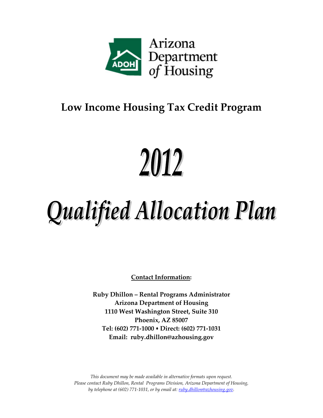

### **Low Income Housing Tax Credit Program**

# 2012

## Qualified Allocation Plan

**Contact Information:**

**Ruby Dhillon – Rental Programs Administrator Arizona Department of Housing 1110 West Washington Street, Suite 310 Phoenix, AZ 85007 Tel: (602) 771‐1000 Direct: (602) 771‐1031 Email: ruby.dhillon@azhousing.gov**

*This document may be made available in alternative formats upon request. Please contact Ruby Dhillon, Rental Programs Division, Arizona Department of Housing, by telephone at (602) 771‐1031, or by email at: ruby.dhillon@azhousing.gov.*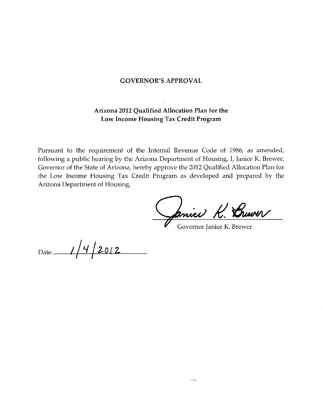#### **GOVERNOR'S APPROVAL**

#### Arizona 2012 Qualified Allocation Plan for the Low Income Housing Tax Credit Program

Pursuant to the requirement of the Internal Revenue Code of 1986, as amended, following a public hearing by the Arizona Department of Housing, I, Janice K. Brewer, Governor of the State of Arizona, hereby approve the 2012 Qualified Allocation Plan for the Low Income Housing Tax Credit Program as developed and prepared by the Arizona Department of Housing.

Primer

Governor Janice K. Brewer

re la mo

2012 Date: $\_\_$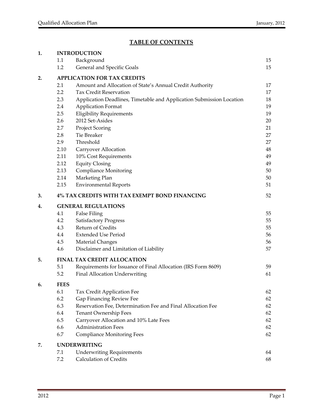#### **TABLE OF CONTENTS**

| 1. |                                    | <b>INTRODUCTION</b>                                                  |    |  |  |  |  |
|----|------------------------------------|----------------------------------------------------------------------|----|--|--|--|--|
|    | 1.1                                | Background                                                           | 15 |  |  |  |  |
|    | 1.2                                | General and Specific Goals                                           | 15 |  |  |  |  |
| 2. | <b>APPLICATION FOR TAX CREDITS</b> |                                                                      |    |  |  |  |  |
|    | 2.1                                | Amount and Allocation of State's Annual Credit Authority             | 17 |  |  |  |  |
|    | 2.2                                | <b>Tax Credit Reservation</b>                                        | 17 |  |  |  |  |
|    | 2.3                                | Application Deadlines, Timetable and Application Submission Location | 18 |  |  |  |  |
|    | 2.4                                | <b>Application Format</b>                                            | 19 |  |  |  |  |
|    | 2.5                                | <b>Eligibility Requirements</b>                                      | 19 |  |  |  |  |
|    | 2.6                                | 2012 Set-Asides                                                      | 20 |  |  |  |  |
|    | 2.7                                | <b>Project Scoring</b>                                               | 21 |  |  |  |  |
|    | 2.8                                | Tie Breaker                                                          | 27 |  |  |  |  |
|    | 2.9                                | Threshold                                                            | 27 |  |  |  |  |
|    | 2.10                               | Carryover Allocation                                                 | 48 |  |  |  |  |
|    | 2.11                               | 10% Cost Requirements                                                | 49 |  |  |  |  |
|    | 2.12                               | <b>Equity Closing</b>                                                | 49 |  |  |  |  |
|    | 2.13                               | <b>Compliance Monitoring</b>                                         | 50 |  |  |  |  |
|    | 2.14                               | Marketing Plan                                                       | 50 |  |  |  |  |
|    | 2.15                               | <b>Environmental Reports</b>                                         | 51 |  |  |  |  |
| 3. |                                    | 4% TAX CREDITS WITH TAX EXEMPT BOND FINANCING                        | 52 |  |  |  |  |
| 4. | <b>GENERAL REGULATIONS</b>         |                                                                      |    |  |  |  |  |
|    | 4.1                                | <b>False Filing</b>                                                  | 55 |  |  |  |  |
|    | 4.2                                | <b>Satisfactory Progress</b>                                         | 55 |  |  |  |  |
|    | 4.3                                | Return of Credits                                                    | 55 |  |  |  |  |
|    | 4.4                                | <b>Extended Use Period</b>                                           | 56 |  |  |  |  |
|    | 4.5                                | Material Changes                                                     | 56 |  |  |  |  |
|    | 4.6                                | Disclaimer and Limitation of Liability                               | 57 |  |  |  |  |
| 5. | <b>FINAL TAX CREDIT ALLOCATION</b> |                                                                      |    |  |  |  |  |
|    | 5.1                                | Requirements for Issuance of Final Allocation (IRS Form 8609)        | 59 |  |  |  |  |
|    | 5.2                                | Final Allocation Underwriting                                        | 61 |  |  |  |  |
| 6. | <b>FEES</b>                        |                                                                      |    |  |  |  |  |
|    | 6.1                                | Tax Credit Application Fee                                           | 62 |  |  |  |  |
|    | 6.2                                | Gap Financing Review Fee                                             | 62 |  |  |  |  |
|    | 6.3                                | Reservation Fee, Determination Fee and Final Allocation Fee          | 62 |  |  |  |  |
|    | 6.4                                | Tenant Ownership Fees                                                | 62 |  |  |  |  |
|    | 6.5                                | Carryover Allocation and 10% Late Fees                               | 62 |  |  |  |  |
|    | 6.6                                | <b>Administration Fees</b>                                           | 62 |  |  |  |  |
|    | 6.7                                | <b>Compliance Monitoring Fees</b>                                    | 62 |  |  |  |  |
| 7. |                                    | <b>UNDERWRITING</b>                                                  |    |  |  |  |  |
|    | 7.1                                | <b>Underwriting Requirements</b>                                     | 64 |  |  |  |  |
|    | 7.2                                | <b>Calculation of Credits</b>                                        | 68 |  |  |  |  |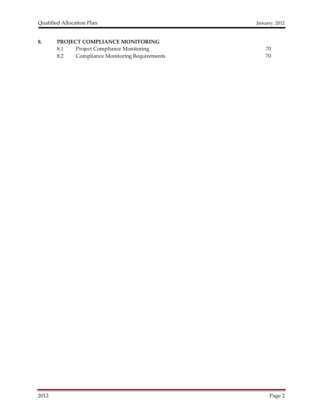#### **8. PROJECT COMPLIANCE MONITORING**

- 
- 8.1 Project Compliance Monitoring<br>
8.2 Compliance Monitoring Requirements<br>
20 8.2 Compliance Monitoring Requirements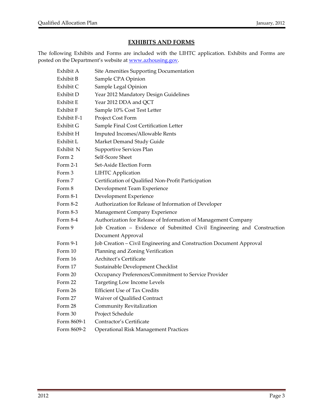#### **EXHIBITS AND FORMS**

The following Exhibits and Forms are included with the LIHTC application. Exhibits and Forms are posted on the Department's website at www.azhousing.gov.

| Exhibit A   | Site Amenities Supporting Documentation                                 |
|-------------|-------------------------------------------------------------------------|
| Exhibit B   | Sample CPA Opinion                                                      |
| Exhibit C   | Sample Legal Opinion                                                    |
| Exhibit D   | Year 2012 Mandatory Design Guidelines                                   |
| Exhibit E   | Year 2012 DDA and QCT                                                   |
| Exhibit F   | Sample 10% Cost Test Letter                                             |
| Exhibit F-1 | Project Cost Form                                                       |
| Exhibit G   | Sample Final Cost Certification Letter                                  |
| Exhibit H   | Imputed Incomes/Allowable Rents                                         |
| Exhibit L   | Market Demand Study Guide                                               |
| Exhibit N   | Supportive Services Plan                                                |
| Form 2      | Self-Score Sheet                                                        |
| Form 2-1    | Set-Aside Election Form                                                 |
| Form 3      | <b>LIHTC Application</b>                                                |
| Form 7      | Certification of Qualified Non-Profit Participation                     |
| Form 8      | Development Team Experience                                             |
| Form 8-1    | Development Experience                                                  |
| Form 8-2    | Authorization for Release of Information of Developer                   |
| Form 8-3    | Management Company Experience                                           |
| Form 8-4    | Authorization for Release of Information of Management Company          |
| Form 9      | Job Creation - Evidence of Submitted Civil Engineering and Construction |
|             | Document Approval                                                       |
| Form 9-1    | Job Creation - Civil Engineering and Construction Document Approval     |
| Form 10     | Planning and Zoning Verification                                        |
| Form 16     | Architect's Certificate                                                 |
| Form 17     | Sustainable Development Checklist                                       |
| Form 20     | Occupancy Preferences/Commitment to Service Provider                    |
| Form 22     | Targeting Low Income Levels                                             |
| Form 26     | <b>Efficient Use of Tax Credits</b>                                     |
| Form 27     | Waiver of Qualified Contract                                            |
| Form 28     | Community Revitalization                                                |
| Form 30     | Project Schedule                                                        |
| Form 8609-1 | Contractor's Certificate                                                |
| Form 8609-2 | <b>Operational Risk Management Practices</b>                            |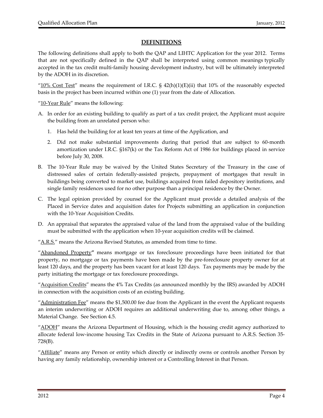#### **DEFINITIONS**

The following definitions shall apply to both the QAP and LIHTC Application for the year 2012. Terms that are not specifically defined in the QAP shall be interpreted using common meanings typically accepted in the tax credit multi‐family housing development industry, but will be ultimately interpreted by the ADOH in its discretion.

" $10\%$  Cost Test" means the requirement of I.R.C. § 42(h)(1)(E)(ii) that 10% of the reasonably expected basis in the project has been incurred within one (1) year from the date of Allocation.

"10-Year Rule" means the following:

- A. In order for an existing building to qualify as part of a tax credit project, the Applicant must acquire the building from an unrelated person who:
	- 1. Has held the building for at least ten years at time of the Application, and
	- 2. Did not make substantial improvements during that period that are subject to 60-month amortization under I.R.C. §167(k) or the Tax Reform Act of 1986 for buildings placed in service before July 30, 2008.
- B. The 10‐Year Rule may be waived by the United States Secretary of the Treasury in the case of distressed sales of certain federally‐assisted projects, prepayment of mortgages that result in buildings being converted to market use, buildings acquired from failed depository institutions, and single family residences used for no other purpose than a principal residence by the Owner.
- C. The legal opinion provided by counsel for the Applicant must provide a detailed analysis of the Placed in Service dates and acquisition dates for Projects submitting an application in conjunction with the 10‐Year Acquisition Credits.
- D. An appraisal that separates the appraised value of the land from the appraised value of the building must be submitted with the application when 10‐year acquisition credits will be claimed.

"A.R.S." means the Arizona Revised Statutes, as amended from time to time.

"Abandoned Property**"** means mortgage or tax foreclosure proceedings have been initiated for that property, no mortgage or tax payments have been made by the pre‐foreclosure property owner for at least 120 days, and the property has been vacant for at least 120 days. Tax payments may be made by the party initiating the mortgage or tax foreclosure proceedings.

"Acquisition Credits" means the 4% Tax Credits (as announced monthly by the IRS) awarded by ADOH in connection with the acquisition costs of an existing building.

"Administration Fee" means the  $$1,500.00$  fee due from the Applicant in the event the Applicant requests an interim underwriting or ADOH requires an additional underwriting due to, among other things, a Material Change. See Section 4.5.

"ADOH" means the Arizona Department of Housing, which is the housing credit agency authorized to allocate federal low‐income housing Tax Credits in the State of Arizona pursuant to A.R.S. Section 35‐ 728(B).

"Affiliate" means any Person or entity which directly or indirectly owns or controls another Person by having any family relationship, ownership interest or a Controlling Interest in that Person.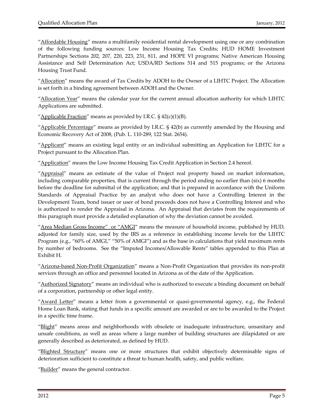"Affordable Housing" means a multifamily residential rental development using one or any combination of the following funding sources: Low Income Housing Tax Credits; HUD HOME Investment Partnerships Sections 202, 207, 220, 223, 231, 811, and HOPE VI programs; Native American Housing Assistance and Self Determination Act; USDA/RD Sections 514 and 515 programs; or the Arizona Housing Trust Fund.

"Allocation" means the award of Tax Credits by ADOH to the Owner of a LIHTC Project. The Allocation is set forth in a binding agreement between ADOH and the Owner.

"Allocation Year" means the calendar year for the current annual allocation authority for which LIHTC Applications are submitted.

"Applicable Fraction" means as provided by I.R.C.  $\S$  42(c)(1)(B).

"Applicable Percentage" means as provided by I.R.C. § 42(b) as currently amended by the Housing and Economic Recovery Act of 2008, (Pub. L. 110‐289, 122 Stat. 2654).

"Applicant" means an existing legal entity or an individual submitting an Application for LIHTC for a Project pursuant to the Allocation Plan.

"Application" means the Low Income Housing Tax Credit Application in Section 2.4 hereof.

"Appraisal" means an estimate of the value of Project real property based on market information, including comparable properties, that is current through the period ending no earlier than (six) 6 months before the deadline for submittal of the application; and that is prepared in accordance with the Uniform Standards of Appraisal Practice by an analyst who does not have a Controlling Interest in the Development Team, bond issuer or user of bond proceeds does not have a Controlling Interest and who is authorized to render the Appraisal in Arizona. An Appraisal that deviates from the requirements of this paragraph must provide a detailed explanation of why the deviation cannot be avoided.

"Area Median Gross Income" or "AMGI" means the measure of household income, published by HUD, adjusted for family size, used by the IRS as a reference in establishing income levels for the LIHTC Program (e.g., "60% of AMGI," "50% of AMGI") and as the base in calculations that yield maximum rents by number of bedrooms. See the "Imputed Incomes/Allowable Rents" tables appended to this Plan at Exhibit H.

"Arizona-based Non-Profit Organization" means a Non-Profit Organization that provides its non-profit services through an office and personnel located in Arizona as of the date of the Application.

"Authorized Signatory" means an individual who is authorized to execute a binding document on behalf of a corporation, partnership or other legal entity.

"Award Letter" means a letter from a governmental or quasi-governmental agency, e.g., the Federal Home Loan Bank, stating that funds in a specific amount are awarded or are to be awarded to the Project in a specific time frame.

"Blight" means areas and neighborhoods with obsolete or inadequate infrastructure, unsanitary and unsafe conditions, as well as areas where a large number of building structures are dilapidated or are generally described as deteriorated, as defined by HUD.

"Blighted Structure" means one or more structures that exhibit objectively determinable signs of deterioration sufficient to constitute a threat to human health, safety, and public welfare.

"Builder" means the general contractor.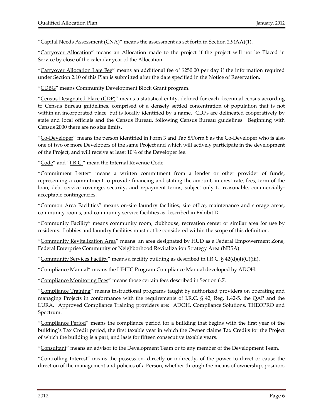"Capital Needs Assessment  $(CNA)$ " means the assessment as set forth in Section 2.9(AA)(1).

"Carryover Allocation" means an Allocation made to the project if the project will not be Placed in Service by close of the calendar year of the Allocation.

"Carryover Allocation Late Fee" means an additional fee of \$250.00 per day if the information required under Section 2.10 of this Plan is submitted after the date specified in the Notice of Reservation.

"CDBG" means Community Development Block Grant program.

"Census Designated Place (CDP)" means a statistical entity, defined for each decennial census according to Census Bureau guidelines, comprised of a densely settled concentration of population that is not within an incorporated place, but is locally identified by a name. CDPs are delineated cooperatively by state and local officials and the Census Bureau, following Census Bureau guidelines. Beginning with Census 2000 there are no size limits.

"Co-Developer" means the person identified in Form 3 and Tab 8/Form 8 as the Co-Developer who is also one of two or more Developers of the same Project and which will actively participate in the development of the Project, and will receive at least 10% of the Developer fee.

"Code" and "I.R.C." mean the Internal Revenue Code.

"Commitment Letter" means a written commitment from a lender or other provider of funds, representing a commitment to provide financing and stating the amount, interest rate, fees, term of the loan, debt service coverage, security, and repayment terms, subject only to reasonable, commerciallyacceptable contingencies.

"Common Area Facilities" means on-site laundry facilities, site office, maintenance and storage areas, community rooms, and community service facilities as described in Exhibit D.

"Community Facility" means community room, clubhouse, recreation center or similar area for use by residents. Lobbies and laundry facilities must not be considered within the scope of this definition.

"Community Revitalization Area" means an area designated by HUD as a Federal Empowerment Zone, Federal Enterprise Community or Neighborhood Revitalization Strategy Area (NRSA)

"Community Services Facility" means a facility building as described in I.R.C.  $\S$  42(d)(4)(C)(iii).

"Compliance Manual" means the LIHTC Program Compliance Manual developed by ADOH.

"Compliance Monitoring Fees" means those certain fees described in Section 6.7.

"Compliance Training" means instructional programs taught by authorized providers on operating and managing Projects in conformance with the requirements of I.R.C. § 42, Reg. 1.42‐5, the QAP and the LURA. Approved Compliance Training providers are: ADOH, Compliance Solutions, THEOPRO and Spectrum.

"Compliance Period" means the compliance period for a building that begins with the first year of the building's Tax Credit period, the first taxable year in which the Owner claims Tax Credits for the Project of which the building is a part, and lasts for fifteen consecutive taxable years.

"Consultant" means an advisor to the Development Team or to any member of the Development Team.

"Controlling Interest" means the possession, directly or indirectly, of the power to direct or cause the direction of the management and policies of a Person, whether through the means of ownership, position,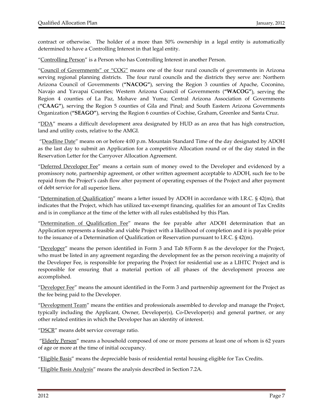contract or otherwise. The holder of a more than 50% ownership in a legal entity is automatically determined to have a Controlling Interest in that legal entity.

"Controlling Person" is a Person who has Controlling Interest in another Person.

"Council of Governments" or "COG" means one of the four rural councils of governments in Arizona serving regional planning districts. The four rural councils and the districts they serve are: Northern Arizona Council of Governments (**"NACOG"**), serving the Region 3 counties of Apache, Coconino, Navajo and Yavapai Counties; Western Arizona Council of Governments (**"WACOG"**), serving the Region 4 counties of La Paz, Mohave and Yuma; Central Arizona Association of Governments (**"CAAG"**), serving the Region 5 counties of Gila and Pinal; and South Eastern Arizona Governments Organization (**"SEAGO"**), serving the Region 6 counties of Cochise, Graham, Greenlee and Santa Cruz.

"DDA" means a difficult development area designated by HUD as an area that has high construction, land and utility costs, relative to the AMGI.

"Deadline Date" means on or before 4:00 p.m. Mountain Standard Time of the day designated by ADOH as the last day to submit an Application for a competitive Allocation round or of the day stated in the Reservation Letter for the Carryover Allocation Agreement.

"Deferred Developer Fee" means a certain sum of money owed to the Developer and evidenced by a promissory note, partnership agreement, or other written agreement acceptable to ADOH, such fee to be repaid from the Project's cash flow after payment of operating expenses of the Project and after payment of debt service for all superior liens.

"Determination of Qualification" means a letter issued by ADOH in accordance with I.R.C.  $\S$  42(m), that indicates that the Project, which has utilized tax‐exempt financing, qualifies for an amount of Tax Credits and is in compliance at the time of the letter with all rules established by this Plan.

"Determination of Qualification Fee" means the fee payable after ADOH determination that an Application represents a feasible and viable Project with a likelihood of completion and it is payable prior to the issuance of a Determination of Qualification or Reservation pursuant to I.R.C. § 42(m).

"Developer" means the person identified in Form 3 and Tab 8/Form 8 as the developer for the Project, who must be listed in any agreement regarding the development fee as the person receiving a majority of the Developer Fee, is responsible for preparing the Project for residential use as a LIHTC Project and is responsible for ensuring that a material portion of all phases of the development process are accomplished.

"Developer Fee" means the amount identified in the Form 3 and partnership agreement for the Project as the fee being paid to the Developer.

"Development Team" means the entities and professionals assembled to develop and manage the Project, typically including the Applicant, Owner, Developer(s), Co‐Developer(s) and general partner, or any other related entities in which the Developer has an identity of interest.

"DSCR" means debt service coverage ratio.

"Elderly Person" means a household composed of one or more persons at least one of whom is 62 years of age or more at the time of initial occupancy.

"Eligible Basis" means the depreciable basis of residential rental housing eligible for Tax Credits.

"Eligible Basis Analysis" means the analysis described in Section 7.2A.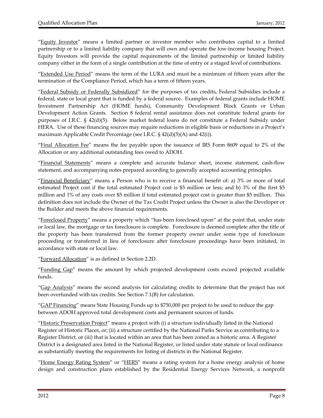"Equity Investor" means a limited partner or investor member who contributes capital to a limited partnership or to a limited liability company that will own and operate the low-income housing Project. Equity Investors will provide the capital requirements of the limited partnership or limited liability company either in the form of a single contribution at the time of entry or a staged level of contributions.

"Extended Use Period" means the term of the LURA and must be a minimum of fifteen years after the termination of the Compliance Period, which has a term of fifteen years.

"Federal Subsidy or Federally Subsidized" for the purposes of tax credits, Federal Subsidies include a federal, state or local grant that is funded by a federal source. Examples of federal grants include HOME Investment Partnership Act (HOME funds), Community Development Block Grants or Urban Development Action Grants. Section 8 federal rental assistance does not constitute federal grants for purposes of I.R.C. § 42(d)(5). Below market federal loans do not constitute a Federal Subsidy under HERA. Use of these financing sources may require reductions in eligible basis or reductions in a Project's maximum Applicable Credit Percentage (see I.R.C. § 42(d)(5)(A) and 42(i)).

"Final Allocation Fee" means the fee payable upon the issuance of IRS Form 8609 equal to 2% of the Allocation or any additional outstanding fees owed to ADOH.

"Financial Statements" means a complete and accurate balance sheet, income statement, cash‐flow statement, and accompanying notes prepared according to generally accepted accounting principles.

"Financial Beneficiary" means a Person who is to receive a financial benefit of: a) 3% or more of total estimated Project cost if the total estimated Project cost is \$5 million or less; and b) 3% of the first \$5 million and 1% of any costs over \$5 million if total estimated project cost is greater than \$5 million. This definition does not include the Owner of the Tax Credit Project unless the Owner is also the Developer or the Builder and meets the above financial requirements.

"Foreclosed Property" means a property which "has been foreclosed upon" at the point that, under state or local law, the mortgage or tax foreclosure is complete. Foreclosure is deemed complete after the title of the property has been transferred from the former property owner under some type of foreclosure proceeding or transferred in lieu of foreclosure after foreclosure proceedings have been initiated, in accordance with state or local law.

"Forward Allocation" is as defined in Section 2.2D.

"Funding Gap" means the amount by which projected development costs exceed projected available funds.

"Gap Analysis" means the second analysis for calculating credits to determine that the project has not been overfunded with tax credits. See Section 7.1(B) for calculation.

"*GAP Financing*" means State Housing Funds up to \$750,000 per project to be used to reduce the gap between ADOH approved total development costs and permanent sources of funds.

"Historic Preservation Project" means a project with (i) a structure individually listed in the National Register of Historic Places, or; (ii) a structure certified by the National Parks Service as contributing to a Register District, or (iii) that is located within an area that has been zoned as a historic area. A Register District is a designated area listed in the National Register, or listed under state statute or local ordinance as substantially meeting the requirements for listing of districts in the National Register.

"Home Energy Rating System" or "HERS" means a rating system for a home energy analysis of home design and construction plans established by the Residential Energy Services Network, a nonprofit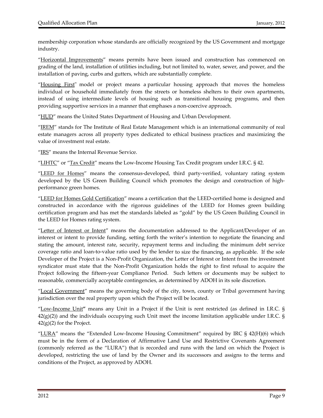membership corporation whose standards are officially recognized by the US Government and mortgage industry.

"Horizontal Improvements" means permits have been issued and construction has commenced on grading of the land, installation of utilities including, but not limited to, water, sewer, and power, and the installation of paving, curbs and gutters, which are substantially complete.

"Housing First" model or project means a particular housing approach that moves the homeless individual or household immediately from the streets or homeless shelters to their own apartments, instead of using intermediate levels of housing such as transitional housing programs, and then providing supportive services in a manner that emphases a non‐coercive approach.

"HUD" means the United States Department of Housing and Urban Development.

"IREM" stands for The Institute of Real Estate Management which is an international community of real estate managers across all property types dedicated to ethical business practices and maximizing the value of investment real estate.

"IRS" means the Internal Revenue Service.

"LIHTC" or "Tax Credit" means the Low-Income Housing Tax Credit program under I.R.C. § 42.

"LEED for Homes" means the consensus-developed, third party-verified, voluntary rating system developed by the US Green Building Council which promotes the design and construction of highperformance green homes.

"LEED for Homes Gold Certification" means a certification that the LEED‐certified home is designed and constructed in accordance with the rigorous guidelines of the LEED for Homes green building certification program and has met the standards labeled as "gold" by the US Green Building Council in the LEED for Homes rating system.

"<u>Letter of Interest or Intent</u>" means the documentation addressed to the Applicant/Developer of an interest or intent to provide funding, setting forth the writer's intention to negotiate the financing and stating the amount, interest rate, security, repayment terms and including the minimum debt service coverage ratio and loan‐to‐value ratio used by the lender to size the financing, as applicable. If the sole Developer of the Project is a Non-Profit Organization, the Letter of Interest or Intent from the investment syndicator must state that the Non‐Profit Organization holds the right to first refusal to acquire the Project following the fifteen-year Compliance Period. Such letters or documents may be subject to reasonable, commercially acceptable contingencies, as determined by ADOH in its sole discretion.

"Local Government" means the governing body of the city, town, county or Tribal government having jurisdiction over the real property upon which the Project will be located.

"Low‐Income Unit**"** means any Unit in a Project if the Unit is rent restricted (as defined in I.R.C. § 42(g)(2)) and the individuals occupying such Unit meet the income limitation applicable under I.R.C. §  $42(g)(2)$  for the Project.

"LURA" means the "Extended Low-Income Housing Commitment" required by IRC  $\S$  42(H)(6) which must be in the form of a Declaration of Affirmative Land Use and Restrictive Covenants Agreement (commonly referred as the "LURA") that is recorded and runs with the land on which the Project is developed, restricting the use of land by the Owner and its successors and assigns to the terms and conditions of the Project, as approved by ADOH.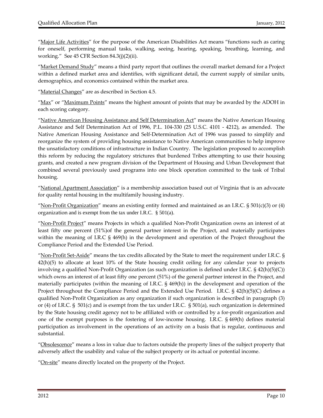"Major Life Activities" for the purpose of the American Disabilities Act means "functions such as caring for oneself, performing manual tasks, walking, seeing, hearing, speaking, breathing, learning, and working." See 45 CFR Section 84.3(j)(2)(ii).

"Market Demand Study" means a third party report that outlines the overall market demand for a Project within a defined market area and identifies, with significant detail, the current supply of similar units, demographics, and economics contained within the market area.

"Material Changes" are as described in Section 4.5.

"Max" or "Maximum Points" means the highest amount of points that may be awarded by the ADOH in each scoring category.

"Native American Housing Assistance and Self Determination Act" means the Native American Housing Assistance and Self Determination Act of 1996, P.L. 104-330 (25 U.S.C. 4101 - 4212), as amended. The Native American Housing Assistance and Self‐Determination Act of 1996 was passed to simplify and reorganize the system of providing housing assistance to Native American communities to help improve the unsatisfactory conditions of infrastructure in Indian Country. The legislation proposed to accomplish this reform by reducing the regulatory strictures that burdened Tribes attempting to use their housing grants, and created a new program division of the Department of Housing and Urban Development that combined several previously used programs into one block operation committed to the task of Tribal housing.

"National Apartment Association" is a membership association based out of Virginia that is an advocate for quality rental housing in the multifamily housing industry.

"Non-Profit Organization" means an existing entity formed and maintained as an I.R.C.  $\S 501(c)(3)$  or (4) organization and is exempt from the tax under I.R.C. § 501(a).

"Non‐Profit Project" means Projects in which a qualified Non‐Profit Organization owns an interest of at least fifty one percent (51%)of the general partner interest in the Project, and materially participates within the meaning of I.R.C § 469(h) in the development and operation of the Project throughout the Compliance Period and the Extended Use Period.

"Non-Profit Set-Aside" means the tax credits allocated by the State to meet the requirement under I.R.C. § 42(h)(5) to allocate at least 10% of the State housing credit ceiling for any calendar year to projects involving a qualified Non‐Profit Organization (as such organization is defined under I.R.C. § 42(h)(5)(C)) which owns an interest of at least fifty one percent (51%) of the general partner interest in the Project, and materially participates (within the meaning of I.R.C. § 469(h)) in the development and operation of the Project throughout the Compliance Period and the Extended Use Period. I.R.C. § 42(h)(5)(C) defines a qualified Non‐Profit Organization as any organization if such organization is described in paragraph (3) or (4) of I.R.C. § 501(c) and is exempt from the tax under I.R.C. § 501(a), such organization is determined by the State housing credit agency not to be affiliated with or controlled by a for‐profit organization and one of the exempt purposes is the fostering of low‐income housing. I.R.C. § 469(h) defines material participation as involvement in the operations of an activity on a basis that is regular, continuous and substantial.

"Obsolescence" means a loss in value due to factors outside the property lines of the subject property that adversely affect the usability and value of the subject property or its actual or potential income.

"On-site" means directly located on the property of the Project.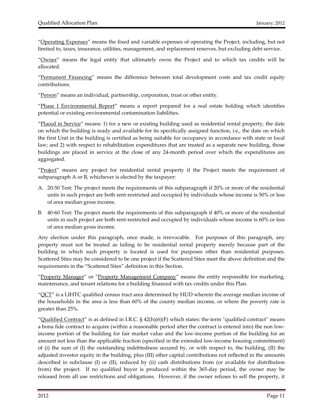"Operating Expenses" means the fixed and variable expenses of operating the Project, including, but not limited to, taxes, insurance, utilities, management, and replacement reserves, but excluding debt service.

"Owner" means the legal entity that ultimately owns the Project and to which tax credits will be allocated.

"Permanent Financing" means the difference between total development costs and tax credit equity contributions.

"Person" means an individual, partnership, corporation, trust or other entity.

"Phase I Environmental Report" means a report prepared for a real estate holding which identifies potential or existing environmental contamination liabilities.

"Placed in Service" means: 1) for a new or existing building used as residential rental property, the date on which the building is ready and available for its specifically assigned function, i.e., the date on which the first Unit in the building is certified as being suitable for occupancy in accordance with state or local law; and 2) with respect to rehabilitation expenditures that are treated as a separate new building, those buildings are placed in service at the close of any 24-month period over which the expenditures are aggregated.

"Project" means any project for residential rental property if the Project meets the requirement of subparagraph A or B, whichever is elected by the taxpayer:

- A. 20‐50 Test: The project meets the requirements of this subparagraph if 20% or more of the residential units in such project are both rent‐restricted and occupied by individuals whose income is 50% or less of area median gross income.
- B. 40‐60 Test: The project meets the requirements of this subparagraph if 40% or more of the residential units in such project are both rent‐restricted and occupied by individuals whose income is 60% or less of area median gross income.

Any election under this paragraph, once made, is irrevocable. For purposes of this paragraph, any property must not be treated as failing to be residential rental property merely because part of the building in which such property is located is used for purposes other than residential purposes. Scattered Sites may be considered to be one project if the Scattered Sites meet the above definition and the requirements in the "Scattered Sites" definition in this Section.

"Property Manager" or "Property Management Company" means the entity responsible for marketing, maintenance, and tenant relations for a building financed with tax credits under this Plan.

" $QCT$ " is a LIHTC qualified census tract area determined by HUD wherein the average median income of the households in the area is less than 60% of the county median income, or where the poverty rate is greater than 25%.

"Qualified Contract" is as defined in I.R.C.  $\S$  42(h)(6)(F) which states: the term "qualified contract" means a bona fide contract to acquire (within a reasonable period after the contract is entered into) the non low‐ income portion of the building for fair market value and the low‐income portion of the building for an amount not less than the applicable fraction (specified in the extended low‐income housing commitment) of (i) the sum of (I) the outstanding indebtedness secured by, or with respect to, the building, (II) the adjusted investor equity in the building, plus (III) other capital contributions not reflected in the amounts described in subclause (I) or (II), reduced by (ii) cash distributions from (or available for distribution from) the project. If no qualified buyer is produced within the 365-day period, the owner may be released from all use restrictions and obligations. However, if the owner refuses to sell the property, it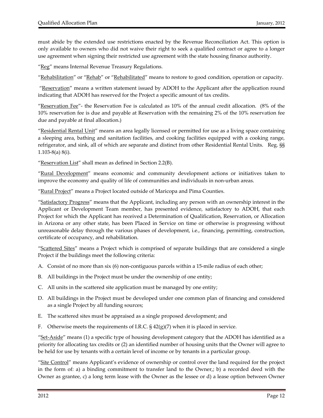must abide by the extended use restrictions enacted by the Revenue Reconciliation Act. This option is only available to owners who did not waive their right to seek a qualified contract or agree to a longer use agreement when signing their restricted use agreement with the state housing finance authority.

"Reg" means Internal Revenue Treasury Regulations.

"Rehabilitation" or "Rehab" or "Rehabilitated" means to restore to good condition, operation or capacity.

"Reservation" means a written statement issued by ADOH to the Applicant after the application round indicating that ADOH has reserved for the Project a specific amount of tax credits.

"Reservation Fee" - the Reservation Fee is calculated as  $10\%$  of the annual credit allocation. (8% of the 10% reservation fee is due and payable at Reservation with the remaining 2% of the 10% reservation fee due and payable at final allocation.)

"Residential Rental Unit" means an area legally licensed or permitted for use as a living space containing a sleeping area, bathing and sanitation facilities, and cooking facilities equipped with a cooking range, refrigerator, and sink, all of which are separate and distinct from other Residential Rental Units. Reg. §§ 1.103‐8(a) 8(i).

"Reservation List" shall mean as defined in Section 2.2(B).

"Rural Development" means economic and community development actions or initiatives taken to improve the economy and quality of life of communities and individuals in non‐urban areas.

"Rural Project" means a Project located outside of Maricopa and Pima Counties.

"Satisfactory Progress" means that the Applicant, including any person with an ownership interest in the Applicant or Development Team member, has presented evidence, satisfactory to ADOH, that each Project for which the Applicant has received a Determination of Qualification, Reservation, or Allocation in Arizona or any other state, has been Placed in Service on time or otherwise is progressing without unreasonable delay through the various phases of development, i.e., financing, permitting, construction, certificate of occupancy, and rehabilitation.

"Scattered Sites" means a Project which is comprised of separate buildings that are considered a single Project if the buildings meet the following criteria:

- A. Consist of no more than six (6) non-contiguous parcels within a 15-mile radius of each other;
- B. All buildings in the Project must be under the ownership of one entity;
- C. All units in the scattered site application must be managed by one entity;
- D. All buildings in the Project must be developed under one common plan of financing and considered as a single Project by all funding sources;
- E. The scattered sites must be appraised as a single proposed development; and
- F. Otherwise meets the requirements of I.R.C.  $\S$  42(g)(7) when it is placed in service.

"Set-Aside" means (1) a specific type of housing development category that the ADOH has identified as a priority for allocating tax credits or (2) an identified number of housing units that the Owner will agree to be held for use by tenants with a certain level of income or by tenants in a particular group.

"Site Control" means Applicant's evidence of ownership or control over the land required for the project in the form of: a) a binding commitment to transfer land to the Owner,; b) a recorded deed with the Owner as grantee, c) a long term lease with the Owner as the lessee or d) a lease option between Owner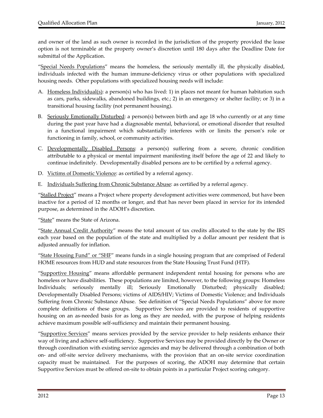and owner of the land as such owner is recorded in the jurisdiction of the property provided the lease option is not terminable at the property owner's discretion until 180 days after the Deadline Date for submittal of the Application.

"Special Needs Populations" means the homeless, the seriously mentally ill, the physically disabled, individuals infected with the human immune‐deficiency virus or other populations with specialized housing needs. Other populations with specialized housing needs will include:

- A. Homeless Individual(s): a person(s) who has lived: 1) in places not meant for human habitation such as cars, parks, sidewalks, abandoned buildings, etc.; 2) in an emergency or shelter facility; or 3) in a transitional housing facility (not permanent housing).
- B. Seriously Emotionally Disturbed: a person(s) between birth and age 18 who currently or at any time during the past year have had a diagnosable mental, behavioral, or emotional disorder that resulted in a functional impairment which substantially interferes with or limits the person's role or functioning in family, school, or community activities.
- C. Developmentally Disabled Persons: a person(s) suffering from a severe, chronic condition attributable to a physical or mental impairment manifesting itself before the age of 22 and likely to continue indefinitely. Developmentally disabled persons are to be certified by a referral agency.
- D. Victims of Domestic Violence: as certified by a referral agency.
- E. Individuals Suffering from Chronic Substance Abuse: as certified by a referral agency.

"Stalled Project" means a Project where property development activities were commenced, but have been inactive for a period of 12 months or longer, and that has never been placed in service for its intended purpose, as determined in the ADOH's discretion.

"State" means the State of Arizona.

"State Annual Credit Authority" means the total amount of tax credits allocated to the state by the IRS each year based on the population of the state and multiplied by a dollar amount per resident that is adjusted annually for inflation.

"State Housing Fund" or "SHF" means funds in a single housing program that are comprised of Federal HOME resources from HUD and state resources from the State Housing Trust Fund (HTF).

"Supportive Housing" means affordable permanent independent rental housing for persons who are homeless or have disabilities. These populations are limited, however, to the following groups: Homeless Individuals; seriously mentally ill; Seriously Emotionally Disturbed; physically disabled; Developmentally Disabled Persons; victims of AIDS/HIV; Victims of Domestic Violence; and Individuals Suffering from Chronic Substance Abuse. See definition of "Special Needs Populations" above for more complete definitions of these groups. Supportive Services are provided to residents of supportive housing on an as-needed basis for as long as they are needed, with the purpose of helping residents achieve maximum possible self‐sufficiency and maintain their permanent housing.

"Supportive Services" means services provided by the service provider to help residents enhance their way of living and achieve self‐sufficiency. Supportive Services may be provided directly by the Owner or through coordination with existing service agencies and may be delivered through a combination of both on‐ and off‐site service delivery mechanisms, with the provision that an on‐site service coordination capacity must be maintained. For the purposes of scoring, the ADOH may determine that certain Supportive Services must be offered on‐site to obtain points in a particular Project scoring category.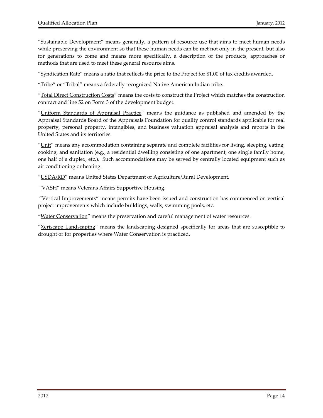"Sustainable Development" means generally, a pattern of resource use that aims to meet human needs while preserving the environment so that these human needs can be met not only in the present, but also for generations to come and means more specifically, a description of the products, approaches or methods that are used to meet these general resource aims.

"Syndication Rate" means a ratio that reflects the price to the Project for \$1.00 of tax credits awarded.

"Tribe" or "Tribal" means a federally recognized Native American Indian tribe.

"Total Direct Construction Costs" means the costs to construct the Project which matches the construction contract and line 52 on Form 3 of the development budget.

"Uniform Standards of Appraisal Practice" means the guidance as published and amended by the Appraisal Standards Board of the Appraisals Foundation for quality control standards applicable for real property, personal property, intangibles, and business valuation appraisal analysis and reports in the United States and its territories.

"Unit" means any accommodation containing separate and complete facilities for living, sleeping, eating, cooking, and sanitation (e.g., a residential dwelling consisting of one apartment, one single family home, one half of a duplex, etc.). Such accommodations may be served by centrally located equipment such as air conditioning or heating.

"USDA/RD" means United States Department of Agriculture/Rural Development.

"VASH" means Veterans Affairs Supportive Housing.

"Vertical Improvements" means permits have been issued and construction has commenced on vertical project improvements which include buildings, walls, swimming pools, etc.

"Water Conservation" means the preservation and careful management of water resources.

"Xeriscape Landscaping" means the landscaping designed specifically for areas that are susceptible to drought or for properties where Water Conservation is practiced.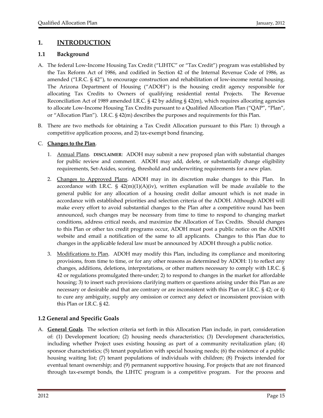#### **1. INTRODUCTION**

#### **1.1 Background**

- A. The federal Low‐Income Housing Tax Credit ("LIHTC" or "Tax Credit") program was established by the Tax Reform Act of 1986, and codified in Section 42 of the Internal Revenue Code of 1986, as amended ("I.R.C. § 42"), to encourage construction and rehabilitation of low‐income rental housing. The Arizona Department of Housing ("ADOH") is the housing credit agency responsible for allocating Tax Credits to Owners of qualifying residential rental Projects. The Revenue Reconciliation Act of 1989 amended I.R.C. § 42 by adding § 42(m), which requires allocating agencies to allocate Low‐Income Housing Tax Credits pursuant to a Qualified Allocation Plan ("QAP", "Plan", or "Allocation Plan"). I.R.C. § 42(m) describes the purposes and requirements for this Plan.
- B. There are two methods for obtaining a Tax Credit Allocation pursuant to this Plan: 1) through a competitive application process, and 2) tax‐exempt bond financing.

#### C. **Changes to the Plan**.

- 1. Annual Plans. **DISCLAIMER**: ADOH may submit a new proposed plan with substantial changes for public review and comment. ADOH may add, delete, or substantially change eligibility requirements, Set‐Asides, scoring, threshold and underwriting requirements for a new plan.
- 2. Changes to Approved Plans. ADOH may in its discretion make changes to this Plan. In accordance with I.R.C.  $\S$  42(m)(1)(A)(iv), written explanation will be made available to the general public for any allocation of a housing credit dollar amount which is not made in accordance with established priorities and selection criteria of the ADOH. Although ADOH will make every effort to avoid substantial changes to the Plan after a competitive round has been announced, such changes may be necessary from time to time to respond to changing market conditions, address critical needs, and maximize the Allocation of Tax Credits. Should changes to this Plan or other tax credit programs occur, ADOH must post a public notice on the ADOH website and email a notification of the same to all applicants. Changes to this Plan due to changes in the applicable federal law must be announced by ADOH through a public notice.
- 3. Modifications to Plan. ADOH may modify this Plan, including its compliance and monitoring provisions, from time to time, or for any other reasons as determined by ADOH: 1) to reflect any changes, additions, deletions, interpretations, or other matters necessary to comply with I.R.C. § 42 or regulations promulgated there‐under; 2) to respond to changes in the market for affordable housing; 3) to insert such provisions clarifying matters or questions arising under this Plan as are necessary or desirable and that are contrary or are inconsistent with this Plan or I.R.C. § 42; or 4) to cure any ambiguity, supply any omission or correct any defect or inconsistent provision with this Plan or I.R.C. § 42.

#### **1.2 General and Specific Goals**

A. **General Goals**. The selection criteria set forth in this Allocation Plan include, in part, consideration of: (1) Development location; (2) housing needs characteristics; (3) Development characteristics, including whether Project uses existing housing as part of a community revitalization plan; (4) sponsor characteristics; (5) tenant population with special housing needs; (6) the existence of a public housing waiting list; (7) tenant populations of individuals with children; (8) Projects intended for eventual tenant ownership; and (9) permanent supportive housing. For projects that are not financed through tax‐exempt bonds, the LIHTC program is a competitive program. For the process and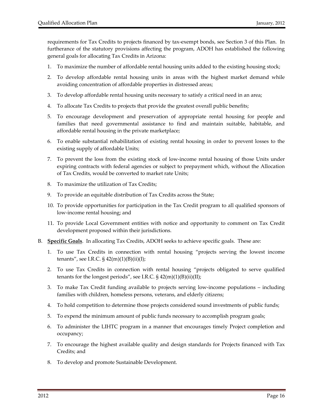requirements for Tax Credits to projects financed by tax-exempt bonds, see Section 3 of this Plan. In furtherance of the statutory provisions affecting the program, ADOH has established the following general goals for allocating Tax Credits in Arizona:

- 1. To maximize the number of affordable rental housing units added to the existing housing stock;
- 2. To develop affordable rental housing units in areas with the highest market demand while avoiding concentration of affordable properties in distressed areas;
- 3. To develop affordable rental housing units necessary to satisfy a critical need in an area;
- 4. To allocate Tax Credits to projects that provide the greatest overall public benefits;
- 5. To encourage development and preservation of appropriate rental housing for people and families that need governmental assistance to find and maintain suitable, habitable, and affordable rental housing in the private marketplace;
- 6. To enable substantial rehabilitation of existing rental housing in order to prevent losses to the existing supply of affordable Units;
- 7. To prevent the loss from the existing stock of low‐income rental housing of those Units under expiring contracts with federal agencies or subject to prepayment which, without the Allocation of Tax Credits, would be converted to market rate Units;
- 8. To maximize the utilization of Tax Credits;
- 9. To provide an equitable distribution of Tax Credits across the State;
- 10. To provide opportunities for participation in the Tax Credit program to all qualified sponsors of low‐income rental housing; and
- 11. To provide Local Government entities with notice and opportunity to comment on Tax Credit development proposed within their jurisdictions.
- B. **Specific Goals**. In allocating Tax Credits, ADOH seeks to achieve specific goals. These are:
	- 1. To use Tax Credits in connection with rental housing "projects serving the lowest income tenants", see I.R.C.  $\S$  42(m)(1)(B)(ii)(I);
	- 2. To use Tax Credits in connection with rental housing "projects obligated to serve qualified tenants for the longest periods", see I.R.C.  $\S$  42(m)(1)(B)(ii)(II);
	- 3. To make Tax Credit funding available to projects serving low‐income populations including families with children, homeless persons, veterans, and elderly citizens;
	- 4. To hold competition to determine those projects considered sound investments of public funds;
	- 5. To expend the minimum amount of public funds necessary to accomplish program goals;
	- 6. To administer the LIHTC program in a manner that encourages timely Project completion and occupancy;
	- 7. To encourage the highest available quality and design standards for Projects financed with Tax Credits; and
	- 8. To develop and promote Sustainable Development.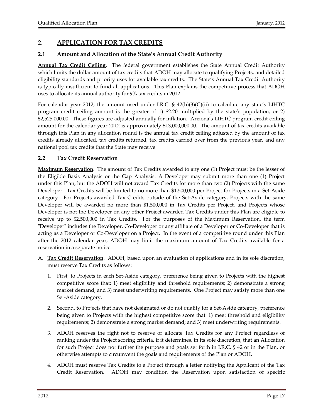#### **2. APPLICATION FOR TAX CREDITS**

#### **2.1 Amount and Allocation of the State's Annual Credit Authority**

**Annual Tax Credit Ceiling**. The federal government establishes the State Annual Credit Authority which limits the dollar amount of tax credits that ADOH may allocate to qualifying Projects, and detailed eligibility standards and priority uses for available tax credits. The State's Annual Tax Credit Authority is typically insufficient to fund all applications. This Plan explains the competitive process that ADOH uses to allocate its annual authority for 9% tax credits in 2012.

For calendar year 2012, the amount used under I.R.C.  $\S$  42(h)(3)(C)(ii) to calculate any state's LIHTC program credit ceiling amount is the greater of 1) \$2.20 multiplied by the state's population, or 2) \$2,525,000.00. These figures are adjusted annually for inflation. Arizona's LIHTC program credit ceiling amount for the calendar year 2012 is approximately \$13,000,000.00. The amount of tax credits available through this Plan in any allocation round is the annual tax credit ceiling adjusted by the amount of tax credits already allocated, tax credits returned, tax credits carried over from the previous year, and any national pool tax credits that the State may receive.

#### **2.2 Tax Credit Reservation**

**Maximum Reservation**. The amount of Tax Credits awarded to any one (1) Project must be the lesser of the Eligible Basis Analysis or the Gap Analysis. A Developer may submit more than one (1) Project under this Plan, but the ADOH will not award Tax Credits for more than two (2) Projects with the same Developer. Tax Credits will be limited to no more than \$1,500,000 per Project for Projects in a Set-Aside category. For Projects awarded Tax Credits outside of the Set‐Aside category, Projects with the same Developer will be awarded no more than \$1,500,000 in Tax Credits per Project, and Projects whose Developer is not the Developer on any other Project awarded Tax Credits under this Plan are eligible to receive up to \$2,500,000 in Tax Credits. For the purposes of the Maximum Reservation, the term "Developer" includes the Developer, Co-Developer or any affiliate of a Developer or Co-Developer that is acting as a Developer or Co‐Developer on a Project. In the event of a competitive round under this Plan after the 2012 calendar year, ADOH may limit the maximum amount of Tax Credits available for a reservation in a separate notice.

- A. **Tax Credit Reservation**. ADOH, based upon an evaluation of applications and in its sole discretion, must reserve Tax Credits as follows:
	- 1. First, to Projects in each Set‐Aside category, preference being given to Projects with the highest competitive score that: 1) meet eligibility and threshold requirements; 2) demonstrate a strong market demand; and 3) meet underwriting requirements. One Project may satisfy more than one Set‐Aside category.
	- 2. Second, to Projects that have not designated or do not qualify for a Set‐Aside category, preference being given to Projects with the highest competitive score that: 1) meet threshold and eligibility requirements; 2) demonstrate a strong market demand; and 3) meet underwriting requirements.
	- 3. ADOH reserves the right not to reserve or allocate Tax Credits for any Project regardless of ranking under the Project scoring criteria, if it determines, in its sole discretion, that an Allocation for such Project does not further the purpose and goals set forth in I.R.C. § 42 or in the Plan, or otherwise attempts to circumvent the goals and requirements of the Plan or ADOH.
	- 4. ADOH must reserve Tax Credits to a Project through a letter notifying the Applicant of the Tax Credit Reservation. ADOH may condition the Reservation upon satisfaction of specific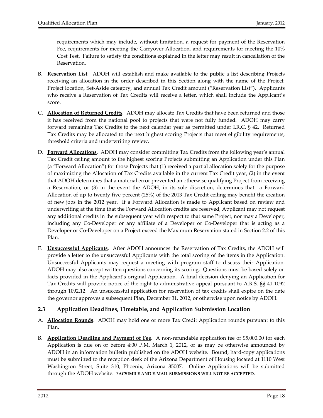requirements which may include, without limitation, a request for payment of the Reservation Fee, requirements for meeting the Carryover Allocation, and requirements for meeting the 10% Cost Test. Failure to satisfy the conditions explained in the letter may result in cancellation of the Reservation.

- B. **Reservation List**. ADOH will establish and make available to the public a list describing Projects receiving an allocation in the order described in this Section along with the name of the Project, Project location, Set‐Aside category, and annual Tax Credit amount ("Reservation List"). Applicants who receive a Reservation of Tax Credits will receive a letter, which shall include the Applicant's score.
- C. **Allocation of Returned Credits**. ADOH may allocate Tax Credits that have been returned and those it has received from the national pool to projects that were not fully funded. ADOH may carry forward remaining Tax Credits to the next calendar year as permitted under I.R.C. § 42. Returned Tax Credits may be allocated to the next highest scoring Projects that meet eligibility requirements, threshold criteria and underwriting review.
- D. **Forward Allocations**. ADOH may consider committing Tax Credits from the following year's annual Tax Credit ceiling amount to the highest scoring Projects submitting an Application under this Plan (a "Forward Allocation") for those Projects that (1) received a partial allocation solely for the purpose of maximizing the Allocation of Tax Credits available in the current Tax Credit year, (2) in the event that ADOH determines that a material error prevented an otherwise qualifying Project from receiving a Reservation, or (3) in the event the ADOH, in its sole discretion, determines that a Forward Allocation of up to twenty five percent (25%) of the 2013 Tax Credit ceiling may benefit the creation of new jobs in the 2012 year. If a Forward Allocation is made to Applicant based on review and underwriting at the time that the Forward Allocation credits are reserved, Applicant may not request any additional credits in the subsequent year with respect to that same Project, nor may a Developer, including any Co‐Developer or any affiliate of a Developer or Co‐Developer that is acting as a Developer or Co‐Developer on a Project exceed the Maximum Reservation stated in Section 2.2 of this Plan.
- E. **Unsuccessful Applicants**. After ADOH announces the Reservation of Tax Credits, the ADOH will provide a letter to the unsuccessful Applicants with the total scoring of the items in the Application. Unsuccessful Applicants may request a meeting with program staff to discuss their Application. ADOH may also accept written questions concerning its scoring. Questions must be based solely on facts provided in the Applicant's original Application. A final decision denying an Application for Tax Credits will provide notice of the right to administrative appeal pursuant to A.R.S. §§ 41‐1092 through 1092.12. An unsuccessful application for reservation of tax credits shall expire on the date the governor approves a subsequent Plan, December 31, 2012, or otherwise upon notice by ADOH.

#### **2.3 Application Deadlines, Timetable, and Application Submission Location**

- A. **Allocation Rounds**. ADOH may hold one or more Tax Credit Application rounds pursuant to this Plan.
- B. **Application Deadline and Payment of Fee**. A non‐refundable application fee of \$5,000.00 for each Application is due on or before 4:00 P.M. March 1, 2012, or as may be otherwise announced by ADOH in an information bulletin published on the ADOH website. Bound, hard‐copy applications must be submitted to the reception desk of the Arizona Department of Housing located at 1110 West Washington Street, Suite 310, Phoenix, Arizona 85007. Online Applications will be submitted through the ADOH website. **FACSIMILE AND E‐MAIL SUBMISSIONS WILL NOT BE ACCEPTED**.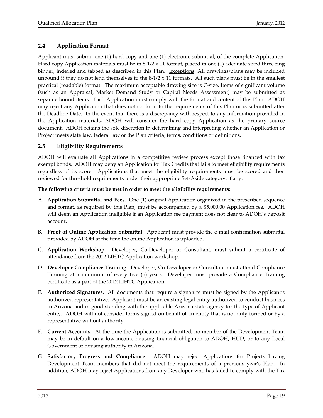#### **2.4 Application Format**

Applicant must submit one (1) hard copy and one (1) electronic submittal, of the complete Application. Hard copy Application materials must be in  $8-1/2 \times 11$  format, placed in one (1) adequate sized three ring binder, indexed and tabbed as described in this Plan. Exceptions: All drawings/plans may be included unbound if they do not lend themselves to the  $8-1/2 \times 11$  formats. All such plans must be in the smallest practical (readable) format. The maximum acceptable drawing size is C‐size. Items of significant volume (such as an Appraisal, Market Demand Study or Capital Needs Assessment) may be submitted as separate bound items. Each Application must comply with the format and content of this Plan. ADOH may reject any Application that does not conform to the requirements of this Plan or is submitted after the Deadline Date. In the event that there is a discrepancy with respect to any information provided in the Application materials, ADOH will consider the hard copy Application as the primary source document. ADOH retains the sole discretion in determining and interpreting whether an Application or Project meets state law, federal law or the Plan criteria, terms, conditions or definitions.

#### **2.5 Eligibility Requirements**

ADOH will evaluate all Applications in a competitive review process except those financed with tax exempt bonds. ADOH may deny an Application for Tax Credits that fails to meet eligibility requirements regardless of its score. Applications that meet the eligibility requirements must be scored and then reviewed for threshold requirements under their appropriate Set‐Aside category, if any.

#### **The following criteria must be met in order to meet the eligibility requirements:**

- A. **Application Submittal and Fees**. One (1) original Application organized in the prescribed sequence and format, as required by this Plan, must be accompanied by a \$5,000.00 Application fee. ADOH will deem an Application ineligible if an Application fee payment does not clear to ADOH's deposit account.
- B. **Proof of Online Application Submittal**. Applicant must provide the e‐mail confirmation submittal provided by ADOH at the time the online Application is uploaded.
- C. **Application Workshop**. Developer, Co‐Developer or Consultant, must submit a certificate of attendance from the 2012 LIHTC Application workshop.
- D. **Developer Compliance Training**. Developer, Co‐Developer or Consultant must attend Compliance Training at a minimum of every five (5) years. Developer must provide a Compliance Training certificate as a part of the 2012 LIHTC Application.
- E. **Authorized Signatures**. All documents that require a signature must be signed by the Applicant's authorized representative. Applicant must be an existing legal entity authorized to conduct business in Arizona and in good standing with the applicable Arizona state agency for the type of Applicant entity. ADOH will not consider forms signed on behalf of an entity that is not duly formed or by a representative without authority.
- F. **Current Accounts**. At the time the Application is submitted, no member of the Development Team may be in default on a low‐income housing financial obligation to ADOH, HUD, or to any Local Government or housing authority in Arizona.
- G. **Satisfactory Progress and Compliance**. ADOH may reject Applications for Projects having Development Team members that did not meet the requirements of a previous year's Plan. In addition, ADOH may reject Applications from any Developer who has failed to comply with the Tax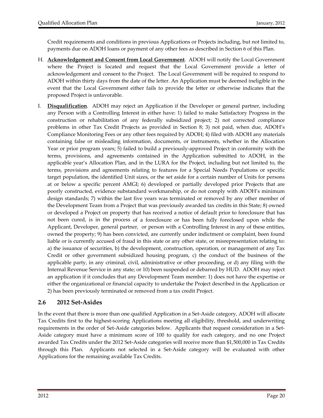Credit requirements and conditions in previous Applications or Projects including, but not limited to, payments due on ADOH loans or payment of any other fees as described in Section 6 of this Plan.

- H. **Acknowledgement and Consent from Local Government**. ADOH will notify the Local Government where the Project is located and request that the Local Government provide a letter of acknowledgement and consent to the Project. The Local Government will be required to respond to ADOH within thirty days from the date of the letter. An Application must be deemed ineligible in the event that the Local Government either fails to provide the letter or otherwise indicates that the proposed Project is unfavorable.
- I. **Disqualification**. ADOH may reject an Application if the Developer or general partner, including any Person with a Controlling Interest in either have: 1) failed to make Satisfactory Progress in the construction or rehabilitation of any federally subsidized project; 2) not corrected compliance problems in other Tax Credit Projects as provided in Section 8; 3) not paid, when due, ADOH's Compliance Monitoring Fees or any other fees required by ADOH; 4) filed with ADOH any materials containing false or misleading information, documents, or instruments, whether in the Allocation Year or prior program years; 5) failed to build a previously‐approved Project in conformity with the terms, provisions, and agreements contained in the Application submitted to ADOH, in the applicable year's Allocation Plan, and in the LURA for the Project, including but not limited to, the terms, provisions and agreements relating to features for a Special Needs Populations or specific target population, the identified Unit sizes, or the set aside for a certain number of Units for persons at or below a specific percent AMGI; 6) developed or partially developed prior Projects that are poorly constructed, evidence substandard workmanship, or do not comply with ADOH's minimum design standards; 7) within the last five years was terminated or removed by any other member of the Development Team from a Project that was previously awarded tax credits in this State; 8) owned or developed a Project on property that has received a notice of default prior to foreclosure that has not been cured, is in the process of a foreclosure or has been fully foreclosed upon while the Applicant, Developer, general partner, or person with a Controlling Interest in any of these entities, owned the property; 9) has been convicted, are currently under indictment or complaint, been found liable or is currently accused of fraud in this state or any other state, or misrepresentation relating to: a) the issuance of securities, b) the development, construction, operation, or management of any Tax Credit or other government subsidized housing program, c) the conduct of the business of the applicable party, in any criminal, civil, administrative or other proceeding, or d) any filing with the Internal Revenue Service in any state; or 10) been suspended or debarred by HUD. ADOH may reject an application if it concludes that any Development Team member: 1) does not have the expertise or either the organizational or financial capacity to undertake the Project described in the Application or 2) has been previously terminated or removed from a tax credit Project.

#### **2.6 2012 Set‐Asides**

In the event that there is more than one qualified Application in a Set‐Aside category, ADOH will allocate Tax Credits first to the highest‐scoring Applications meeting all eligibility, threshold, and underwriting requirements in the order of Set-Aside categories below. Applicants that request consideration in a Set-Aside category must have a minimum score of 100 to qualify for each category, and no one Project awarded Tax Credits under the 2012 Set‐Aside categories will receive more than \$1,500,000 in Tax Credits through this Plan. Applicants not selected in a Set‐Aside category will be evaluated with other Applications for the remaining available Tax Credits.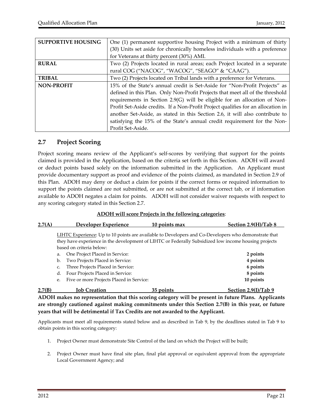| <b>SUPPORTIVE HOUSING</b> | One (1) permanent supportive housing Project with a minimum of thirty            |
|---------------------------|----------------------------------------------------------------------------------|
|                           | (30) Units set aside for chronically homeless individuals with a preference      |
|                           | for Veterans at thirty percent (30%) AMI.                                        |
| <b>RURAL</b>              | Two (2) Projects located in rural areas; each Project located in a separate      |
|                           | rural COG ("NACOG", "WACOG", "SEAGO" & "CAAG").                                  |
| <b>TRIBAL</b>             | Two (2) Projects located on Tribal lands with a preference for Veterans.         |
| <b>NON-PROFIT</b>         | 15% of the State's annual credit is Set-Aside for "Non-Profit Projects" as       |
|                           | defined in this Plan. Only Non-Profit Projects that meet all of the threshold    |
|                           | requirements in Section 2.9(G) will be eligible for an allocation of Non-        |
|                           | Profit Set-Aside credits. If a Non-Profit Project qualifies for an allocation in |
|                           | another Set-Aside, as stated in this Section 2.6, it will also contribute to     |
|                           | satisfying the 15% of the State's annual credit requirement for the Non-         |
|                           | Profit Set-Aside.                                                                |

#### **2.7 Project Scoring**

Project scoring means review of the Applicant's self-scores by verifying that support for the points claimed is provided in the Application, based on the criteria set forth in this Section. ADOH will award or deduct points based solely on the information submitted in the Application. An Applicant must provide documentary support as proof and evidence of the points claimed, as mandated in Section 2.9 of this Plan. ADOH may deny or deduct a claim for points if the correct forms or required information to support the points claimed are not submitted, or are not submitted at the correct tab, or if information available to ADOH negates a claim for points. ADOH will not consider waiver requests with respect to any scoring category stated in this Section 2.7.

#### **ADOH will score Projects in the following categories**:

| 2.7(A) | Developer Experience                                                                                  | 10 points max | Section 2.9(H)/Tab $8$ |
|--------|-------------------------------------------------------------------------------------------------------|---------------|------------------------|
|        | I IHTC Experience: Un to 10 points are available to Developers and Co-Developers who demonstrate that |               |                        |

ence: Up to 10 points are available to Developers and Co-Developers who demonstrate that they have experience in the development of LIHTC or Federally Subsidized low income housing projects based on criteria below:

| a. One Project Placed in Service:           | 2 points  |
|---------------------------------------------|-----------|
| b. Two Projects Placed in Service:          | 4 points  |
| c. Three Projects Placed in Service:        | 6 points  |
| d. Four Projects Placed in Service:         | 8 points  |
| e. Five or more Projects Placed in Service: | 10 points |
|                                             |           |

**2.7(B) Job Creation 35 points Section 2.9(I)/Tab 9 ADOH makes no representation that this scoring category will be present in future Plans. Applicants are strongly cautioned against making commitments under this Section 2.7(B) in this year, or future years that will be detrimental if Tax Credits are not awarded to the Applicant.**

Applicants must meet all requirements stated below and as described in Tab 9, by the deadlines stated in Tab 9 to obtain points in this scoring category:

- 1. Project Owner must demonstrate Site Control of the land on which the Project will be built;
- 2. Project Owner must have final site plan, final plat approval or equivalent approval from the appropriate Local Government Agency; and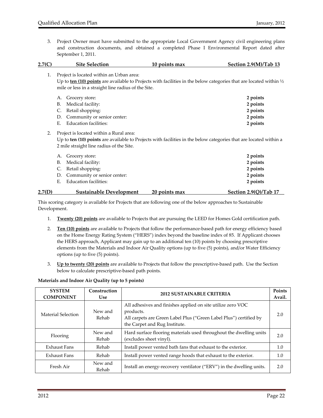3. Project Owner must have submitted to the appropriate Local Government Agency civil engineering plans and construction documents, and obtained a completed Phase I Environmental Report dated after September 1, 2011.

| 2.7(C) | <b>Site Selection</b>                               | 10 points max                                                                                                                 | Section 2.9(M)/Tab 13 |
|--------|-----------------------------------------------------|-------------------------------------------------------------------------------------------------------------------------------|-----------------------|
| 1.     | Project is located within an Urban area:            |                                                                                                                               |                       |
|        |                                                     | Up to ten (10) points are available to Projects with facilities in the below categories that are located within $\frac{1}{2}$ |                       |
|        | mile or less in a straight line radius of the Site. |                                                                                                                               |                       |
|        | Grocery store:<br>А.                                |                                                                                                                               | 2 points              |
|        | Medical facility:<br>В.                             |                                                                                                                               | 2 points              |
|        | Retail shopping:<br>C.                              |                                                                                                                               | 2 points              |
|        | Community or senior center:<br>D.                   |                                                                                                                               | 2 points              |
|        | <b>Education facilities:</b><br>Ε.                  |                                                                                                                               | 2 points              |
| 2.     | Project is located within a Rural area:             |                                                                                                                               |                       |
|        |                                                     | Up to ten (10) points are available to Projects with facilities in the below categories that are located within a             |                       |
|        | 2 mile straight line radius of the Site.            |                                                                                                                               |                       |
|        | Grocery store:<br>А.                                |                                                                                                                               | 2 points              |
|        | Medical facility:<br>В.                             |                                                                                                                               | 2 points              |
|        | Retail shopping:<br>C.                              |                                                                                                                               | 2 points              |
|        | Community or senior center:<br>D.                   |                                                                                                                               | 2 points              |

#### E. Education facilities: **2 points 2.7(D) Sustainable Development 20 points max Section 2.9(Q)/Tab 17\_\_**

This scoring category is available for Projects that are following one of the below approaches to Sustainable Development.

- 1. **Twenty (20) points** are available to Projects that are pursuing the LEED for Homes Gold certification path.
- 2. **Ten (10) points** are available to Projects that follow the performance‐based path for energy efficiency based on the Home Energy Rating System ("HERS") index beyond the baseline index of 85. If Applicant chooses the HERS approach, Applicant may gain up to an additional ten (10) points by choosing prescriptive elements from the Materials and Indoor Air Quality options (up to five (5) points), and/or Water Efficiency options (up to five (5) points).
- 3. **Up to twenty (20) points** are available to Projects that follow the prescriptive‐based path. Use the Section below to calculate prescriptive‐based path points.

#### **Materials and Indoor Air Quality (up to 5 points)**

| <b>SYSTEM</b><br><b>COMPONENT</b> | Construction<br><b>Use</b> | <b>2012 SUSTAINABLE CRITERIA</b>                                                                                                                                                | Points<br>Avail. |
|-----------------------------------|----------------------------|---------------------------------------------------------------------------------------------------------------------------------------------------------------------------------|------------------|
| Material Selection                | New and<br>Rehab           | All adhesives and finishes applied on site utilize zero VOC<br>products.<br>All carpets are Green Label Plus ("Green Label Plus") certified by<br>the Carpet and Rug Institute. | 2.0              |
| Flooring                          | New and<br>Rehab           | Hard surface flooring materials used throughout the dwelling units<br>(excludes sheet vinyl).                                                                                   | 2.0              |
| Exhaust Fans                      | Rehab                      | Install power vented bath fans that exhaust to the exterior.                                                                                                                    | 1.0              |
| Exhaust Fans                      | Rehab                      | Install power vented range hoods that exhaust to the exterior.                                                                                                                  | 1.0              |
| Fresh Air                         | New and<br>Rehab           | Install an energy-recovery ventilator ("ERV") in the dwelling units.                                                                                                            | 2.0              |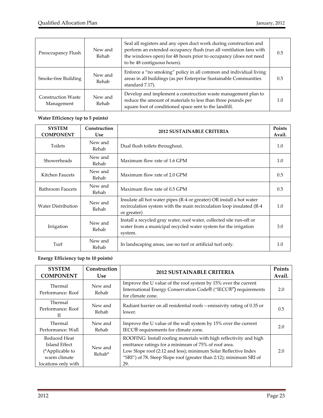| Preoccupancy Flush                      | New and<br>Rehab | Seal all registers and any open duct work during construction and<br>perform an extended occupancy flush (run all ventilation fans with<br>the windows open) for 48 hours prior to occupancy (does not need<br>to be 48 contiguous hours). | 0.5 |
|-----------------------------------------|------------------|--------------------------------------------------------------------------------------------------------------------------------------------------------------------------------------------------------------------------------------------|-----|
| Smoke-free Building                     | New and<br>Rehab | Enforce a "no smoking" policy in all common and individual living<br>areas in all buildings (as per Enterprise Sustainable Communities<br>standard 7.17).                                                                                  | 0.5 |
| <b>Construction Waste</b><br>Management | New and<br>Rehab | Develop and implement a construction waste management plan to<br>reduce the amount of materials to less than three pounds per<br>square foot of conditioned space sent to the landfill.                                                    | 1.0 |

#### **Water Efficiency (up to 5 points)**

| <b>SYSTEM</b><br><b>COMPONENT</b> | Construction<br><b>Use</b> | <b>2012 SUSTAINABLE CRITERIA</b>                                                                                                                             | Points<br>Avail. |
|-----------------------------------|----------------------------|--------------------------------------------------------------------------------------------------------------------------------------------------------------|------------------|
| <b>Toilets</b>                    | New and<br>Rehab           | Dual flush toilets throughout.                                                                                                                               | 1.0              |
| Showerheads                       | New and<br>Rehab           | Maximum flow rate of 1.6 GPM                                                                                                                                 | 1.0              |
| Kitchen Faucets                   | New and<br>Rehab           | Maximum flow rate of 2.0 GPM                                                                                                                                 | 0.5              |
| <b>Bathroom Faucets</b>           | New and<br>Rehab           | Maximum flow rate of 0.5 GPM                                                                                                                                 | 0.5              |
| <b>Water Distribution</b>         | New and<br>Rehab           | Insulate all hot water pipes (R-4 or greater) OR install a hot water<br>recirculation system with the main recirculation loop insulated (R-4)<br>or greater) | 1.0              |
| Irrigation                        | New and<br>Rehab           | Install a recycled gray water, roof water, collected site run-off or<br>water from a municipal recycled water system for the irrigation<br>system.           | 3.0              |
| Turf                              | New and<br>Rehab           | In landscaping areas, use no turf or artificial turf only.                                                                                                   | 1.0              |

#### **Energy Efficiency (up to 10 points)**

| <b>SYSTEM</b><br><b>COMPONENT</b>                                                       | Construction<br><b>Use</b> | <b>2012 SUSTAINABLE CRITERIA</b>                                                                                                                                                                                                                                          | Points<br>Avail. |
|-----------------------------------------------------------------------------------------|----------------------------|---------------------------------------------------------------------------------------------------------------------------------------------------------------------------------------------------------------------------------------------------------------------------|------------------|
| Thermal<br>Performance: Roof                                                            | New and<br>Rehab           | Improve the U value of the roof system by 15% over the current<br>International Energy Conservation Code® ("IECC®") requirements<br>for climate zone.                                                                                                                     | 2.0              |
| Thermal<br>Performance: Roof<br>П                                                       | New and<br>Rehab           | Radiant barrier on all residential roofs – emissivity rating of 0.35 or<br>lower.                                                                                                                                                                                         | 0.5              |
| Thermal<br>Performance: Wall                                                            | New and<br>Rehab           | Improve the U value of the wall system by 15% over the current<br>IECC® requirements for climate zone.                                                                                                                                                                    | 2.0              |
| Reduced Heat<br>Island Effect<br>(*Applicable to<br>warm climate<br>locations only with | New and<br>Rehab*          | ROOFING: Install roofing materials with high reflectivity and high<br>emittance ratings for a minimum of 75% of roof area.<br>Low Slope roof (2:12 and less); minimum Solar Reflective Index<br>"SRI") of 78. Steep Slope roof (greater than 2:12); minimum SRI of<br>29. | 2.0              |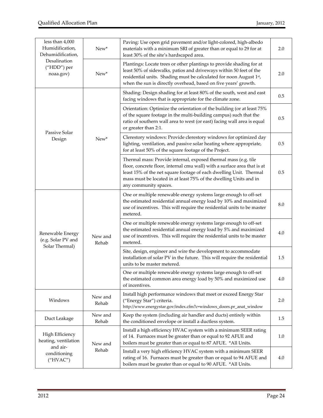| less than 4,000<br>Humidification,<br>Dehumidification,  | New*             | Paving: Use open grid pavement and/or light-colored, high-albedo<br>materials with a minimum SRI of greater than or equal to 29 for at<br>least 30% of the site's hardscaped area.                                                                                                                              | 2.0 |
|----------------------------------------------------------|------------------|-----------------------------------------------------------------------------------------------------------------------------------------------------------------------------------------------------------------------------------------------------------------------------------------------------------------|-----|
| Desalination<br>("HDD") per<br>noaa.gov)                 | $New*$           | Plantings: Locate trees or other plantings to provide shading for at<br>least 50% of sidewalks, patios and driveways within 50 feet of the<br>residential units. Shading must be calculated for noon August 1st,<br>when the sun is directly overhead, based on five years' growth.                             | 2.0 |
|                                                          |                  | Shading: Design shading for at least 80% of the south, west and east<br>facing windows that is appropriate for the climate zone.                                                                                                                                                                                | 0.5 |
| Passive Solar                                            |                  | Orientation: Optimize the orientation of the building (or at least 75%<br>of the square footage in the multi-building campus) such that the<br>ratio of southern wall area to west (or east) facing wall area is equal<br>or greater than 2:1.                                                                  | 0.5 |
| Design                                                   | New*             | Clerestory windows: Provide clerestory windows for optimized day<br>lighting, ventilation, and passive solar heating where appropriate,<br>for at least 50% of the square footage of the Project.                                                                                                               | 0.5 |
|                                                          |                  | Thermal mass: Provide internal, exposed thermal mass (e.g. tile<br>floor, concrete floor, internal cmu wall) with a surface area that is at<br>least 15% of the net square footage of each dwelling Unit. Thermal<br>mass must be located in at least 75% of the dwelling Units and in<br>any community spaces. | 0.5 |
|                                                          | New and<br>Rehab | One or multiple renewable energy systems large enough to off-set<br>the estimated residential annual energy load by 10% and maximized<br>use of incentives. This will require the residential units to be master<br>metered.                                                                                    | 8.0 |
| Renewable Energy<br>(e.g. Solar PV and<br>Solar Thermal) |                  | One or multiple renewable energy systems large enough to off-set<br>the estimated residential annual energy load by 5% and maximized<br>use of incentives. This will require the residential units to be master<br>metered.                                                                                     | 4.0 |
|                                                          |                  | Site, design, engineer and wire the development to accommodate<br>installation of solar PV in the future. This will require the residential<br>units to be master metered.                                                                                                                                      | 1.5 |
|                                                          |                  | One or multiple renewable energy systems large enough to off-set<br>the estimated common area energy load by 50% and maximized use<br>of incentives.                                                                                                                                                            | 4.0 |
| Windows                                                  | New and<br>Rehab | Install high performance windows that meet or exceed Energy Star<br>("Energy Star") criteria.<br>http://www.energystar.gov/index.cfm?c=windows_doors.pr_anat_window                                                                                                                                             | 2.0 |
| Duct Leakage                                             | New and<br>Rehab | Keep the system (including air handler and ducts) entirely within<br>the conditioned envelope or install a ductless system.                                                                                                                                                                                     | 1.5 |
| High Efficiency<br>heating, ventilation                  | New and<br>Rehab | Install a high efficiency HVAC system with a minimum SEER rating<br>of 14. Furnaces must be greater than or equal to 92 AFUE and<br>boilers must be greater than or equal to 87 AFUE. *All Units.                                                                                                               | 1.0 |
| and air-<br>conditioning<br>("HVAC")                     |                  | Install a very high efficiency HVAC system with a minimum SEER<br>rating of 16. Furnaces must be greater than or equal to 94 AFUE and<br>boilers must be greater than or equal to 90 AFUE. *All Units.                                                                                                          | 4.0 |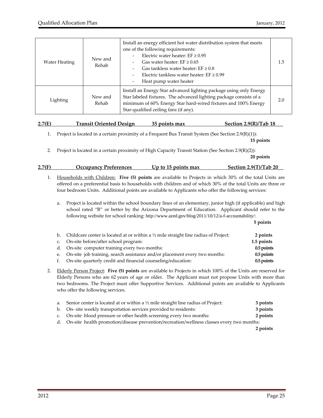| Water Heating | New and<br>Rehab | Install an energy efficient hot water distribution system that meets<br>one of the following requirements:<br>Electric water heater: $EF \geq 0.95$<br>Gas water heater: $EF \geq 0.65$<br>Gas tankless water heater: $EF \geq 0.8$<br>$\overline{\phantom{0}}$<br>Electric tankless water heater: $EF \geq 0.99$<br>Heat pump water heater<br>$\overline{a}$ | 1.5 |
|---------------|------------------|---------------------------------------------------------------------------------------------------------------------------------------------------------------------------------------------------------------------------------------------------------------------------------------------------------------------------------------------------------------|-----|
| Lighting      | New and<br>Rehab | Install an Energy Star advanced lighting package using only Energy<br>Star labeled fixtures. The advanced lighting package consists of a<br>minimum of 60% Energy Star hard-wired fixtures and 100% Energy<br>Star-qualified ceiling fans (if any).                                                                                                           | 2.0 |

| 2.7(E) | <b>Transit Oriented Design</b> | 35 points max | Section 2.9 $(R)/T$ ab 18 |
|--------|--------------------------------|---------------|---------------------------|
|        |                                |               |                           |

1. Project is located in a certain proximity of a Frequent Bus Transit System (See Section 2.9(R)(1)):

 **15 points**

2. Project is located in a certain proximity of High Capacity Transit Station (See Section 2.9(R)(2)):

| 2.7(F) | <b>Occupancy Preferences</b> | Up to 15 points max | <b>Section 2.9(T)/Tab 20</b> |
|--------|------------------------------|---------------------|------------------------------|
|        |                              |                     |                              |

**20 points**

- 1. Households with Children: **Five (5) points** are available to Projects in which 30% of the total Units are offered on a preferential basis to households with children and of which 30% of the total Units are three or four bedroom Units. Additional points are available to Applicants who offer the following services:
	- a. Project is located within the school boundary lines of an elementary, junior high (if applicable) and high school rated "B" or better by the Arizona Department of Education. Applicant should refer to the following website for school ranking: http://www.azed.gov/blog/2011/10/12/a-f-accountability/:

|    |                                                                                                   | 5 points     |
|----|---------------------------------------------------------------------------------------------------|--------------|
|    | b. Childcare center is located at or within a $\frac{1}{2}$ mile straight line radius of Project: | 2 points     |
|    | c. On-site before/after school program:                                                           | 1.5 points   |
|    | d. On-site computer training every two months:                                                    | 0.5 points   |
|    | e. On-site job training, search assistance and/or placement every two months:                     | $0.5$ points |
| f. | On-site quarterly credit and financial counseling/education:                                      | 0.5 points   |

2. Elderly Person Project: **Five (5) points** are available to Projects in which 100% of the Units are reserved for Elderly Persons who are 62 years of age or older. The Applicant must not propose Units with more than two bedrooms. The Project must offer Supportive Services. Additional points are available to Applicants who offer the following services.

| a. Senior center is located at or within a $\frac{1}{2}$ mile straight line radius of Project: | 3 points |
|------------------------------------------------------------------------------------------------|----------|
| b. On-site weekly transportation services provided to residents:                               | 3 points |
| c. On-site blood pressure or other health screening every two months:                          | 2 points |
| d. On-site health promotion/disease prevention/recreation/wellness classes every two months:   |          |

**2 points**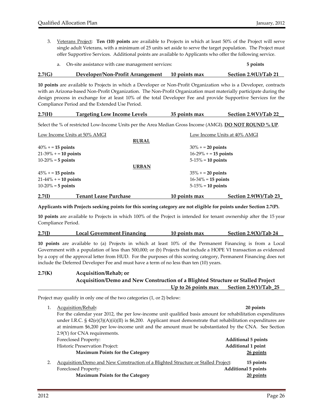3. Veterans Project: **Ten (10) points** are available to Projects in which at least 50% of the Project will serve single adult Veterans, with a minimum of 25 units set aside to serve the target population. The Project must offer Supportive Services. Additional points are available to Applicants who offer the following service.

| a. On-site assistance with case management services: | 5 points |
|------------------------------------------------------|----------|
|                                                      |          |

#### **2.7(G) Developer/Non‐Profit Arrangement 10 points max Section 2.9(U)/Tab 21\_\_**

**10 points** are available to Projects in which a Developer or Non‐Profit Organization who is a Developer, contracts with an Arizona-based Non-Profit Organization. The Non-Profit Organization must materially participate during the design process in exchange for at least 10% of the total Developer Fee and provide Supportive Services for the Compliance Period and the Extended Use Period.

| 2.7(H)                       | <b>Targeting Low Income Levels</b>                                                                             | 35 points max           | Section $2.9(V)/Tab$ 22      |  |  |
|------------------------------|----------------------------------------------------------------------------------------------------------------|-------------------------|------------------------------|--|--|
|                              | Select the % of restricted Low-Income Units per the Area Median Gross Income (AMGI). <b>DO NOT ROUND % UP.</b> |                         |                              |  |  |
| Low Income Units at 50% AMGI |                                                                                                                |                         | Low Income Units at 40% AMGI |  |  |
|                              | <b>RURAL</b>                                                                                                   |                         |                              |  |  |
| $40\% + 15$ points           |                                                                                                                | $30\% + 20$ points      |                              |  |  |
| $21-39\% + 10$ points        |                                                                                                                | $16-29\% + 15$ points   |                              |  |  |
| $10-20% = 5$ points          |                                                                                                                | $5-15\% = 10$ points    |                              |  |  |
|                              | <b>URBAN</b>                                                                                                   |                         |                              |  |  |
| $45\% + 15$ points           |                                                                                                                | $35\% + 20$ points      |                              |  |  |
| $21-44\% + 10$ points        |                                                                                                                | $16 - 34\% = 15$ points |                              |  |  |

**2.7(I) Tenant Lease Purchase 10 points max Section 2.9(W)/Tab 23\_** Applicants with Projects seeking points for this scoring category are not eligible for points under Section 2.7(P).

10‐20% = **5 points**  5‐15% = **10 points**

**10 points** are available to Projects in which 100% of the Project is intended for tenant ownership after the 15 year Compliance Period.

| 2.7(I) | Local Government Financing | 10 points max | Section $2.9(X)/Tab$ 24 |
|--------|----------------------------|---------------|-------------------------|
|        |                            |               |                         |

**10 points** are available to (a) Projects in which at least 10% of the Permanent Financing is from a Local Government with a population of less than 500,000; or (b) Projects that include a HOPE VI transaction as evidenced by a copy of the approval letter from HUD. For the purposes of this scoring category, Permanent Financing does not include the Deferred Developer Fee and must have a term of no less than ten (10) years.

#### **2.7(K) Acquisition/Rehab; or Acquisition/Demo and New Construction of a Blighted Structure or Stalled Project**   $Up$  **to** 26 points max Section 2.9(Y)/Tab 25

Project may qualify in only one of the two categories (1, or 2) below:

1. Acquisition/Rehab: **20 points** For the calendar year 2012, the per low-income unit qualified basis amount for rehabilitation expenditures under I.R.C.  $\S$  42(e)(3)(A)(ii)(II) is \$6,200. Applicant must demonstrate that rehabilitation expenditures are at minimum \$6,200 per low‐income unit and the amount must be substantiated by the CNA. See Section 2.9(Y) for CNA requirements. Foreclosed Property: **Additional 5 points** Historic Preservation Project: **Additional 1 point Maximum Points for the Category 26 points** 2. Acquisition/Demo and New Construction of a Blighted Structure or Stalled Project: **15 points** Foreclosed Property: **Additional 5 points Maximum Points for the Category 20 points**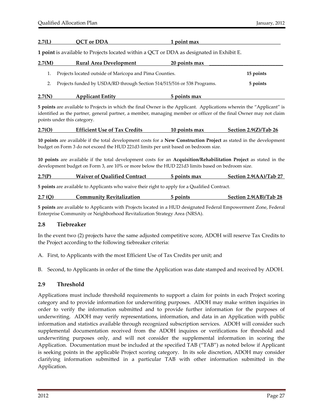#### **2.7(L) QCT or DDA 1 point max\_\_\_\_\_\_\_\_\_\_\_\_\_\_\_\_\_\_\_\_\_\_\_\_\_\_\_\_\_\_\_**

**1 point** is available to Projects located within a QCT or DDA as designated in Exhibit E.

| 2.7(M) | <b>Rural Area Development</b>                                           | 20 points max |           |
|--------|-------------------------------------------------------------------------|---------------|-----------|
|        | Projects located outside of Maricopa and Pima Counties.                 |               | 15 points |
|        | Projects funded by USDA/RD through Section 514/515/516 or 538 Programs. |               | 5 points  |
| 2.7(N) | <b>Applicant Entity</b>                                                 | 5 points max  |           |

**5 points** are available to Projects in which the final Owner is the Applicant. Applications wherein the "Applicant" is identified as the partner, general partner, a member, managing member or officer of the final Owner may not claim points under this category.

| 2.7(O) | <b>Efficient Use of Tax Credits</b> | 10 points max | Section $2.9(Z)/Tab$ 26 |
|--------|-------------------------------------|---------------|-------------------------|
|        |                                     |               |                         |

**10 points** are available if the total development costs for a **New Construction Project** as stated in the development budget on Form 3 do not exceed the HUD 221d3 limits per unit based on bedroom size.

**10 points** are available if the total development costs for an **Acquisition/Rehabilitation Project** as stated in the development budget on Form 3, are 10% or more below the HUD 221d3 limits based on bedroom size.

| 2.7(P) | <b>Waiver of Oualified Contract</b> | 5 points max | Section 2.9(AA)/Tab 27 |
|--------|-------------------------------------|--------------|------------------------|
|        |                                     |              |                        |

**5 points** are available to Applicants who waive their right to apply for a Qualified Contract.

| 2.7(0) | Community Revitalization | points | Section 2.9(AB)/Tab 28 |
|--------|--------------------------|--------|------------------------|
|        |                          |        |                        |

**5 points** are available to Applicants with Projects located in a HUD designated Federal Empowerment Zone, Federal Enterprise Community or Neighborhood Revitalization Strategy Area (NRSA).

#### **2.8 Tiebreaker**

In the event two (2) projects have the same adjusted competitive score, ADOH will reserve Tax Credits to the Project according to the following tiebreaker criteria:

A. First, to Applicants with the most Efficient Use of Tax Credits per unit; and

B. Second, to Applicants in order of the time the Application was date stamped and received by ADOH.

#### **2.9 Threshold**

Applications must include threshold requirements to support a claim for points in each Project scoring category and to provide information for underwriting purposes. ADOH may make written inquiries in order to verify the information submitted and to provide further information for the purposes of underwriting. ADOH may verify representations, information, and data in an Application with public information and statistics available through recognized subscription services. ADOH will consider such supplemental documentation received from the ADOH inquires or verifications for threshold and underwriting purposes only, and will not consider the supplemental information in scoring the Application. Documentation must be included at the specified TAB ("TAB") as noted below if Applicant is seeking points in the applicable Project scoring category. In its sole discretion, ADOH may consider clarifying information submitted in a particular TAB with other information submitted in the Application.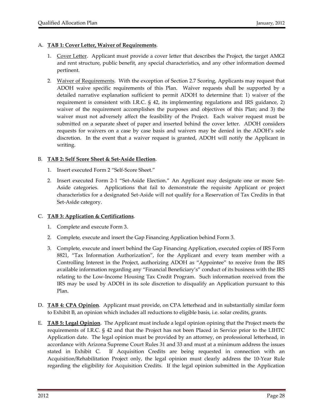#### A. **TAB 1: Cover Letter, Waiver of Requirements**.

- 1. Cover Letter. Applicant must provide a cover letter that describes the Project, the target AMGI and rent structure, public benefit, any special characteristics, and any other information deemed pertinent.
- 2. Waiver of Requirements. With the exception of Section 2.7 Scoring, Applicants may request that ADOH waive specific requirements of this Plan. Waiver requests shall be supported by a detailed narrative explanation sufficient to permit ADOH to determine that: 1) waiver of the requirement is consistent with I.R.C. § 42, its implementing regulations and IRS guidance, 2) waiver of the requirement accomplishes the purposes and objectives of this Plan; and 3) the waiver must not adversely affect the feasibility of the Project. Each waiver request must be submitted on a separate sheet of paper and inserted behind the cover letter. ADOH considers requests for waivers on a case by case basis and waivers may be denied in the ADOH's sole discretion. In the event that a waiver request is granted, ADOH will notify the Applicant in writing.

#### B. **TAB 2: Self Score Sheet & Set‐Aside Election**.

- 1. Insert executed Form 2 "Self‐Score Sheet."
- 2. Insert executed Form 2-1 "Set-Aside Election." An Applicant may designate one or more Set-Aside categories. Applications that fail to demonstrate the requisite Applicant or project characteristics for a designated Set‐Aside will not qualify for a Reservation of Tax Credits in that Set‐Aside category.

#### C. **TAB 3: Application & Certifications**.

- 1. Complete and execute Form 3.
- 2. Complete, execute and insert the Gap Financing Application behind Form 3.
- 3. Complete, execute and insert behind the Gap Financing Application, executed copies of IRS Form 8821, "Tax Information Authorization", for the Applicant and every team member with a Controlling Interest in the Project, authorizing ADOH as "Appointee" to receive from the IRS available information regarding any "Financial Beneficiary's" conduct of its business with the IRS relating to the Low‐Income Housing Tax Credit Program. Such information received from the IRS may be used by ADOH in its sole discretion to disqualify an Application pursuant to this Plan.
- D. **TAB 4: CPA Opinion**. Applicant must provide, on CPA letterhead and in substantially similar form to Exhibit B, an opinion which includes all reductions to eligible basis, i.e. solar credits, grants.
- E. **TAB 5: Legal Opinion**. The Applicant must include a legal opinion opining that the Project meets the requirements of I.R.C. § 42 and that the Project has not been Placed in Service prior to the LIHTC Application date. The legal opinion must be provided by an attorney, on professional letterhead, in accordance with Arizona Supreme Court Rules 31 and 33 and must at a minimum address the issues stated in Exhibit C. If Acquisition Credits are being requested in connection with an Acquisition/Rehabilitation Project only, the legal opinion must clearly address the 10‐Year Rule regarding the eligibility for Acquisition Credits. If the legal opinion submitted in the Application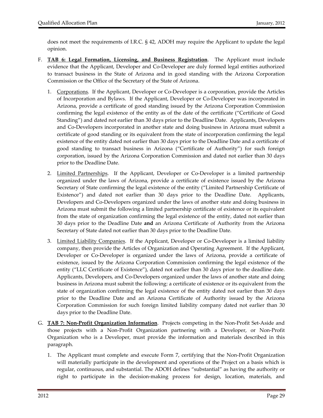does not meet the requirements of I.R.C. § 42, ADOH may require the Applicant to update the legal opinion.

- F. **TAB 6: Legal Formation, Licensing, and Business Registration**. The Applicant must include evidence that the Applicant, Developer and Co‐Developer are duly formed legal entities authorized to transact business in the State of Arizona and in good standing with the Arizona Corporation Commission or the Office of the Secretary of the State of Arizona.
	- 1. Corporations. If the Applicant, Developer or Co-Developer is a corporation, provide the Articles of Incorporation and Bylaws. If the Applicant, Developer or Co‐Developer was incorporated in Arizona, provide a certificate of good standing issued by the Arizona Corporation Commission confirming the legal existence of the entity as of the date of the certificate ("Certificate of Good Standing") and dated not earlier than 30 days prior to the Deadline Date. Applicants, Developers and Co‐Developers incorporated in another state and doing business in Arizona must submit a certificate of good standing or its equivalent from the state of incorporation confirming the legal existence of the entity dated not earlier than 30 days prior to the Deadline Date and a certificate of good standing to transact business in Arizona ("Certificate of Authority") for such foreign corporation, issued by the Arizona Corporation Commission and dated not earlier than 30 days prior to the Deadline Date.
	- 2. Limited Partnerships. If the Applicant, Developer or Co-Developer is a limited partnership organized under the laws of Arizona, provide a certificate of existence issued by the Arizona Secretary of State confirming the legal existence of the entity ("Limited Partnership Certificate of Existence") and dated not earlier than 30 days prior to the Deadline Date. Applicants, Developers and Co‐Developers organized under the laws of another state and doing business in Arizona must submit the following a limited partnership certificate of existence or its equivalent from the state of organization confirming the legal existence of the entity, dated not earlier than 30 days prior to the Deadline Date **and** an Arizona Certificate of Authority from the Arizona Secretary of State dated not earlier than 30 days prior to the Deadline Date.
	- 3. Limited Liability Companies. If the Applicant, Developer or Co-Developer is a limited liability company, then provide the Articles of Organization and Operating Agreement. If the Applicant, Developer or Co‐Developer is organized under the laws of Arizona, provide a certificate of existence, issued by the Arizona Corporation Commission confirming the legal existence of the entity ("LLC Certificate of Existence"), dated not earlier than 30 days prior to the deadline date. Applicants, Developers, and Co‐Developers organized under the laws of another state and doing business in Arizona must submit the following: a certificate of existence or its equivalent from the state of organization confirming the legal existence of the entity dated not earlier than 30 days prior to the Deadline Date and an Arizona Certificate of Authority issued by the Arizona Corporation Commission for such foreign limited liability company dated not earlier than 30 days prior to the Deadline Date.
- G. **TAB 7: Non‐Profit Organization Information**. Projects competing in the Non‐Profit Set‐Aside and those projects with a Non‐Profit Organization partnering with a Developer, or Non‐Profit Organization who is a Developer, must provide the information and materials described in this paragraph.
	- 1. The Applicant must complete and execute Form 7, certifying that the Non‐Profit Organization will materially participate in the development and operations of the Project on a basis which is regular, continuous, and substantial. The ADOH defines "substantial" as having the authority or right to participate in the decision-making process for design, location, materials, and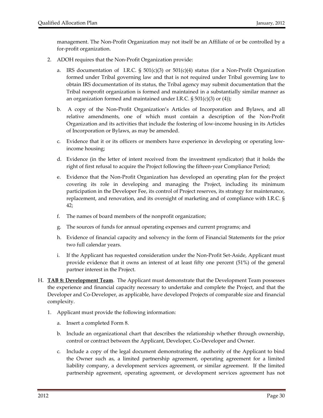management. The Non‐Profit Organization may not itself be an Affiliate of or be controlled by a for‐profit organization.

- 2. ADOH requires that the Non‐Profit Organization provide:
	- a. IRS documentation of I.R.C.  $\S$  501(c)(3) or 501(c)(4) status (for a Non-Profit Organization formed under Tribal governing law and that is not required under Tribal governing law to obtain IRS documentation of its status, the Tribal agency may submit documentation that the Tribal nonprofit organization is formed and maintained in a substantially similar manner as an organization formed and maintained under I.R.C.  $\S 501(c)(3)$  or (4));
	- b. A copy of the Non‐Profit Organization's Articles of Incorporation and Bylaws, and all relative amendments, one of which must contain a description of the Non‐Profit Organization and its activities that include the fostering of low‐income housing in its Articles of Incorporation or Bylaws, as may be amended.
	- c. Evidence that it or its officers or members have experience in developing or operating low‐ income housing;
	- d. Evidence (in the letter of intent received from the investment syndicator) that it holds the right of first refusal to acquire the Project following the fifteen-year Compliance Period;
	- e. Evidence that the Non‐Profit Organization has developed an operating plan for the project covering its role in developing and managing the Project, including its minimum participation in the Developer Fee, its control of Project reserves, its strategy for maintenance, replacement, and renovation, and its oversight of marketing and of compliance with I.R.C. § 42;
	- f. The names of board members of the nonprofit organization;
	- g. The sources of funds for annual operating expenses and current programs; and
	- h. Evidence of financial capacity and solvency in the form of Financial Statements for the prior two full calendar years.
	- i. If the Applicant has requested consideration under the Non‐Profit Set‐Aside, Applicant must provide evidence that it owns an interest of at least fifty one percent (51%) of the general partner interest in the Project.
- H. **TAB 8: Development Team**. The Applicant must demonstrate that the Development Team possesses the experience and financial capacity necessary to undertake and complete the Project, and that the Developer and Co‐Developer, as applicable, have developed Projects of comparable size and financial complexity.
	- 1. Applicant must provide the following information:
		- a. Insert a completed Form 8.
		- b. Include an organizational chart that describes the relationship whether through ownership, control or contract between the Applicant, Developer, Co‐Developer and Owner.
		- c. Include a copy of the legal document demonstrating the authority of the Applicant to bind the Owner such as, a limited partnership agreement, operating agreement for a limited liability company, a development services agreement, or similar agreement. If the limited partnership agreement, operating agreement, or development services agreement has not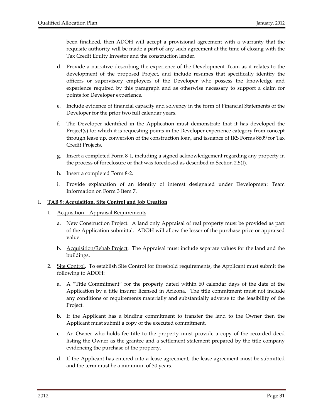been finalized, then ADOH will accept a provisional agreement with a warranty that the requisite authority will be made a part of any such agreement at the time of closing with the Tax Credit Equity Investor and the construction lender.

- d. Provide a narrative describing the experience of the Development Team as it relates to the development of the proposed Project, and include resumes that specifically identify the officers or supervisory employees of the Developer who possess the knowledge and experience required by this paragraph and as otherwise necessary to support a claim for points for Developer experience.
- e. Include evidence of financial capacity and solvency in the form of Financial Statements of the Developer for the prior two full calendar years.
- f. The Developer identified in the Application must demonstrate that it has developed the Project(s) for which it is requesting points in the Developer experience category from concept through lease up, conversion of the construction loan, and issuance of IRS Forms 8609 for Tax Credit Projects.
- g. Insert a completed Form 8‐1, including a signed acknowledgement regarding any property in the process of foreclosure or that was foreclosed as described in Section 2.5(I).
- h. Insert a completed Form 8‐2.
- i. Provide explanation of an identity of interest designated under Development Team Information on Form 3 Item 7.

#### I. **TAB 9: Acquisition, Site Control and Job Creation**

- 1. Acquisition Appraisal Requirements.
	- a. New Construction Project. A land only Appraisal of real property must be provided as part of the Application submittal. ADOH will allow the lesser of the purchase price or appraised value.
	- b. Acquisition/Rehab Project. The Appraisal must include separate values for the land and the buildings.
- 2. Site Control. To establish Site Control for threshold requirements, the Applicant must submit the following to ADOH:
	- a. A "Title Commitment" for the property dated within 60 calendar days of the date of the Application by a title insurer licensed in Arizona. The title commitment must not include any conditions or requirements materially and substantially adverse to the feasibility of the Project.
	- b. If the Applicant has a binding commitment to transfer the land to the Owner then the Applicant must submit a copy of the executed commitment.
	- c. An Owner who holds fee title to the property must provide a copy of the recorded deed listing the Owner as the grantee and a settlement statement prepared by the title company evidencing the purchase of the property.
	- d. If the Applicant has entered into a lease agreement, the lease agreement must be submitted and the term must be a minimum of 30 years.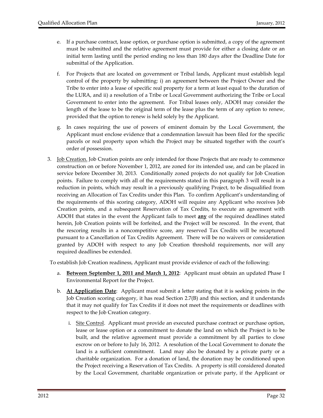- e. If a purchase contract, lease option, or purchase option is submitted, a copy of the agreement must be submitted and the relative agreement must provide for either a closing date or an initial term lasting until the period ending no less than 180 days after the Deadline Date for submittal of the Application.
- f. For Projects that are located on government or Tribal lands, Applicant must establish legal control of the property by submitting: i) an agreement between the Project Owner and the Tribe to enter into a lease of specific real property for a term at least equal to the duration of the LURA, and ii) a resolution of a Tribe or Local Government authorizing the Tribe or Local Government to enter into the agreement. For Tribal leases only, ADOH may consider the length of the lease to be the original term of the lease plus the term of any option to renew, provided that the option to renew is held solely by the Applicant.
- g. In cases requiring the use of powers of eminent domain by the Local Government, the Applicant must enclose evidence that a condemnation lawsuit has been filed for the specific parcels or real property upon which the Project may be situated together with the court's order of possession.
- 3. **Job Creation.** Job Creation points are only intended for those Projects that are ready to commence construction on or before November 1, 2012, are zoned for its intended use, and can be placed in service before December 30, 2013. Conditionally zoned projects do not qualify for Job Creation points. Failure to comply with all of the requirements stated in this paragraph 3 will result in a reduction in points, which may result in a previously qualifying Project, to be disqualified from receiving an Allocation of Tax Credits under this Plan. To confirm Applicant's understanding of the requirements of this scoring category, ADOH will require any Applicant who receives Job Creation points, and a subsequent Reservation of Tax Credits, to execute an agreement with ADOH that states in the event the Applicant fails to meet **any** of the required deadlines stated herein, Job Creation points will be forfeited, and the Project will be rescored. In the event, that the rescoring results in a noncompetitive score, any reserved Tax Credits will be recaptured pursuant to a Cancellation of Tax Credits Agreement. There will be no waivers or consideration granted by ADOH with respect to any Job Creation threshold requirements, nor will any required deadlines be extended.

To establish Job Creation readiness, Applicant must provide evidence of each of the following:

- a. **Between September 1, 2011 and March 1, 2012**: Applicant must obtain an updated Phase I Environmental Report for the Project.
- b. **At Application Date**: Applicant must submit a letter stating that it is seeking points in the Job Creation scoring category, it has read Section 2.7(B) and this section, and it understands that it may not qualify for Tax Credits if it does not meet the requirements or deadlines with respect to the Job Creation category.
	- i. Site Control. Applicant must provide an executed purchase contract or purchase option, lease or lease option or a commitment to donate the land on which the Project is to be built, and the relative agreement must provide a commitment by all parties to close escrow on or before to July 16, 2012. A resolution of the Local Government to donate the land is a sufficient commitment. Land may also be donated by a private party or a charitable organization. For a donation of land, the donation may be conditioned upon the Project receiving a Reservation of Tax Credits. A property is still considered donated by the Local Government, charitable organization or private party, if the Applicant or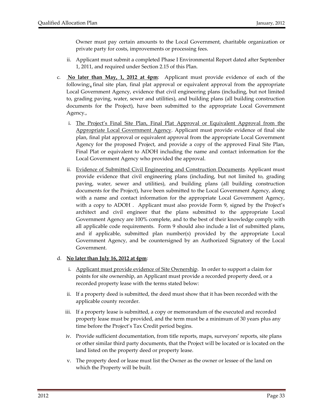Owner must pay certain amounts to the Local Government, charitable organization or private party for costs, improvements or processing fees.

- ii. Applicant must submit a completed Phase I Environmental Report dated after September 1, 2011, and required under Section 2.15 of this Plan.
- c. **No later than May, 1, 2012 at 4pm**: Applicant must provide evidence of each of the following:, final site plan, final plat approval or equivalent approval from the appropriate Local Government Agency, evidence that civil engineering plans (including, but not limited to, grading paving, water, sewer and utilities), and building plans (all building construction documents for the Project), have been submitted to the appropriate Local Government Agency.,
	- i. The Project's Final Site Plan, Final Plat Approval or Equivalent Approval from the Appropriate Local Government Agency. Applicant must provide evidence of final site plan, final plat approval or equivalent approval from the appropriate Local Government Agency for the proposed Project, and provide a copy of the approved Final Site Plan, Final Plat or equivalent to ADOH including the name and contact information for the Local Government Agency who provided the approval.
	- ii. Evidence of Submitted Civil Engineering and Construction Documents. Applicant must provide evidence that civil engineering plans (including, but not limited to, grading paving, water, sewer and utilities), and building plans (all building construction documents for the Project), have been submitted to the Local Government Agency, along with a name and contact information for the appropriate Local Government Agency, with a copy to ADOH . Applicant must also provide Form 9, signed by the Project's architect and civil engineer that the plans submitted to the appropriate Local Government Agency are 100% complete, and to the best of their knowledge comply with all applicable code requirements. Form 9 should also include a list of submitted plans, and if applicable, submitted plan number(s) provided by the appropriate Local Government Agency, and be countersigned by an Authorized Signatory of the Local Government.

#### d. **No later than July 16, 2012 at 4pm**:

- i. Applicant must provide evidence of Site Ownership. In order to support a claim for points for site ownership, an Applicant must provide a recorded property deed, or a recorded property lease with the terms stated below:
- ii. If a property deed is submitted, the deed must show that it has been recorded with the applicable county recorder.
- iii. If a property lease is submitted, a copy or memorandum of the executed and recorded property lease must be provided, and the term must be a minimum of 30 years plus any time before the Project's Tax Credit period begins.
- iv. Provide sufficient documentation, from title reports, maps, surveyors' reports, site plans or other similar third party documents, that the Project will be located or is located on the land listed on the property deed or property lease.
- v. The property deed or lease must list the Owner as the owner or lessee of the land on which the Property will be built.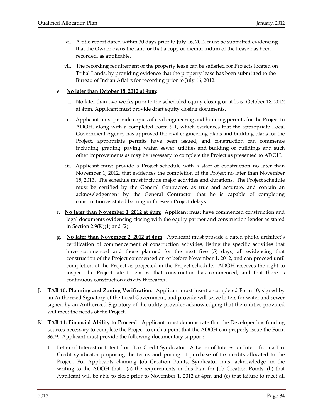- vi. A title report dated within 30 days prior to July 16, 2012 must be submitted evidencing that the Owner owns the land or that a copy or memorandum of the Lease has been recorded, as applicable.
- vii. The recording requirement of the property lease can be satisfied for Projects located on Tribal Lands, by providing evidence that the property lease has been submitted to the Bureau of Indian Affairs for recording prior to July 16, 2012.

#### e. **No later than October 18, 2012 at 4pm**:

- i. No later than two weeks prior to the scheduled equity closing or at least October 18, 2012 at 4pm, Applicant must provide draft equity closing documents.
- ii. Applicant must provide copies of civil engineering and building permits for the Project to ADOH, along with a completed Form 9‐1, which evidences that the appropriate Local Government Agency has approved the civil engineering plans and building plans for the Project, appropriate permits have been issued, and construction can commence including, grading, paving, water, sewer, utilities and building or buildings and such other improvements as may be necessary to complete the Project as presented to ADOH.
- iii. Applicant must provide a Project schedule with a start of construction no later than November 1, 2012, that evidences the completion of the Project no later than November 15, 2013. The schedule must include major activities and durations. The Project schedule must be certified by the General Contractor, as true and accurate, and contain an acknowledgement by the General Contractor that he is capable of completing construction as stated barring unforeseen Project delays.
- f**. No later than November 1, 2012 at 4pm:** Applicant must have commenced construction and legal documents evidencing closing with the equity partner and construction lender as stated in Section 2.9 $(K)(1)$  and  $(2)$ .
- g**. No later than November 2, 2012 at 4pm**: Applicant must provide a dated photo, architect's certification of commencement of construction activities, listing the specific activities that have commenced and those planned for the next five (5) days, all evidencing that construction of the Project commenced on or before November 1, 2012, and can proceed until completion of the Project as projected in the Project schedule. ADOH reserves the right to inspect the Project site to ensure that construction has commenced, and that there is continuous construction activity thereafter.
- J. **TAB 10: Planning and Zoning Verification**. Applicant must insert a completed Form 10, signed by an Authorized Signatory of the Local Government, and provide will‐serve letters for water and sewer signed by an Authorized Signatory of the utility provider acknowledging that the utilities provided will meet the needs of the Project.
- K. **TAB 11: Financial Ability to Proceed**. Applicant must demonstrate that the Developer has funding sources necessary to complete the Project to such a point that the ADOH can properly issue the Form 8609. Applicant must provide the following documentary support:
	- 1. Letter of Interest or Intent from Tax Credit Syndicator. A Letter of Interest or Intent from a Tax Credit syndicator proposing the terms and pricing of purchase of tax credits allocated to the Project. For Applicants claiming Job Creation Points, Syndicator must acknowledge, in the writing to the ADOH that, (a) the requirements in this Plan for Job Creation Points, (b) that Applicant will be able to close prior to November 1, 2012 at 4pm and (c) that failure to meet all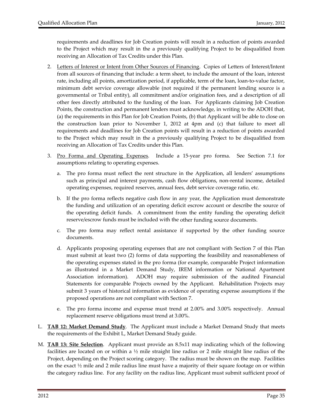requirements and deadlines for Job Creation points will result in a reduction of points awarded to the Project which may result in the a previously qualifying Project to be disqualified from receiving an Allocation of Tax Credits under this Plan.

- 2. Letters of Interest or Intent from Other Sources of Financing. Copies of Letters of Interest/Intent from all sources of financing that include: a term sheet, to include the amount of the loan, interest rate, including all points, amortization period, if applicable, term of the loan, loan-to-value factor, minimum debt service coverage allowable (not required if the permanent lending source is a governmental or Tribal entity), all commitment and/or origination fees, and a description of all other fees directly attributed to the funding of the loan. For Applicants claiming Job Creation Points, the construction and permanent lenders must acknowledge, in writing to the ADOH that, (a) the requirements in this Plan for Job Creation Points, (b) that Applicant will be able to close on the construction loan prior to November 1, 2012 at 4pm and (c) that failure to meet all requirements and deadlines for Job Creation points will result in a reduction of points awarded to the Project which may result in the a previously qualifying Project to be disqualified from receiving an Allocation of Tax Credits under this Plan.
- 3. Pro Forma and Operating Expenses. Include a 15-year pro forma. See Section 7.1 for assumptions relating to operating expenses.
	- a. The pro forma must reflect the rent structure in the Application, all lenders' assumptions such as principal and interest payments, cash flow obligations, non-rental income, detailed operating expenses, required reserves, annual fees, debt service coverage ratio, etc.
	- b. If the pro forma reflects negative cash flow in any year, the Application must demonstrate the funding and utilization of an operating deficit escrow account or describe the source of the operating deficit funds. A commitment from the entity funding the operating deficit reserve/escrow funds must be included with the other funding source documents.
	- c. The pro forma may reflect rental assistance if supported by the other funding source documents.
	- d. Applicants proposing operating expenses that are not compliant with Section 7 of this Plan must submit at least two (2) forms of data supporting the feasibility and reasonableness of the operating expenses stated in the pro forma (for example, comparable Project information as illustrated in a Market Demand Study, IREM information or National Apartment Association information). ADOH may require submission of the audited Financial Statements for comparable Projects owned by the Applicant. Rehabilitation Projects may submit 3 years of historical information as evidence of operating expense assumptions if the proposed operations are not compliant with Section 7.
	- e. The pro forma income and expense must trend at 2.00% and 3.00% respectively. Annual replacement reserve obligations must trend at 3.00%.
- L. **TAB 12: Market Demand Study**. The Applicant must include a Market Demand Study that meets the requirements of the Exhibit L, Market Demand Study guide.
- M. **TAB 13: Site Selection**. Applicant must provide an 8.5x11 map indicating which of the following facilities are located on or within a  $\frac{1}{2}$  mile straight line radius or 2 mile straight line radius of the Project, depending on the Project scoring category. The radius must be shown on the map. Facilities on the exact  $\frac{1}{2}$  mile and 2 mile radius line must have a majority of their square footage on or within the category radius line. For any facility on the radius line, Applicant must submit sufficient proof of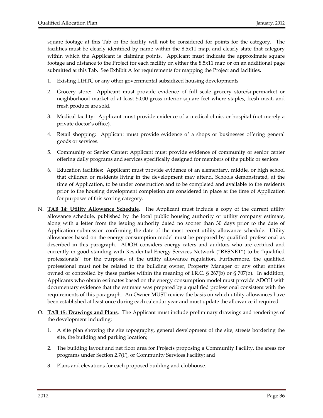square footage at this Tab or the facility will not be considered for points for the category. The facilities must be clearly identified by name within the 8.5x11 map, and clearly state that category within which the Applicant is claiming points. Applicant must indicate the approximate square footage and distance to the Project for each facility on either the 8.5x11 map or on an additional page submitted at this Tab. See Exhibit A for requirements for mapping the Project and facilities.

- 1. Existing LIHTC or any other governmental subsidized housing developments
- 2. Grocery store: Applicant must provide evidence of full scale grocery store/supermarket or neighborhood market of at least 5,000 gross interior square feet where staples, fresh meat, and fresh produce are sold.
- 3. Medical facility: Applicant must provide evidence of a medical clinic, or hospital (not merely a private doctor's office).
- 4. Retail shopping: Applicant must provide evidence of a shops or businesses offering general goods or services.
- 5. Community or Senior Center: Applicant must provide evidence of community or senior center offering daily programs and services specifically designed for members of the public or seniors.
- 6. Education facilities: Applicant must provide evidence of an elementary, middle, or high school that children or residents living in the development may attend. Schools demonstrated, at the time of Application, to be under construction and to be completed and available to the residents prior to the housing development completion are considered in place at the time of Application for purposes of this scoring category.
- N. **TAB 14: Utility Allowance Schedule**. The Applicant must include a copy of the current utility allowance schedule, published by the local public housing authority or utility company estimate, along with a letter from the issuing authority dated no sooner than 30 days prior to the date of Application submission confirming the date of the most recent utility allowance schedule. Utility allowances based on the energy consumption model must be prepared by qualified professional as described in this paragraph. ADOH considers energy raters and auditors who are certified and currently in good standing with Residential Energy Services Network ("RESNET") to be "qualified professionals" for the purposes of the utility allowance regulation. Furthermore, the qualified professional must not be related to the building owner, Property Manager or any other entities owned or controlled by these parties within the meaning of I.R.C. § 267(b) or § 707(b). In addition, Applicants who obtain estimates based on the energy consumption model must provide ADOH with documentary evidence that the estimate was prepared by a qualified professional consistent with the requirements of this paragraph. An Owner MUST review the basis on which utility allowances have been established at least once during each calendar year and must update the allowance if required.
- O. **TAB 15: Drawings and Plans**. The Applicant must include preliminary drawings and renderings of the development including:
	- 1. A site plan showing the site topography, general development of the site, streets bordering the site, the building and parking location;
	- 2. The building layout and net floor area for Projects proposing a Community Facility, the areas for programs under Section 2.7(F), or Community Services Facility; and
	- 3. Plans and elevations for each proposed building and clubhouse.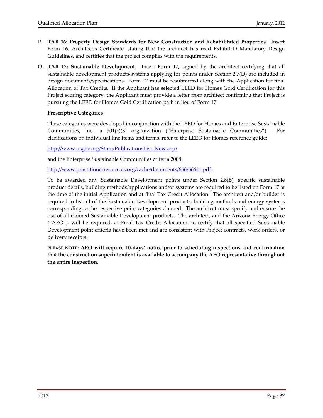- P. **TAB 16: Property Design Standards for New Construction and Rehabilitated Properties**. Insert Form 16, Architect's Certificate, stating that the architect has read Exhibit D Mandatory Design Guidelines, and certifies that the project complies with the requirements.
- Q. **TAB 17: Sustainable Development**. Insert Form 17, signed by the architect certifying that all sustainable development products/systems applying for points under Section 2.7(D) are included in design documents/specifications. Form 17 must be resubmitted along with the Application for final Allocation of Tax Credits. If the Applicant has selected LEED for Homes Gold Certification for this Project scoring category, the Applicant must provide a letter from architect confirming that Project is pursuing the LEED for Homes Gold Certification path in lieu of Form 17.

# **Prescriptive Categories**

These categories were developed in conjunction with the LEED for Homes and Enterprise Sustainable Communities, Inc., a  $501(c)(3)$  organization ("Enterprise Sustainable Communities"). For clarifications on individual line items and terms, refer to the LEED for Homes reference guide:

http://www.usgbc.org/Store/PublicationsList\_New.aspx

and the Enterprise Sustainable Communities criteria 2008:

http://www.practitionerresources.org/cache/documents/666/66641.pdf.

To be awarded any Sustainable Development points under Section 2.8(B), specific sustainable product details, building methods/applications and/or systems are required to be listed on Form 17 at the time of the initial Application and at final Tax Credit Allocation. The architect and/or builder is required to list all of the Sustainable Development products, building methods and energy systems corresponding to the respective point categories claimed. The architect must specify and ensure the use of all claimed Sustainable Development products. The architect, and the Arizona Energy Office ("AEO"), will be required, at Final Tax Credit Allocation, to certify that all specified Sustainable Development point criteria have been met and are consistent with Project contracts, work orders, or delivery receipts.

**PLEASE NOTE: AEO will require 10‐days' notice prior to scheduling inspections and confirmation that the construction superintendent is available to accompany the AEO representative throughout the entire inspection.**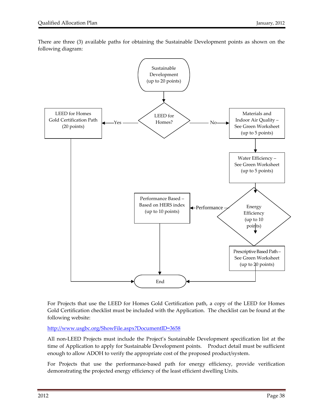

There are three (3) available paths for obtaining the Sustainable Development points as shown on the following diagram:

For Projects that use the LEED for Homes Gold Certification path, a copy of the LEED for Homes Gold Certification checklist must be included with the Application. The checklist can be found at the following website:

End

http://www.usgbc.org/ShowFile.aspx?DocumentID=3658

All non‐LEED Projects must include the Project's Sustainable Development specification list at the time of Application to apply for Sustainable Development points. Product detail must be sufficient enough to allow ADOH to verify the appropriate cost of the proposed product/system.

For Projects that use the performance-based path for energy efficiency, provide verification demonstrating the projected energy efficiency of the least efficient dwelling Units.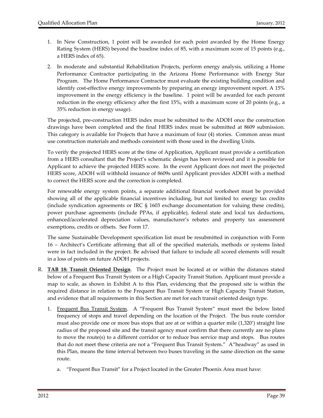- 1. In New Construction, 1 point will be awarded for each point awarded by the Home Energy Rating System (HERS) beyond the baseline index of 85, with a maximum score of 15 points (e.g., a HERS index of 65).
- 2. In moderate and substantial Rehabilitation Projects, perform energy analysis, utilizing a Home Performance Contractor participating in the Arizona Home Performance with Energy Star Program. The Home Performance Contractor must evaluate the existing building condition and identify cost‐effective energy improvements by preparing an energy improvement report. A 15% improvement in the energy efficiency is the baseline. 1 point will be awarded for each percent reduction in the energy efficiency after the first 15%, with a maximum score of 20 points (e.g., a 35% reduction in energy usage).

The projected, pre‐construction HERS index must be submitted to the ADOH once the construction drawings have been completed and the final HERS index must be submitted at 8609 submission. This category is available for Projects that have a maximum of four (4) stories. Common areas must use construction materials and methods consistent with those used in the dwelling Units.

To verify the projected HERS score at the time of Application, Applicant must provide a certification from a HERS consultant that the Project's schematic design has been reviewed and it is possible for Applicant to achieve the projected HERS score. In the event Applicant does not meet the projected HERS score, ADOH will withhold issuance of 8609s until Applicant provides ADOH with a method to correct the HERS score and the correction is completed.

For renewable energy system points, a separate additional financial worksheet must be provided showing all of the applicable financial incentives including, but not limited to: energy tax credits (include syndication agreements or IRC § 1603 exchange documentation for valuing these credits), power purchase agreements (include PPAs, if applicable), federal state and local tax deductions, enhanced/accelerated depreciation values, manufacturer's rebates and property tax assessment exemptions, credits or offsets. See Form 17.

The same Sustainable Development specification list must be resubmitted in conjunction with Form 16 – Architect's Certificate affirming that all of the specified materials, methods or systems listed were in fact included in the project. Be advised that failure to include all scored elements will result in a loss of points on future ADOH projects.

- R. **TAB 18: Transit Oriented Design**. The Project must be located at or within the distances stated below of a Frequent Bus Transit System or a High Capacity Transit Station. Applicant must provide a map to scale, as shown in Exhibit A to this Plan, evidencing that the proposed site is within the required distance in relation to the Frequent Bus Transit System or High Capacity Transit Station, and evidence that all requirements in this Section are met for each transit oriented design type.
	- 1. <u>Frequent Bus Transit System</u>. A "Frequent Bus Transit System" must meet the below listed frequency of stops and travel depending on the location of the Project. The bus route corridor must also provide one or more bus stops that are at or within a quarter mile (1,320') straight line radius of the proposed site and the transit agency must confirm that there currently are no plans to move the route(s) to a different corridor or to reduce bus service map and stops. Bus routes that do not meet these criteria are not a "Frequent Bus Transit System." A"headway" as used in this Plan, means the time interval between two buses traveling in the same direction on the same route.
		- a. "Frequent Bus Transit" for a Project located in the Greater Phoenix Area must have: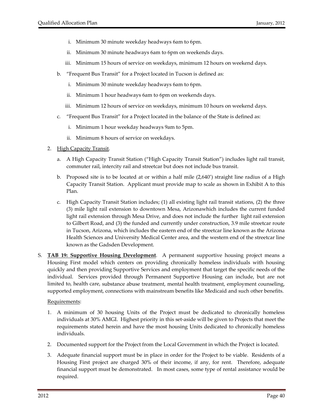- i. Minimum 30 minute weekday headways 6am to 6pm.
- ii. Minimum 30 minute headways 6am to 6pm on weekends days.
- iii. Minimum 15 hours of service on weekdays, minimum 12 hours on weekend days.
- b. "Frequent Bus Transit" for a Project located in Tucson is defined as:
	- i. Minimum 30 minute weekday headways 6am to 6pm.
	- ii. Minimum 1 hour headways 6am to 6pm on weekends days.
	- iii. Minimum 12 hours of service on weekdays, minimum 10 hours on weekend days.
- c. "Frequent Bus Transit" for a Project located in the balance of the State is defined as:
	- i. Minimum 1 hour weekday headways 9am to 5pm.
	- ii. Minimum 8 hours of service on weekdays.
- 2. High Capacity Transit.
	- a. A High Capacity Transit Station ("High Capacity Transit Station") includes light rail transit, commuter rail, intercity rail and streetcar but does not include bus transit.
	- b. Proposed site is to be located at or within a half mile (2,640') straight line radius of a High Capacity Transit Station. Applicant must provide map to scale as shown in Exhibit A to this Plan.
	- c. High Capacity Transit Station includes; (1) all existing light rail transit stations, (2) the three (3) mile light rail extension to downtown Mesa, Arizonawhich includes the current funded light rail extension through Mesa Drive, and does not include the further light rail extension to Gilbert Road, and (3) the funded and currently under construction, 3.9 mile streetcar route in Tucson, Arizona, which includes the eastern end of the streetcar line known as the Arizona Health Sciences and University Medical Center area, and the western end of the streetcar line known as the Gadsden Development.
- S. **TAB 19: Supportive Housing Development**. A permanent supportive housing project means a Housing First model which centers on providing chronically homeless individuals with housing quickly and then providing Supportive Services and employment that target the specific needs of the individual. Services provided through Permanent Supportive Housing can include, but are not limited to, health care, substance abuse treatment, mental health treatment, employment counseling, supported employment, connections with mainstream benefits like Medicaid and such other benefits.

#### Requirements:

- 1. A minimum of 30 housing Units of the Project must be dedicated to chronically homeless individuals at 30% AMGI. Highest priority in this set‐aside will be given to Projects that meet the requirements stated herein and have the most housing Units dedicated to chronically homeless individuals.
- 2. Documented support for the Project from the Local Government in which the Project is located.
- 3. Adequate financial support must be in place in order for the Project to be viable. Residents of a Housing First project are charged 30% of their income, if any, for rent. Therefore, adequate financial support must be demonstrated. In most cases, some type of rental assistance would be required.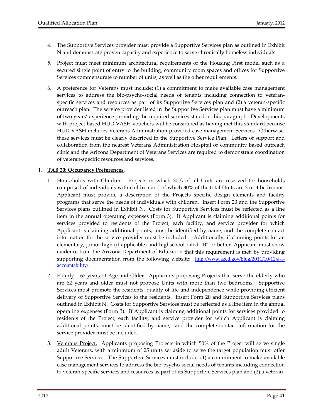- 4. The Supportive Services provider must provide a Supportive Services plan as outlined in Exhibit N and demonstrate proven capacity and experience to serve chronically homeless individuals.
- 5. Project must meet minimum architectural requirements of the Housing First model such as a secured single point of entry to the building, community room spaces and offices for Supportive Services commensurate to number of units, as well as the other requirements.
- 6. A preference for Veterans must include: (1) a commitment to make available case management services to address the bio-psycho-social needs of tenants including connection to veteranspecific services and resources as part of its Supportive Services plan and (2) a veteran‐specific outreach plan. The service provider listed in the Supportive Services plan must have a minimum of two years' experience providing the required services stated in this paragraph. Developments with project-based HUD VASH vouchers will be considered as having met this standard because HUD VASH includes Veterans Administration provided case management Services. Otherwise, these services must be clearly described in the Supportive Service Plan. Letters of support and collaboration from the nearest Veterans Administration Hospital or community based outreach clinic and the Arizona Department of Veterans Services are required to demonstrate coordination of veteran‐specific resources and services.

# T. **TAB 20: Occupancy Preferences**.

- 1. Households with Children. Projects in which 30% of all Units are reserved for households comprised of individuals with children and of which 30% of the total Units are 3 or 4 bedrooms. Applicant must provide a description of the Projects specific design elements and facility programs that serve the needs of individuals with children. Insert Form 20 and the Supportive Services plans outlined in Exhibit N. Costs for Supportive Services must be reflected as a line item in the annual operating expenses (Form 3). If Applicant is claiming additional points for services provided to residents of the Project, each facility, and service provider for which Applicant is claiming additional points, must be identified by name, and the complete contact information for the service provider must be included. Additionally, if claiming points for an elementary, junior high (if applicable) and highschool rated "B" or better, Applicant must show evidence from the Arizona Department of Education that this requirement is met, by providing supporting documentation from the following website: http://www.azed.gov/blog/2011/10/12/a-faccountability/.
- 2. Elderly 62 years of Age and Older. Applicants proposing Projects that serve the elderly who are 62 years and older must not propose Units with more than two bedrooms. Supportive Services must promote the residents' quality of life and independence while providing efficient delivery of Supportive Services to the residents. Insert Form 20 and Supportive Services plans outlined in Exhibit N. Costs for Supportive Services must be reflected as a line item in the annual operating expenses (Form 3). If Applicant is claiming additional points for services provided to residents of the Project, each facility, and service provider for which Applicant is claiming additional points, must be identified by name, and the complete contact information for the service provider must be included.
- 3. Veterans Project. Applicants proposing Projects in which 50% of the Project will serve single adult Veterans, with a minimum of 25 units set aside to serve the target population must offer Supportive Services. The Supportive Services must include: (1) a commitment to make available case management services to address the bio‐psycho‐social needs of tenants including connection to veteran‐specific services and resources as part of its Supportive Services plan and (2) a veteran‐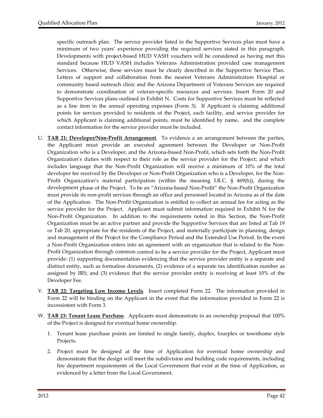specific outreach plan. The service provider listed in the Supportive Services plan must have a minimum of two years' experience providing the required services stated in this paragraph. Developments with project-based HUD VASH vouchers will be considered as having met this standard because HUD VASH includes Veterans Administration provided case management Services. Otherwise, these services must be clearly described in the Supportive Service Plan. Letters of support and collaboration from the nearest Veterans Administration Hospital or community based outreach clinic and the Arizona Department of Veterans Services are required to demonstrate coordination of veteran‐specific resources and services. Insert Form 20 and Supportive Services plans outlined in Exhibit N. Costs for Supportive Services must be reflected as a line item in the annual operating expenses (Form 3). If Applicant is claiming additional points for services provided to residents of the Project, each facility, and service provider for which Applicant is claiming additional points, must be identified by name, and the complete contact information for the service provider must be included.

- U. **TAB 21: Developer/Non‐Profit Arrangement**. To evidence a an arrangement between the parties, the Applicant must provide an executed agreement between the Developer or Non‐Profit Organization who is a Developer, and the Arizona‐based Non‐Profit, which sets forth the Non‐Profit Organization's duties with respect to their role as the service provider for the Project; and which includes language that the Non‐Profit Organization will receive a minimum of 10% of the total developer fee received by the Developer or Non‐Profit Organization who is a Developer, for the Non‐ Profit Organization's material participation (within the meaning I.R.C. § 469(h)), during the development phase of the Project. To be an "Arizona‐based Non-Profit" the Non‐Profit Organization must provide its non‐profit services through an office and personnel located in Arizona as of the date of the Application. The Non‐Profit Organization is entitled to collect an annual fee for acting as the service provider for the Project. Applicant must submit information required in Exhibit N for the Non‐Profit Organization. In addition to the requirements noted in this Section, the Non‐Profit Organization must be an active partner and provide the Supportive Services that are listed at Tab 19 or Tab 20, appropriate for the residents of the Project, and materially participate in planning, design and management of the Project for the Compliance Period and the Extended Use Period. In the event a Non‐Profit Organization enters into an agreement with an organization that is related to the Non‐ Profit Organization through common control to be a service provider for the Project, Applicant must provide: (1) supporting documentation evidencing that the service provider entity is a separate and distinct entity, such as formation documents, (2) evidence of a separate tax identification number as assigned by IRS; and (3) evidence that the service provider entity is receiving at least 10% of the Developer Fee.
- V. **TAB 22: Targeting Low Income Levels**. Insert completed Form 22. The information provided in Form 22 will be binding on the Applicant in the event that the information provided in Form 22 is inconsistent with Form 3.
- W. **TAB 23: Tenant Lease Purchase**. Applicants must demonstrate in an ownership proposal that 100% of the Project is designed for eventual home ownership.
	- 1. Tenant lease purchase points are limited to single family, duplex, fourplex or townhome style Projects.
	- 2. Project must be designed at the time of Application for eventual home ownership and demonstrate that the design will meet the subdivision and building code requirements, including fire department requirements of the Local Government that exist at the time of Application, as evidenced by a letter from the Local Government.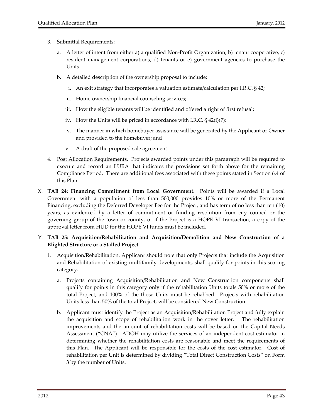#### 3. Submittal Requirements:

- a. A letter of intent from either a) a qualified Non‐Profit Organization, b) tenant cooperative, c) resident management corporations, d) tenants or e) government agencies to purchase the Units.
- b. A detailed description of the ownership proposal to include:
	- i. An exit strategy that incorporates a valuation estimate/calculation per I.R.C. § 42;
	- ii. Home-ownership financial counseling services;
	- iii. How the eligible tenants will be identified and offered a right of first refusal;
	- iv. How the Units will be priced in accordance with I.R.C. § 42(i)(7);
	- v. The manner in which homebuyer assistance will be generated by the Applicant or Owner and provided to the homebuyer; and
	- vi. A draft of the proposed sale agreement.
- 4. Post Allocation Requirements. Projects awarded points under this paragraph will be required to execute and record an LURA that indicates the provisions set forth above for the remaining Compliance Period. There are additional fees associated with these points stated in Section 6.4 of this Plan.
- X. **TAB 24: Financing Commitment from Local Government**. Points will be awarded if a Local Government with a population of less than 500,000 provides 10% or more of the Permanent Financing, excluding the Deferred Developer Fee for the Project, and has term of no less than ten (10) years, as evidenced by a letter of commitment or funding resolution from city council or the governing group of the town or county, or if the Project is a HOPE VI transaction, a copy of the approval letter from HUD for the HOPE VI funds must be included.

# Y. **TAB 25: Acquisition/Rehabilitation and Acquisition/Demolition and New Construction of a Blighted Structure or a Stalled Project**

- 1. Acquisition/Rehabilitation. Applicant should note that only Projects that include the Acquisition and Rehabilitation of existing multifamily developments, shall qualify for points in this scoring category.
	- a. Projects containing Acquisition/Rehabilitation and New Construction components shall qualify for points in this category only if the rehabilitation Units totals 50% or more of the total Project, and 100% of the those Units must be rehabbed. Projects with rehabilitation Units less than 50% of the total Project, will be considered New Construction.
	- b. Applicant must identify the Project as an Acquisition/Rehabilitation Project and fully explain the acquisition and scope of rehabilitation work in the cover letter. The rehabilitation improvements and the amount of rehabilitation costs will be based on the Capital Needs Assessment ("CNA"). ADOH may utilize the services of an independent cost estimator in determining whether the rehabilitation costs are reasonable and meet the requirements of this Plan. The Applicant will be responsible for the costs of the cost estimator. Cost of rehabilitation per Unit is determined by dividing "Total Direct Construction Costs" on Form 3 by the number of Units.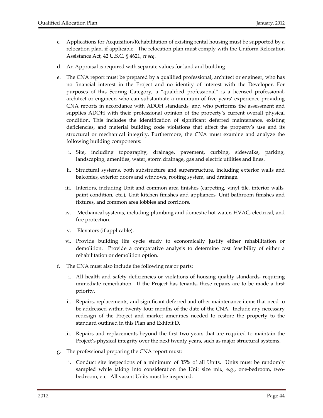- c. Applications for Acquisition/Rehabilitation of existing rental housing must be supported by a relocation plan, if applicable. The relocation plan must comply with the Uniform Relocation Assistance Act, 42 U.S.C. § 4621, *et seq*.
- d. An Appraisal is required with separate values for land and building.
- e. The CNA report must be prepared by a qualified professional, architect or engineer, who has no financial interest in the Project and no identity of interest with the Developer. For purposes of this Scoring Category, a "qualified professional" is a licensed professional, architect or engineer, who can substantiate a minimum of five years' experience providing CNA reports in accordance with ADOH standards, and who performs the assessment and supplies ADOH with their professional opinion of the property's current overall physical condition. This includes the identification of significant deferred maintenance, existing deficiencies, and material building code violations that affect the property's use and its structural or mechanical integrity. Furthermore, the CNA must examine and analyze the following building components:
	- i. Site, including topography, drainage, pavement, curbing, sidewalks, parking, landscaping, amenities, water, storm drainage, gas and electric utilities and lines.
	- ii. Structural systems, both substructure and superstructure, including exterior walls and balconies, exterior doors and windows, roofing system, and drainage.
	- iii. Interiors, including Unit and common area finishes (carpeting, vinyl tile, interior walls, paint condition, etc.), Unit kitchen finishes and appliances, Unit bathroom finishes and fixtures, and common area lobbies and corridors.
	- iv. Mechanical systems, including plumbing and domestic hot water, HVAC, electrical, and fire protection.
	- v. Elevators (if applicable).
	- vi. Provide building life cycle study to economically justify either rehabilitation or demolition. Provide a comparative analysis to determine cost feasibility of either a rehabilitation or demolition option.
- f. The CNA must also include the following major parts:
	- i. All health and safety deficiencies or violations of housing quality standards, requiring immediate remediation. If the Project has tenants, these repairs are to be made a first priority.
	- ii. Repairs, replacements, and significant deferred and other maintenance items that need to be addressed within twenty‐four months of the date of the CNA. Include any necessary redesign of the Project and market amenities needed to restore the property to the standard outlined in this Plan and Exhibit D.
	- iii. Repairs and replacements beyond the first two years that are required to maintain the Project's physical integrity over the next twenty years, such as major structural systems.
- g. The professional preparing the CNA report must:
	- i. Conduct site inspections of a minimum of 35% of all Units. Units must be randomly sampled while taking into consideration the Unit size mix, e.g., one-bedroom, twobedroom, etc. All vacant Units must be inspected.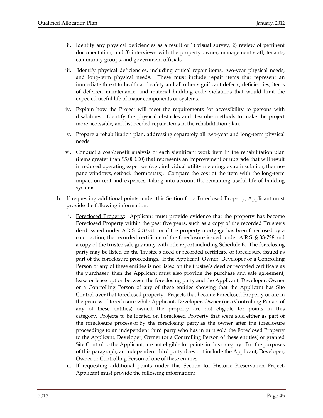- ii. Identify any physical deficiencies as a result of 1) visual survey, 2) review of pertinent documentation, and 3) interviews with the property owner, management staff, tenants, community groups, and government officials.
- iii. Identify physical deficiencies, including critical repair items, two‐year physical needs, and long-term physical needs. These must include repair items that represent an immediate threat to health and safety and all other significant defects, deficiencies, items of deferred maintenance, and material building code violations that would limit the expected useful life of major components or systems.
- iv. Explain how the Project will meet the requirements for accessibility to persons with disabilities. Identify the physical obstacles and describe methods to make the project more accessible, and list needed repair items in the rehabilitation plan.
- v. Prepare a rehabilitation plan, addressing separately all two‐year and long‐term physical needs.
- vi. Conduct a cost/benefit analysis of each significant work item in the rehabilitation plan (items greater than \$5,000.00) that represents an improvement or upgrade that will result in reduced operating expenses (e.g., individual utility metering, extra insulation, thermopane windows, setback thermostats). Compare the cost of the item with the long‐term impact on rent and expenses, taking into account the remaining useful life of building systems.
- h. If requesting additional points under this Section for a Foreclosed Property, Applicant must provide the following information.
	- i. Foreclosed Property: Applicant must provide evidence that the property has become Foreclosed Property within the past five years, such as a copy of the recorded Trustee's deed issued under A.R.S. § 33‐811 or if the property mortgage has been foreclosed by a court action, the recorded certificate of the foreclosure issued under A.R.S. § 33‐728 and a copy of the trustee sale guaranty with title report including Schedule B. The foreclosing party may be listed on the Trusteeʹs deed or recorded certificate of foreclosure issued as part of the foreclosure proceedings. If the Applicant, Owner, Developer or a Controlling Person of any of these entities is not listed on the trustee's deed or recorded certificate as the purchaser, then the Applicant must also provide the purchase and sale agreement, lease or lease option between the foreclosing party and the Applicant, Developer, Owner or a Controlling Person of any of these entities showing that the Applicant has Site Control over that foreclosed property. Projects that became Foreclosed Property or are in the process of foreclosure while Applicant, Developer, Owner (or a Controlling Person of any of these entities) owned the property are not eligible for points in this category. Projects to be located on Foreclosed Property that were sold either as part of the foreclosure process or by the foreclosing party as the owner after the foreclosure proceedings to an independent third party who has in turn sold the Foreclosed Property to the Applicant, Developer, Owner (or a Controlling Person of these entities) or granted Site Control to the Applicant, are not eligible for points in this category. For the purposes of this paragraph, an independent third party does not include the Applicant, Developer, Owner or Controlling Person of one of these entities.
	- ii. If requesting additional points under this Section for Historic Preservation Project, Applicant must provide the following information: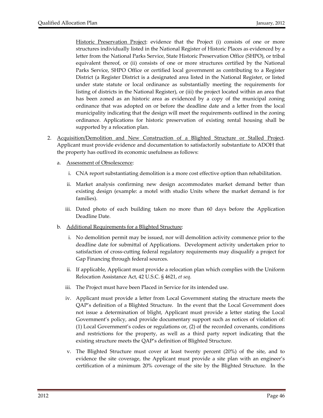Historic Preservation Project: evidence that the Project (i) consists of one or more structures individually listed in the National Register of Historic Places as evidenced by a letter from the National Parks Service, State Historic Preservation Office (SHPO), or tribal equivalent thereof, or (ii) consists of one or more structures certified by the National Parks Service, SHPO Office or certified local government as contributing to a Register District (a Register District is a designated area listed in the National Register, or listed under state statute or local ordinance as substantially meeting the requirements for listing of districts in the National Register), or (iii) the project located within an area that has been zoned as an historic area as evidenced by a copy of the municipal zoning ordinance that was adopted on or before the deadline date and a letter from the local municipality indicating that the design will meet the requirements outlined in the zoning ordinance. Applications for historic preservation of existing rental housing shall be supported by a relocation plan.

- 2. Acquisition/Demolition and New Construction of a Blighted Structure or Stalled Project. Applicant must provide evidence and documentation to satisfactorily substantiate to ADOH that the property has outlived its economic usefulness as follows:
	- a. Assessment of Obsolescence:
		- i. CNA report substantiating demolition is a more cost effective option than rehabilitation.
		- ii. Market analysis confirming new design accommodates market demand better than existing design (example: a motel with studio Units where the market demand is for families).
		- iii. Dated photo of each building taken no more than 60 days before the Application Deadline Date.
	- b. Additional Requirements for a Blighted Structure:
		- i. No demolition permit may be issued, nor will demolition activity commence prior to the deadline date for submittal of Applications. Development activity undertaken prior to satisfaction of cross-cutting federal regulatory requirements may disqualify a project for Gap Financing through federal sources.
		- ii. If applicable, Applicant must provide a relocation plan which complies with the Uniform Relocation Assistance Act, 42 U.S.C. § 4621, *et seq*.
		- iii. The Project must have been Placed in Service for its intended use.
		- iv. Applicant must provide a letter from Local Government stating the structure meets the QAP's definition of a Blighted Structure. In the event that the Local Government does not issue a determination of blight, Applicant must provide a letter stating the Local Government's policy, and provide documentary support such as notices of violation of: (1) Local Government's codes or regulations or, (2) of the recorded covenants, conditions and restrictions for the property, as well as a third party report indicating that the existing structure meets the QAP's definition of Blighted Structure.
		- v. The Blighted Structure must cover at least twenty percent (20%) of the site, and to evidence the site coverage, the Applicant must provide a site plan with an engineer's certification of a minimum 20% coverage of the site by the Blighted Structure. In the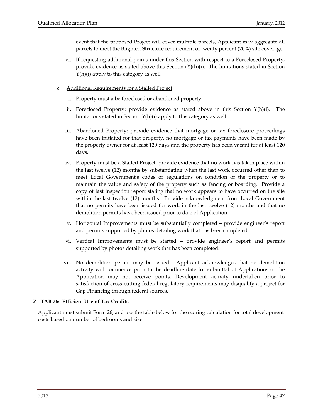event that the proposed Project will cover multiple parcels, Applicant may aggregate all parcels to meet the Blighted Structure requirement of twenty percent (20%) site coverage.

- vi. If requesting additional points under this Section with respect to a Foreclosed Property, provide evidence as stated above this Section  $(Y)(h)(i)$ . The limitations stated in Section Y(h)(i) apply to this category as well.
- c. Additional Requirements for a Stalled Project.
	- i. Property must a be foreclosed or abandoned property:
	- ii. Foreclosed Property: provide evidence as stated above in this Section  $Y(h)(i)$ . The limitations stated in Section Y(h)(i) apply to this category as well.
	- iii. Abandoned Property: provide evidence that mortgage or tax foreclosure proceedings have been initiated for that property, no mortgage or tax payments have been made by the property owner for at least 120 days and the property has been vacant for at least 120 days.
	- iv. Property must be a Stalled Project: provide evidence that no work has taken place within the last twelve (12) months by substantiating when the last work occurred other than to meet Local Government's codes or regulations on condition of the property or to maintain the value and safety of the property such as fencing or boarding. Provide a copy of last inspection report stating that no work appears to have occurred on the site within the last twelve (12) months. Provide acknowledgment from Local Government that no permits have been issued for work in the last twelve (12) months and that no demolition permits have been issued prior to date of Application.
	- v. Horizontal Improvements must be substantially completed provide engineer's report and permits supported by photos detailing work that has been completed.
	- vi. Vertical Improvements must be started provide engineer's report and permits supported by photos detailing work that has been completed.
	- vii. No demolition permit may be issued. Applicant acknowledges that no demolition activity will commence prior to the deadline date for submittal of Applications or the Application may not receive points. Development activity undertaken prior to satisfaction of cross-cutting federal regulatory requirements may disqualify a project for Gap Financing through federal sources.

# **Z**. **TAB 26: Efficient Use of Tax Credits**

Applicant must submit Form 26, and use the table below for the scoring calculation for total development costs based on number of bedrooms and size.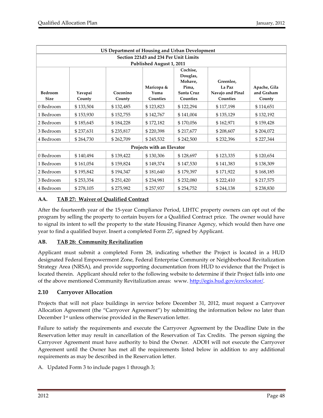| US Department of Housing and Urban Development |           |           |            |                     |                  |              |  |  |  |  |  |
|------------------------------------------------|-----------|-----------|------------|---------------------|------------------|--------------|--|--|--|--|--|
| Section 221d3 and 234 Per Unit Limits          |           |           |            |                     |                  |              |  |  |  |  |  |
| Published August 1, 2011                       |           |           |            |                     |                  |              |  |  |  |  |  |
|                                                |           |           |            | Cochise,            |                  |              |  |  |  |  |  |
|                                                |           |           |            | Douglas,<br>Mohave. | Greenlee.        |              |  |  |  |  |  |
|                                                |           |           | Maricopa & | Pima,               | La Paz           | Apache, Gila |  |  |  |  |  |
| <b>Bedroom</b>                                 | Yavapai   | Coconino  | Yuma       | Santa Cruz          | Navajo and Pinal | and Graham   |  |  |  |  |  |
| <b>Size</b>                                    | County    | County    | Counties   | Counties            | Counties         | County       |  |  |  |  |  |
| 0 Bedroom                                      | \$133,504 | \$132,485 | \$123,823  | \$122,294           | \$117,198        | \$114,651    |  |  |  |  |  |
| 1 Bedroom                                      | \$153,930 | \$152,755 | \$142,767  | \$141,004           | \$135,129        | \$132,192    |  |  |  |  |  |
| 2 Bedroom                                      | \$185,645 | \$184,228 | \$172,182  | \$170,056           | \$162,971        | \$159,428    |  |  |  |  |  |
| 3 Bedroom                                      | \$237,631 | \$235,817 | \$220,398  | \$217,677           | \$208,607        | \$204,072    |  |  |  |  |  |
| 4 Bedroom                                      | \$264,730 | \$262,709 | \$245,532  | \$242,500           | \$232,396        | \$227,344    |  |  |  |  |  |
| Projects with an Elevator                      |           |           |            |                     |                  |              |  |  |  |  |  |
| 0 Bedroom                                      | \$140,494 | \$139,422 | \$130,306  | \$128,697           | \$123,335        | \$120,654    |  |  |  |  |  |
| 1 Bedroom                                      | \$161,054 | \$159,824 | \$149,374  | \$147,530           | \$141,383        | \$138,309    |  |  |  |  |  |
| 2 Bedroom                                      | \$195,842 | \$194,347 | \$181,640  | \$179,397           | \$171,922        | \$168,185    |  |  |  |  |  |
| 3 Bedroom                                      | \$253,354 | \$251,420 | \$234,981  | \$232,080           | \$222,410        | \$217,575    |  |  |  |  |  |
| 4 Bedroom                                      | \$278,105 | \$275,982 | \$257,937  | \$254,752           | \$244,138        | \$238,830    |  |  |  |  |  |

# **AA. TAB 27: Waiver of Qualified Contract**

After the fourteenth year of the 15‐year Compliance Period, LIHTC property owners can opt out of the program by selling the property to certain buyers for a Qualified Contract price. The owner would have to signal its intent to sell the property to the state Housing Finance Agency, which would then have one year to find a qualified buyer. Insert a completed Form 27, signed by Applicant.

#### **AB. TAB 28: Community Revitalization**

Applicant must submit a completed Form 28, indicating whether the Project is located in a HUD designated Federal Empowerment Zone, Federal Enterprise Community or Neighborhood Revitalization Strategy Area (NRSA), and provide supporting documentation from HUD to evidence that the Project is located therein. Applicant should refer to the following website to determine if their Project falls into one of the above mentioned Community Revitalization areas: www. http://egis.hud.gov/ezrclocator/.

# **2.10 Carryover Allocation**

Projects that will not place buildings in service before December 31, 2012, must request a Carryover Allocation Agreement (the "Carryover Agreement") by submitting the information below no later than December 1<sup>st</sup> unless otherwise provided in the Reservation letter.

Failure to satisfy the requirements and execute the Carryover Agreement by the Deadline Date in the Reservation letter may result in cancellation of the Reservation of Tax Credits. The person signing the Carryover Agreement must have authority to bind the Owner. ADOH will not execute the Carryover Agreement until the Owner has met all the requirements listed below in addition to any additional requirements as may be described in the Reservation letter.

A. Updated Form 3 to include pages 1 through 3;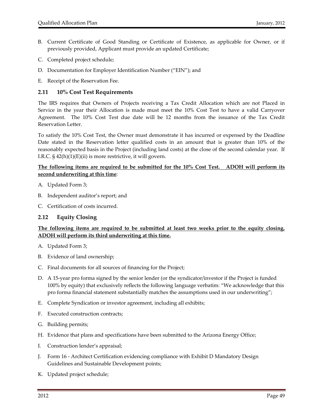- B. Current Certificate of Good Standing or Certificate of Existence, as applicable for Owner, or if previously provided, Applicant must provide an updated Certificate;
- C. Completed project schedule;
- D. Documentation for Employer Identification Number ("EIN"); and
- E. Receipt of the Reservation Fee.

#### **2.11 10% Cost Test Requirements**

The IRS requires that Owners of Projects receiving a Tax Credit Allocation which are not Placed in Service in the year their Allocation is made must meet the 10% Cost Test to have a valid Carryover Agreement. The 10% Cost Test due date will be 12 months from the issuance of the Tax Credit Reservation Letter.

To satisfy the 10% Cost Test, the Owner must demonstrate it has incurred or expensed by the Deadline Date stated in the Reservation letter qualified costs in an amount that is greater than 10% of the reasonably expected basis in the Project (including land costs) at the close of the second calendar year. If I.R.C. § 42(h)(1)(E)(ii) is more restrictive, it will govern.

### **The following items are required to be submitted for the 10% Cost Test. ADOH will perform its second underwriting at this time**:

- A. Updated Form 3;
- B. Independent auditor's report; and
- C. Certification of costs incurred.

# **2.12 Equity Closing**

# **The following items are required to be submitted at least two weeks prior to the equity closing. ADOH will perform its third underwriting at this time.**

- A. Updated Form 3;
- B. Evidence of land ownership;
- C. Final documents for all sources of financing for the Project;
- D. A 15‐year pro forma signed by the senior lender (or the syndicator/investor if the Project is funded 100% by equity) that exclusively reflects the following language verbatim: "We acknowledge that this pro forma financial statement substantially matches the assumptions used in our underwriting";
- E. Complete Syndication or investor agreement, including all exhibits;
- F. Executed construction contracts;
- G. Building permits;
- H. Evidence that plans and specifications have been submitted to the Arizona Energy Office;
- I. Construction lender's appraisal;
- J. Form 16 ‐ Architect Certification evidencing compliance with Exhibit D Mandatory Design Guidelines and Sustainable Development points;
- K. Updated project schedule;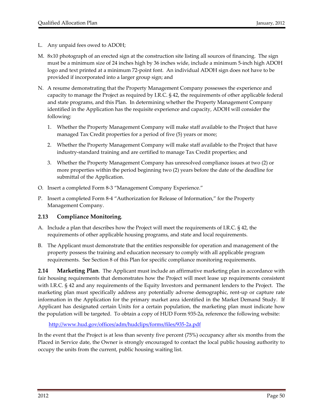- L. Any unpaid fees owed to ADOH;
- M. 8x10 photograph of an erected sign at the construction site listing all sources of financing. The sign must be a minimum size of 24 inches high by 36 inches wide, include a minimum 5‐inch high ADOH logo and text printed at a minimum 72‐point font. An individual ADOH sign does not have to be provided if incorporated into a larger group sign; and
- N. A resume demonstrating that the Property Management Company possesses the experience and capacity to manage the Project as required by I.R.C. § 42, the requirements of other applicable federal and state programs, and this Plan. In determining whether the Property Management Company identified in the Application has the requisite experience and capacity, ADOH will consider the following:
	- 1. Whether the Property Management Company will make staff available to the Project that have managed Tax Credit properties for a period of five (5) years or more;
	- 2. Whether the Property Management Company will make staff available to the Project that have industry‐standard training and are certified to manage Tax Credit properties; and
	- 3. Whether the Property Management Company has unresolved compliance issues at two (2) or more properties within the period beginning two (2) years before the date of the deadline for submittal of the Application.
- O. Insert a completed Form 8‐3 "Management Company Experience."
- P. Insert a completed Form 8‐4 "Authorization for Release of Information," for the Property Management Company.

# **2.13 Compliance Monitoring**.

- A. Include a plan that describes how the Project will meet the requirements of I.R.C. § 42, the requirements of other applicable housing programs, and state and local requirements.
- B. The Applicant must demonstrate that the entities responsible for operation and management of the property possess the training and education necessary to comply with all applicable program requirements. See Section 8 of this Plan for specific compliance monitoring requirements.

**2.14 Marketing Plan**. The Applicant must include an affirmative marketing plan in accordance with fair housing requirements that demonstrates how the Project will meet lease up requirements consistent with I.R.C. § 42 and any requirements of the Equity Investors and permanent lenders to the Project. The marketing plan must specifically address any potentially adverse demographic, rent‐up or capture rate information in the Application for the primary market area identified in the Market Demand Study. If Applicant has designated certain Units for a certain population, the marketing plan must indicate how the population will be targeted. To obtain a copy of HUD Form 935‐2a, reference the following website:

http://www.hud.gov/offices/adm/hudclips/forms/files/935‐2a.pdf

In the event that the Project is at less than seventy five percent (75%) occupancy after six months from the Placed in Service date, the Owner is strongly encouraged to contact the local public housing authority to occupy the units from the current, public housing waiting list.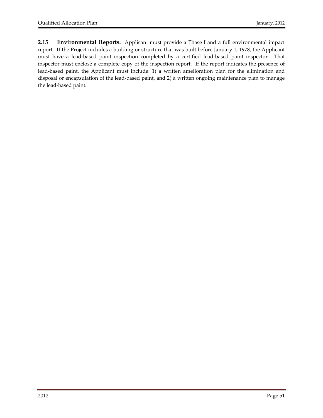**2.15 Environmental Reports.** Applicant must provide a Phase I and a full environmental impact report. If the Project includes a building or structure that was built before January 1, 1978, the Applicant must have a lead-based paint inspection completed by a certified lead-based paint inspector. That inspector must enclose a complete copy of the inspection report. If the report indicates the presence of lead-based paint, the Applicant must include: 1) a written amelioration plan for the elimination and disposal or encapsulation of the lead‐based paint, and 2) a written ongoing maintenance plan to manage the lead‐based paint.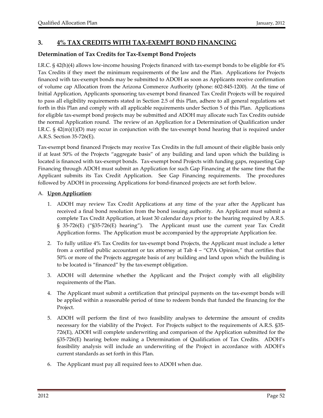# **3. 4% TAX CREDITS WITH TAX‐EXEMPT BOND FINANCING**

# **Determination of Tax Credits for Tax‐Exempt Bond Projects**

I.R.C. § 42(h)(4) allows low‐income housing Projects financed with tax‐exempt bonds to be eligible for 4% Tax Credits if they meet the minimum requirements of the law and the Plan. Applications for Projects financed with tax‐exempt bonds may be submitted to ADOH as soon as Applicants receive confirmation of volume cap Allocation from the Arizona Commerce Authority (phone: 602‐845‐1200). At the time of Initial Application, Applicants sponsoring tax‐exempt bond financed Tax Credit Projects will be required to pass all eligibility requirements stated in Section 2.5 of this Plan, adhere to all general regulations set forth in this Plan and comply with all applicable requirements under Section 5 of this Plan. Applications for eligible tax‐exempt bond projects may be submitted and ADOH may allocate such Tax Credits outside the normal Application round. The review of an Application for a Determination of Qualification under I.R.C.  $\S$  42(m)(1)(D) may occur in conjunction with the tax-exempt bond hearing that is required under A.R.S. Section 35‐726(E).

Tax‐exempt bond financed Projects may receive Tax Credits in the full amount of their eligible basis only if at least 50% of the Projects "aggregate basis" of any building and land upon which the building is located is financed with tax‐exempt bonds. Tax‐exempt bond Projects with funding gaps, requesting Gap Financing through ADOH must submit an Application for such Gap Financing at the same time that the Applicant submits its Tax Credit Application. See Gap Financing requirements. The procedures followed by ADOH in processing Applications for bond‐financed projects are set forth below.

#### A. **Upon Application**:

- 1. ADOH may review Tax Credit Applications at any time of the year after the Applicant has received a final bond resolution from the bond issuing authority. An Applicant must submit a complete Tax Credit Application, at least 30 calendar days prior to the hearing required by A.R.S. § 35-726(E) ("§35-726(E) hearing"). The Applicant must use the current year Tax Credit Application forms. The Application must be accompanied by the appropriate Application fee.
- 2. To fully utilize 4% Tax Credits for tax‐exempt bond Projects, the Applicant must include a letter from a certified public accountant or tax attorney at Tab 4 – "CPA Opinion," that certifies that 50% or more of the Projects aggregate basis of any building and land upon which the building is to be located is "financed" by the tax‐exempt obligation.
- 3. ADOH will determine whether the Applicant and the Project comply with all eligibility requirements of the Plan.
- 4. The Applicant must submit a certification that principal payments on the tax-exempt bonds will be applied within a reasonable period of time to redeem bonds that funded the financing for the Project.
- 5. ADOH will perform the first of two feasibility analyses to determine the amount of credits necessary for the viability of the Project. For Projects subject to the requirements of A.R.S. §35‐ 726(E), ADOH will complete underwriting and comparison of the Application submitted for the §35‐726(E) hearing before making a Determination of Qualification of Tax Credits. ADOH's feasibility analysis will include an underwriting of the Project in accordance with ADOH's current standards as set forth in this Plan.
- 6. The Applicant must pay all required fees to ADOH when due.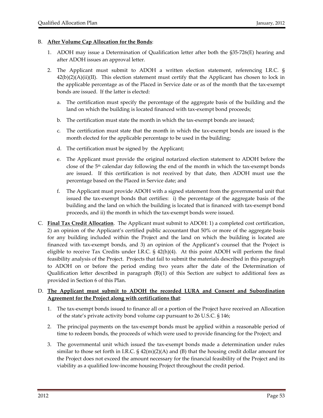#### B. **After Volume Cap Allocation for the Bonds**:

- 1. ADOH may issue a Determination of Qualification letter after both the §35‐726(E) hearing and after ADOH issues an approval letter.
- 2. The Applicant must submit to ADOH a written election statement, referencing I.R.C. §  $42(b)(2)(A)(ii)(II)$ . This election statement must certify that the Applicant has chosen to lock in the applicable percentage as of the Placed in Service date or as of the month that the tax‐exempt bonds are issued. If the latter is elected:
	- a. The certification must specify the percentage of the aggregate basis of the building and the land on which the building is located financed with tax-exempt bond proceeds;
	- b. The certification must state the month in which the tax-exempt bonds are issued;
	- c. The certification must state that the month in which the tax-exempt bonds are issued is the month elected for the applicable percentage to be used in the building;
	- d. The certification must be signed by the Applicant;
	- e. The Applicant must provide the original notarized election statement to ADOH before the close of the  $5<sup>th</sup>$  calendar day following the end of the month in which the tax-exempt bonds are issued. If this certification is not received by that date, then ADOH must use the percentage based on the Placed in Service date; and
	- f. The Applicant must provide ADOH with a signed statement from the governmental unit that issued the tax‐exempt bonds that certifies: i) the percentage of the aggregate basis of the building and the land on which the building is located that is financed with tax‐exempt bond proceeds, and ii) the month in which the tax‐exempt bonds were issued.
- C. **Final Tax Credit Allocation**. The Applicant must submit to ADOH: 1) a completed cost certification, 2) an opinion of the Applicant's certified public accountant that 50% or more of the aggregate basis for any building included within the Project and the land on which the building is located are financed with tax‐exempt bonds, and 3) an opinion of the Applicant's counsel that the Project is eligible to receive Tax Credits under I.R.C. § 42(h)(4). At this point ADOH will perform the final feasibility analysis of the Project. Projects that fail to submit the materials described in this paragraph to ADOH on or before the period ending two years after the date of the Determination of Qualification letter described in paragraph (B)(1) of this Section are subject to additional fees as provided in Section 6 of this Plan.

#### D. **The Applicant must submit to ADOH the recorded LURA and Consent and Subordination Agreement for the Project along with certifications that**:

- 1. The tax‐exempt bonds issued to finance all or a portion of the Project have received an Allocation of the state's private activity bond volume cap pursuant to 26 U.S.C. § 146;
- 2. The principal payments on the tax‐exempt bonds must be applied within a reasonable period of time to redeem bonds, the proceeds of which were used to provide financing for the Project; and
- 3. The governmental unit which issued the tax‐exempt bonds made a determination under rules similar to those set forth in I.R.C.  $\S$  42(m)(2)(A) and (B) that the housing credit dollar amount for the Project does not exceed the amount necessary for the financial feasibility of the Project and its viability as a qualified low‐income housing Project throughout the credit period.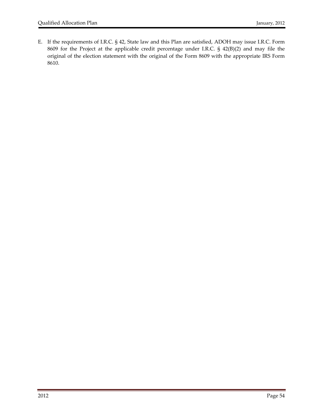E. If the requirements of I.R.C. § 42, State law and this Plan are satisfied, ADOH may issue I.R.C. Form 8609 for the Project at the applicable credit percentage under I.R.C. § 42(B)(2) and may file the original of the election statement with the original of the Form 8609 with the appropriate IRS Form 8610.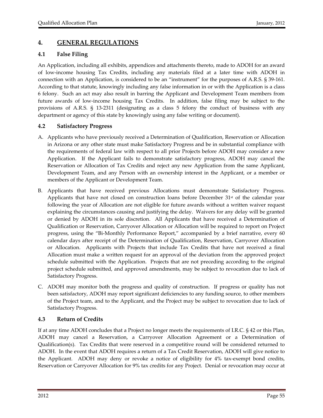# **4. GENERAL REGULATIONS**

# **4.1 False Filing**

An Application, including all exhibits, appendices and attachments thereto, made to ADOH for an award of low‐income housing Tax Credits, including any materials filed at a later time with ADOH in connection with an Application, is considered to be an "instrument" for the purposes of A.R.S. § 39‐161. According to that statute, knowingly including any false information in or with the Application is a class 6 felony. Such an act may also result in barring the Applicant and Development Team members from future awards of low-income housing Tax Credits. In addition, false filing may be subject to the provisions of A.R.S. § 13‐2311 (designating as a class 5 felony the conduct of business with any department or agency of this state by knowingly using any false writing or document).

# **4.2 Satisfactory Progress**

- A. Applicants who have previously received a Determination of Qualification, Reservation or Allocation in Arizona or any other state must make Satisfactory Progress and be in substantial compliance with the requirements of federal law with respect to all prior Projects before ADOH may consider a new Application. If the Applicant fails to demonstrate satisfactory progress, ADOH may cancel the Reservation or Allocation of Tax Credits and reject any new Application from the same Applicant, Development Team, and any Person with an ownership interest in the Applicant, or a member or members of the Applicant or Development Team.
- B. Applicants that have received previous Allocations must demonstrate Satisfactory Progress. Applicants that have not closed on construction loans before December  $31<sup>st</sup>$  of the calendar year following the year of Allocation are not eligible for future awards without a written waiver request explaining the circumstances causing and justifying the delay. Waivers for any delay will be granted or denied by ADOH in its sole discretion. All Applicants that have received a Determination of Qualification or Reservation, Carryover Allocation or Allocation will be required to report on Project progress, using the "Bi‐Monthly Performance Report," accompanied by a brief narrative, every 60 calendar days after receipt of the Determination of Qualification, Reservation, Carryover Allocation or Allocation. Applicants with Projects that include Tax Credits that have not received a final Allocation must make a written request for an approval of the deviation from the approved project schedule submitted with the Application. Projects that are not preceding according to the original project schedule submitted, and approved amendments, may be subject to revocation due to lack of Satisfactory Progress.
- C. ADOH may monitor both the progress and quality of construction. If progress or quality has not been satisfactory, ADOH may report significant deficiencies to any funding source, to other members of the Project team, and to the Applicant, and the Project may be subject to revocation due to lack of Satisfactory Progress.

# **4.3 Return of Credits**

If at any time ADOH concludes that a Project no longer meets the requirements of I.R.C. § 42 or this Plan, ADOH may cancel a Reservation, a Carryover Allocation Agreement or a Determination of Qualification(s). Tax Credits that were reserved in a competitive round will be considered returned to ADOH. In the event that ADOH requires a return of a Tax Credit Reservation, ADOH will give notice to the Applicant. ADOH may deny or revoke a notice of eligibility for 4% tax-exempt bond credits, Reservation or Carryover Allocation for 9% tax credits for any Project. Denial or revocation may occur at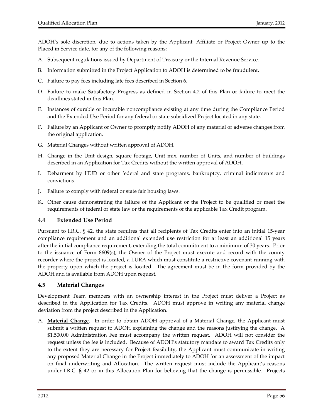ADOH's sole discretion, due to actions taken by the Applicant, Affiliate or Project Owner up to the Placed in Service date, for any of the following reasons:

- A. Subsequent regulations issued by Department of Treasury or the Internal Revenue Service.
- B. Information submitted in the Project Application to ADOH is determined to be fraudulent.
- C. Failure to pay fees including late fees described in Section 6.
- D. Failure to make Satisfactory Progress as defined in Section 4.2 of this Plan or failure to meet the deadlines stated in this Plan.
- E. Instances of curable or incurable noncompliance existing at any time during the Compliance Period and the Extended Use Period for any federal or state subsidized Project located in any state.
- F. Failure by an Applicant or Owner to promptly notify ADOH of any material or adverse changes from the original application.
- G. Material Changes without written approval of ADOH.
- H. Change in the Unit design, square footage, Unit mix, number of Units, and number of buildings described in an Application for Tax Credits without the written approval of ADOH.
- I. Debarment by HUD or other federal and state programs, bankruptcy, criminal indictments and convictions.
- J. Failure to comply with federal or state fair housing laws.
- K. Other cause demonstrating the failure of the Applicant or the Project to be qualified or meet the requirements of federal or state law or the requirements of the applicable Tax Credit program.

#### **4.4 Extended Use Period**

Pursuant to I.R.C. § 42, the state requires that all recipients of Tax Credits enter into an initial 15‐year compliance requirement and an additional extended use restriction for at least an additional 15 years after the initial compliance requirement, extending the total commitment to a minimum of 30 years. Prior to the issuance of Form 8609(s), the Owner of the Project must execute and record with the county recorder where the project is located, a LURA which must constitute a restrictive covenant running with the property upon which the project is located. The agreement must be in the form provided by the ADOH and is available from ADOH upon request.

#### **4.5 Material Changes**

Development Team members with an ownership interest in the Project must deliver a Project as described in the Application for Tax Credits. ADOH must approve in writing any material change deviation from the project described in the Application.

A. **Material Change**. In order to obtain ADOH approval of a Material Change, the Applicant must submit a written request to ADOH explaining the change and the reasons justifying the change. A \$1,500.00 Administration Fee must accompany the written request. ADOH will not consider the request unless the fee is included. Because of ADOH's statutory mandate to award Tax Credits only to the extent they are necessary for Project feasibility, the Applicant must communicate in writing any proposed Material Change in the Project immediately to ADOH for an assessment of the impact on final underwriting and Allocation. The written request must include the Applicant's reasons under I.R.C. § 42 or in this Allocation Plan for believing that the change is permissible. Projects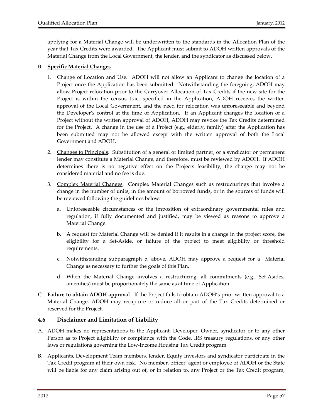applying for a Material Change will be underwritten to the standards in the Allocation Plan of the year that Tax Credits were awarded. The Applicant must submit to ADOH written approvals of the Material Change from the Local Government, the lender, and the syndicator as discussed below.

#### B. **Specific Material Changes**.

- 1. Change of Location and Use. ADOH will not allow an Applicant to change the location of a Project once the Application has been submitted. Notwithstanding the foregoing, ADOH may allow Project relocation prior to the Carryover Allocation of Tax Credits if the new site for the Project is within the census tract specified in the Application, ADOH receives the written approval of the Local Government, and the need for relocation was unforeseeable and beyond the Developer's control at the time of Application. If an Applicant changes the location of a Project without the written approval of ADOH, ADOH may revoke the Tax Credits determined for the Project. A change in the use of a Project (e.g., elderly, family) after the Application has been submitted may not be allowed except with the written approval of both the Local Government and ADOH.
- 2. Changes to Principals. Substitution of a general or limited partner, or a syndicator or permanent lender may constitute a Material Change, and therefore, must be reviewed by ADOH. If ADOH determines there is no negative effect on the Projects feasibility, the change may not be considered material and no fee is due.
- 3. Complex Material Changes. Complex Material Changes such as restructurings that involve a change in the number of units, in the amount of borrowed funds, or in the sources of funds will be reviewed following the guidelines below:
	- a. Unforeseeable circumstances or the imposition of extraordinary governmental rules and regulation, if fully documented and justified, may be viewed as reasons to approve a Material Change.
	- b. A request for Material Change will be denied if it results in a change in the project score, the eligibility for a Set‐Aside, or failure of the project to meet eligibility or threshold requirements.
	- c. Notwithstanding subparagraph b, above, ADOH may approve a request for a Material Change as necessary to further the goals of this Plan.
	- d. When the Material Change involves a restructuring, all commitments (e.g., Set‐Asides, amenities) must be proportionately the same as at time of Application.
- C. **Failure to obtain ADOH approval**. If the Project fails to obtain ADOH's prior written approval to a Material Change, ADOH may recapture or reduce all or part of the Tax Credits determined or reserved for the Project.

# **4.6 Disclaimer and Limitation of Liability**

- A. ADOH makes no representations to the Applicant, Developer, Owner, syndicator or to any other Person as to Project eligibility or compliance with the Code, IRS treasury regulations, or any other laws or regulations governing the Low‐Income Housing Tax Credit program.
- B. Applicants, Development Team members, lender, Equity Investors and syndicator participate in the Tax Credit program at their own risk. No member, officer, agent or employee of ADOH or the State will be liable for any claim arising out of, or in relation to, any Project or the Tax Credit program,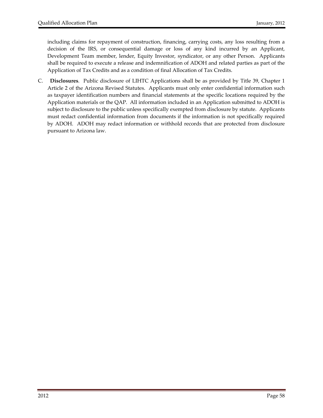including claims for repayment of construction, financing, carrying costs, any loss resulting from a decision of the IRS, or consequential damage or loss of any kind incurred by an Applicant, Development Team member, lender, Equity Investor, syndicator, or any other Person. Applicants shall be required to execute a release and indemnification of ADOH and related parties as part of the Application of Tax Credits and as a condition of final Allocation of Tax Credits.

C. **Disclosures**.Public disclosure of LIHTC Applications shall be as provided by Title 39, Chapter 1 Article 2 of the Arizona Revised Statutes. Applicants must only enter confidential information such as taxpayer identification numbers and financial statements at the specific locations required by the Application materials or the QAP. All information included in an Application submitted to ADOH is subject to disclosure to the public unless specifically exempted from disclosure by statute. Applicants must redact confidential information from documents if the information is not specifically required by ADOH. ADOH may redact information or withhold records that are protected from disclosure pursuant to Arizona law.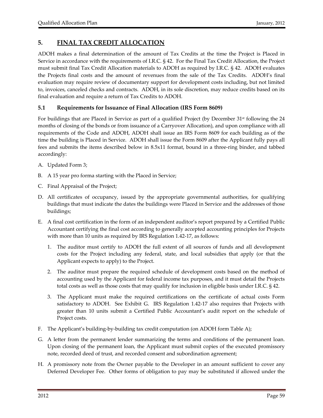# **5. FINAL TAX CREDIT ALLOCATION**

ADOH makes a final determination of the amount of Tax Credits at the time the Project is Placed in Service in accordance with the requirements of I.R.C. § 42. For the Final Tax Credit Allocation, the Project must submit final Tax Credit Allocation materials to ADOH as required by I.R.C. § 42. ADOH evaluates the Projects final costs and the amount of revenues from the sale of the Tax Credits. ADOH's final evaluation may require review of documentary support for development costs including, but not limited to, invoices, canceled checks and contracts. ADOH, in its sole discretion, may reduce credits based on its final evaluation and require a return of Tax Credits to ADOH.

# **5.1 Requirements for Issuance of Final Allocation (IRS Form 8609)**

For buildings that are Placed in Service as part of a qualified Project (by December 31<sup>st</sup> following the 24 months of closing of the bonds or from issuance of a Carryover Allocation), and upon compliance with all requirements of the Code and ADOH, ADOH shall issue an IRS Form 8609 for each building as of the time the building is Placed in Service. ADOH shall issue the Form 8609 after the Applicant fully pays all fees and submits the items described below in 8.5x11 format, bound in a three‐ring binder, and tabbed accordingly:

- A. Updated Form 3;
- B. A 15 year pro forma starting with the Placed in Service;
- C. Final Appraisal of the Project;
- D. All certificates of occupancy, issued by the appropriate governmental authorities, for qualifying buildings that must indicate the dates the buildings were Placed in Service and the addresses of those buildings;
- E. A final cost certification in the form of an independent auditor's report prepared by a Certified Public Accountant certifying the final cost according to generally accepted accounting principles for Projects with more than 10 units as required by IRS Regulation 1.42‐17, as follows:
	- 1. The auditor must certify to ADOH the full extent of all sources of funds and all development costs for the Project including any federal, state, and local subsidies that apply (or that the Applicant expects to apply) to the Project.
	- 2. The auditor must prepare the required schedule of development costs based on the method of accounting used by the Applicant for federal income tax purposes, and it must detail the Projects total costs as well as those costs that may qualify for inclusion in eligible basis under I.R.C. § 42.
	- 3. The Applicant must make the required certifications on the certificate of actual costs Form satisfactory to ADOH. See Exhibit G. IRS Regulation 1.42-17 also requires that Projects with greater than 10 units submit a Certified Public Accountant's audit report on the schedule of Project costs.
- F. The Applicant's building-by-building tax credit computation (on ADOH form Table A);
- G. A letter from the permanent lender summarizing the terms and conditions of the permanent loan. Upon closing of the permanent loan, the Applicant must submit copies of the executed promissory note, recorded deed of trust, and recorded consent and subordination agreement;
- H. A promissory note from the Owner payable to the Developer in an amount sufficient to cover any Deferred Developer Fee. Other forms of obligation to pay may be substituted if allowed under the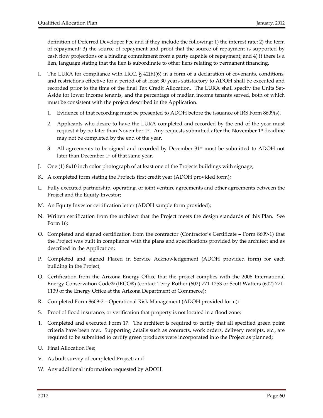definition of Deferred Developer Fee and if they include the following: 1) the interest rate; 2) the term of repayment; 3) the source of repayment and proof that the source of repayment is supported by cash flow projections or a binding commitment from a party capable of repayment; and 4) if there is a lien, language stating that the lien is subordinate to other liens relating to permanent financing.

- I. The LURA for compliance with I.R.C. § 42(h)(6) in a form of a declaration of covenants, conditions, and restrictions effective for a period of at least 30 years satisfactory to ADOH shall be executed and recorded prior to the time of the final Tax Credit Allocation. The LURA shall specify the Units Set-Aside for lower income tenants, and the percentage of median income tenants served, both of which must be consistent with the project described in the Application.
	- 1. Evidence of that recording must be presented to ADOH before the issuance of IRS Form 8609(s).
	- 2. Applicants who desire to have the LURA completed and recorded by the end of the year must request it by no later than November  $1<sup>st</sup>$ . Any requests submitted after the November  $1<sup>st</sup>$  deadline may not be completed by the end of the year.
	- 3. All agreements to be signed and recorded by December  $31<sup>st</sup>$  must be submitted to ADOH not later than December  $1<sup>st</sup>$  of that same year.
- J. One (1) 8x10 inch color photograph of at least one of the Projects buildings with signage;
- K. A completed form stating the Projects first credit year (ADOH provided form);
- L. Fully executed partnership, operating, or joint venture agreements and other agreements between the Project and the Equity Investor;
- M. An Equity Investor certification letter (ADOH sample form provided);
- N. Written certification from the architect that the Project meets the design standards of this Plan. See Form 16;
- O. Completed and signed certification from the contractor (Contractor's Certificate Form 8609‐1) that the Project was built in compliance with the plans and specifications provided by the architect and as described in the Application;
- P. Completed and signed Placed in Service Acknowledgement (ADOH provided form) for each building in the Project;
- Q. Certification from the Arizona Energy Office that the project complies with the 2006 International Energy Conservation Code® (IECC®) (contact Terry Rother (602) 771‐1253 or Scott Watters (602) 771‐ 1139 of the Energy Office at the Arizona Department of Commerce);
- R. Completed Form 8609‐2 Operational Risk Management (ADOH provided form);
- S. Proof of flood insurance, or verification that property is not located in a flood zone;
- T. Completed and executed Form 17. The architect is required to certify that all specified green point criteria have been met. Supporting details such as contracts, work orders, delivery receipts, etc., are required to be submitted to certify green products were incorporated into the Project as planned;
- U. Final Allocation Fee;
- V. As built survey of completed Project; and
- W. Any additional information requested by ADOH.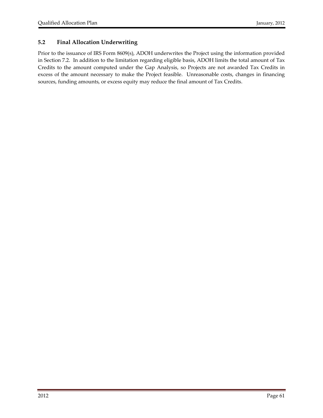# **5.2 Final Allocation Underwriting**

Prior to the issuance of IRS Form 8609(s), ADOH underwrites the Project using the information provided in Section 7.2. In addition to the limitation regarding eligible basis, ADOH limits the total amount of Tax Credits to the amount computed under the Gap Analysis, so Projects are not awarded Tax Credits in excess of the amount necessary to make the Project feasible. Unreasonable costs, changes in financing sources, funding amounts, or excess equity may reduce the final amount of Tax Credits.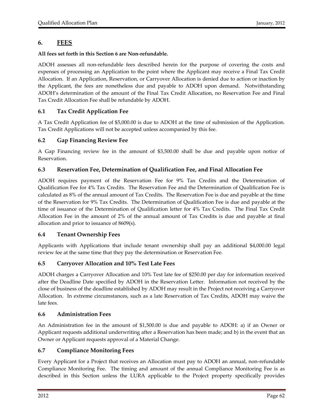# **6. FEES**

# **All fees set forth in this Section 6 are Non‐refundable.**

ADOH assesses all non‐refundable fees described herein for the purpose of covering the costs and expenses of processing an Application to the point where the Applicant may receive a Final Tax Credit Allocation. If an Application, Reservation, or Carryover Allocation is denied due to action or inaction by the Applicant, the fees are nonetheless due and payable to ADOH upon demand. Notwithstanding ADOH's determination of the amount of the Final Tax Credit Allocation, no Reservation Fee and Final Tax Credit Allocation Fee shall be refundable by ADOH.

# **6.1 Tax Credit Application Fee**

A Tax Credit Application fee of \$5,000.00 is due to ADOH at the time of submission of the Application. Tax Credit Applications will not be accepted unless accompanied by this fee.

# **6.2 Gap Financing Review Fee**

A Gap Financing review fee in the amount of \$3,500.00 shall be due and payable upon notice of Reservation.

# **6.3 Reservation Fee, Determination of Qualification Fee, and Final Allocation Fee**

ADOH requires payment of the Reservation Fee for 9% Tax Credits and the Determination of Qualification Fee for 4% Tax Credits. The Reservation Fee and the Determination of Qualification Fee is calculated as 8% of the annual amount of Tax Credits. The Reservation Fee is due and payable at the time of the Reservation for 9% Tax Credits. The Determination of Qualification Fee is due and payable at the time of issuance of the Determination of Qualification letter for 4% Tax Credits. The Final Tax Credit Allocation Fee in the amount of 2% of the annual amount of Tax Credits is due and payable at final allocation and prior to issuance of 8609(s).

# **6.4 Tenant Ownership Fees**

Applicants with Applications that include tenant ownership shall pay an additional \$4,000.00 legal review fee at the same time that they pay the determination or Reservation Fee.

# **6.5 Carryover Allocation and 10% Test Late Fees**

ADOH charges a Carryover Allocation and 10% Test late fee of \$250.00 per day for information received after the Deadline Date specified by ADOH in the Reservation Letter. Information not received by the close of business of the deadline established by ADOH may result in the Project not receiving a Carryover Allocation. In extreme circumstances, such as a late Reservation of Tax Credits, ADOH may waive the late fees.

# **6.6 Administration Fees**

An Administration fee in the amount of \$1,500.00 is due and payable to ADOH: a) if an Owner or Applicant requests additional underwriting after a Reservation has been made; and b) in the event that an Owner or Applicant requests approval of a Material Change.

# **6.7 Compliance Monitoring Fees**

Every Applicant for a Project that receives an Allocation must pay to ADOH an annual, non‐refundable Compliance Monitoring Fee. The timing and amount of the annual Compliance Monitoring Fee is as described in this Section unless the LURA applicable to the Project property specifically provides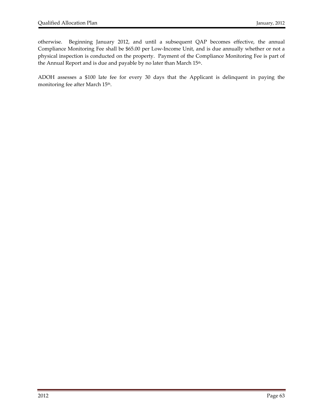otherwise. Beginning January 2012, and until a subsequent QAP becomes effective, the annual Compliance Monitoring Fee shall be \$65.00 per Low‐Income Unit, and is due annually whether or not a physical inspection is conducted on the property. Payment of the Compliance Monitoring Fee is part of the Annual Report and is due and payable by no later than March 15<sup>th</sup>.

ADOH assesses a \$100 late fee for every 30 days that the Applicant is delinquent in paying the monitoring fee after March 15<sup>th</sup>.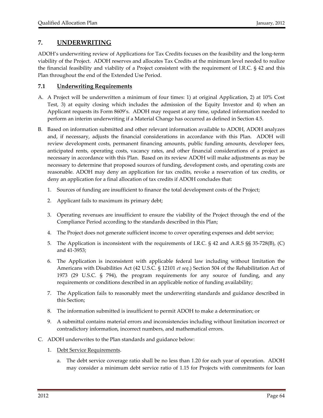# **7. UNDERWRITING**

ADOH's underwriting review of Applications for Tax Credits focuses on the feasibility and the long‐term viability of the Project. ADOH reserves and allocates Tax Credits at the minimum level needed to realize the financial feasibility and viability of a Project consistent with the requirement of I.R.C. § 42 and this Plan throughout the end of the Extended Use Period.

# **7.1 Underwriting Requirements**

- A. A Project will be underwritten a minimum of four times: 1) at original Application, 2) at 10% Cost Test, 3) at equity closing which includes the admission of the Equity Investor and 4) when an Applicant requests its Form 8609's. ADOH may request at any time, updated information needed to perform an interim underwriting if a Material Change has occurred as defined in Section 4.5.
- B. Based on information submitted and other relevant information available to ADOH, ADOH analyzes and, if necessary, adjusts the financial considerations in accordance with this Plan. ADOH will review development costs, permanent financing amounts, public funding amounts, developer fees, anticipated rents, operating costs, vacancy rates, and other financial considerations of a project as necessary in accordance with this Plan. Based on its review ADOH will make adjustments as may be necessary to determine that proposed sources of funding, development costs, and operating costs are reasonable. ADOH may deny an application for tax credits, revoke a reservation of tax credits, or deny an application for a final allocation of tax credits if ADOH concludes that:
	- 1. Sources of funding are insufficient to finance the total development costs of the Project;
	- 2. Applicant fails to maximum its primary debt;
	- 3. Operating revenues are insufficient to ensure the viability of the Project through the end of the Compliance Period according to the standards described in this Plan;
	- 4. The Project does not generate sufficient income to cover operating expenses and debt service;
	- 5. The Application is inconsistent with the requirements of I.R.C. § 42 and A.R.S §§ 35-728(B), (C) and 41‐3953;
	- 6. The Application is inconsistent with applicable federal law including without limitation the Americans with Disabilities Act (42 U.S.C. § 12101 *et seq*.) Section 504 of the Rehabilitation Act of 1973 (29 U.S.C. § 794), the program requirements for any source of funding, and any requirements or conditions described in an applicable notice of funding availability;
	- 7. The Application fails to reasonably meet the underwriting standards and guidance described in this Section;
	- 8. The information submitted is insufficient to permit ADOH to make a determination; or
	- 9. A submittal contains material errors and inconsistencies including without limitation incorrect or contradictory information, incorrect numbers, and mathematical errors.
- C. ADOH underwrites to the Plan standards and guidance below:
	- 1. Debt Service Requirements.
		- a. The debt service coverage ratio shall be no less than 1.20 for each year of operation. ADOH may consider a minimum debt service ratio of 1.15 for Projects with commitments for loan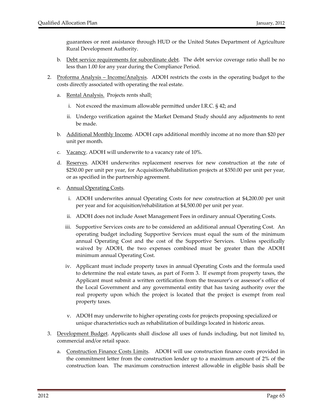guarantees or rent assistance through HUD or the United States Department of Agriculture Rural Development Authority.

- b. Debt service requirements for subordinate debt. The debt service coverage ratio shall be no less than 1.00 for any year during the Compliance Period.
- 2. Proforma Analysis Income/Analysis. ADOH restricts the costs in the operating budget to the costs directly associated with operating the real estate.
	- a. Rental Analysis. Projects rents shall:
		- i. Not exceed the maximum allowable permitted under I.R.C. § 42; and
		- ii. Undergo verification against the Market Demand Study should any adjustments to rent be made.
	- b. Additional Monthly Income. ADOH caps additional monthly income at no more than \$20 per unit per month.
	- c. Vacancy. ADOH will underwrite to a vacancy rate of 10%.
	- d. Reserves. ADOH underwrites replacement reserves for new construction at the rate of \$250.00 per unit per year, for Acquisition/Rehabilitation projects at \$350.00 per unit per year, or as specified in the partnership agreement.
	- e. Annual Operating Costs.
		- i. ADOH underwrites annual Operating Costs for new construction at \$4,200.00 per unit per year and for acquisition/rehabilitation at \$4,500.00 per unit per year.
		- ii. ADOH does not include Asset Management Fees in ordinary annual Operating Costs.
		- iii. Supportive Services costs are to be considered an additional annual Operating Cost. An operating budget including Supportive Services must equal the sum of the minimum annual Operating Cost and the cost of the Supportive Services. Unless specifically waived by ADOH, the two expenses combined must be greater than the ADOH minimum annual Operating Cost.
		- iv. Applicant must include property taxes in annual Operating Costs and the formula used to determine the real estate taxes, as part of Form 3. If exempt from property taxes, the Applicant must submit a written certification from the treasurer's or assessor's office of the Local Government and any governmental entity that has taxing authority over the real property upon which the project is located that the project is exempt from real property taxes.
		- v. ADOH may underwrite to higher operating costs for projects proposing specialized or unique characteristics such as rehabilitation of buildings located in historic areas.
- 3. <u>Development Budget</u>. Applicants shall disclose all uses of funds including, but not limited to, commercial and/or retail space.
	- a. Construction Finance Costs Limits. ADOH will use construction finance costs provided in the commitment letter from the construction lender up to a maximum amount of 2% of the construction loan. The maximum construction interest allowable in eligible basis shall be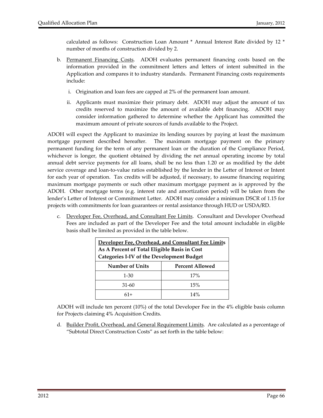calculated as follows: Construction Loan Amount \* Annual Interest Rate divided by 12 \* number of months of construction divided by 2.

- b. <u>Permanent Financing Costs</u>. ADOH evaluates permanent financing costs based on the information provided in the commitment letters and letters of intent submitted in the Application and compares it to industry standards. Permanent Financing costs requirements include:
	- i. Origination and loan fees are capped at 2% of the permanent loan amount.
	- ii. Applicants must maximize their primary debt. ADOH may adjust the amount of tax credits reserved to maximize the amount of available debt financing. ADOH may consider information gathered to determine whether the Applicant has committed the maximum amount of private sources of funds available to the Project.

ADOH will expect the Applicant to maximize its lending sources by paying at least the maximum mortgage payment described hereafter. The maximum mortgage payment on the primary permanent funding for the term of any permanent loan or the duration of the Compliance Period, whichever is longer, the quotient obtained by dividing the net annual operating income by total annual debt service payments for all loans, shall be no less than 1.20 or as modified by the debt service coverage and loan‐to‐value ratios established by the lender in the Letter of Interest or Intent for each year of operation. Tax credits will be adjusted, if necessary, to assume financing requiring maximum mortgage payments or such other maximum mortgage payment as is approved by the ADOH. Other mortgage terms (e.g. interest rate and amortization period) will be taken from the lender's Letter of Interest or Commitment Letter. ADOH may consider a minimum DSCR of 1.15 for projects with commitments for loan guarantees or rental assistance through HUD or USDA/RD.

c. Developer Fee, Overhead, and Consultant Fee Limits. Consultant and Developer Overhead Fees are included as part of the Developer Fee and the total amount includable in eligible basis shall be limited as provided in the table below.

| Developer Fee, Overhead, and Consultant Fee Limits<br>As A Percent of Total Eligible Basis in Cost<br><b>Categories I-IV of the Development Budget</b> |                        |  |  |  |  |  |
|--------------------------------------------------------------------------------------------------------------------------------------------------------|------------------------|--|--|--|--|--|
| <b>Number of Units</b>                                                                                                                                 | <b>Percent Allowed</b> |  |  |  |  |  |
| $1 - 30$                                                                                                                                               | 17%                    |  |  |  |  |  |
| 31-60                                                                                                                                                  | 15%                    |  |  |  |  |  |
| $61+$                                                                                                                                                  | 14%                    |  |  |  |  |  |

ADOH will include ten percent (10%) of the total Developer Fee in the 4% eligible basis column for Projects claiming 4% Acquisition Credits.

d. Builder Profit, Overhead, and General Requirement Limits. Are calculated as a percentage of "Subtotal Direct Construction Costs" as set forth in the table below: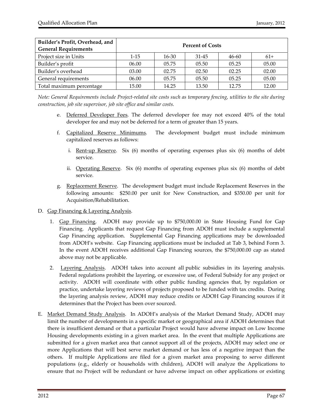| Builder's Profit, Overhead, and<br><b>General Requirements</b> | <b>Percent of Costs</b> |           |           |       |       |  |  |
|----------------------------------------------------------------|-------------------------|-----------|-----------|-------|-------|--|--|
| Project size in Units                                          | $1 - 15$                | $16 - 30$ | $31 - 45$ | 46-60 | $61+$ |  |  |
| Builder's profit                                               | 06.00                   | 05.75     | 05.50     | 05.25 | 05.00 |  |  |
| Builder's overhead                                             | 03.00                   | 02.75     | 02.50     | 02.25 | 02.00 |  |  |
| General requirements                                           | 06.00                   | 05.75     | 05.50     | 05.25 | 05.00 |  |  |
| Total maximum percentage                                       | 15.00                   | 14.25     | 13.50     | 12.75 | 12.00 |  |  |

Note: General Requirements include Project-related site costs such as temporary fencing, utilities to the site during *construction, job site supervisor, job site office and similar costs.*

- e. Deferred Developer Fees. The deferred developer fee may not exceed 40% of the total developer fee and may not be deferred for a term of greater than 15 years.
- f. Capitalized Reserve Minimums. The development budget must include minimum capitalized reserves as follows:
	- i. Rent-up Reserve. Six (6) months of operating expenses plus six (6) months of debt service.
	- ii. Operating Reserve. Six (6) months of operating expenses plus six (6) months of debt service.
- g. Replacement Reserve. The development budget must include Replacement Reserves in the following amounts: \$250.00 per unit for New Construction, and \$350.00 per unit for Acquisition/Rehabilitation.
- D. Gap Financing & Layering Analysis.
	- 1. Gap Financing. ADOH may provide up to \$750,000.00 in State Housing Fund for Gap Financing. Applicants that request Gap Financing from ADOH must include a supplemental Gap Financing application. Supplemental Gap Financing applications may be downloaded from ADOH's website. Gap Financing applications must be included at Tab 3, behind Form 3. In the event ADOH receives additional Gap Financing sources, the \$750,000.00 cap as stated above may not be applicable.
	- 2. Layering Analysis. ADOH takes into account all public subsidies in its layering analysis. Federal regulations prohibit the layering, or excessive use, of Federal Subsidy for any project or activity. ADOH will coordinate with other public funding agencies that, by regulation or practice, undertake layering reviews of projects proposed to be funded with tax credits. During the layering analysis review, ADOH may reduce credits or ADOH Gap Financing sources if it determines that the Project has been over sourced.
- E. Market Demand Study Analysis. In ADOH's analysis of the Market Demand Study, ADOH may limit the number of developments in a specific market or geographical area if ADOH determines that there is insufficient demand or that a particular Project would have adverse impact on Low Income Housing developments existing in a given market area. In the event that multiple Applications are submitted for a given market area that cannot support all of the projects, ADOH may select one or more Applications that will best serve market demand or has less of a negative impact than the others. If multiple Applications are filed for a given market area proposing to serve different populations (e.g., elderly or households with children), ADOH will analyze the Applications to ensure that no Project will be redundant or have adverse impact on other applications or existing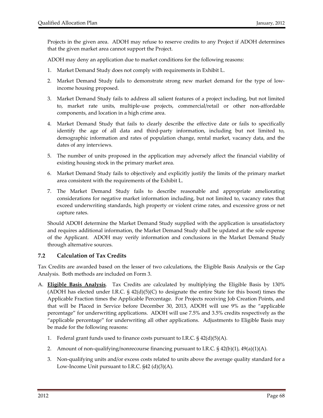Projects in the given area. ADOH may refuse to reserve credits to any Project if ADOH determines that the given market area cannot support the Project.

ADOH may deny an application due to market conditions for the following reasons:

- 1. Market Demand Study does not comply with requirements in Exhibit L.
- 2. Market Demand Study fails to demonstrate strong new market demand for the type of low‐ income housing proposed.
- 3. Market Demand Study fails to address all salient features of a project including, but not limited to, market rate units, multiple‐use projects, commercial/retail or other non‐affordable components, and location in a high crime area.
- 4. Market Demand Study that fails to clearly describe the effective date or fails to specifically identify the age of all data and third‐party information, including but not limited to, demographic information and rates of population change, rental market, vacancy data, and the dates of any interviews.
- 5. The number of units proposed in the application may adversely affect the financial viability of existing housing stock in the primary market area.
- 6. Market Demand Study fails to objectively and explicitly justify the limits of the primary market area consistent with the requirements of the Exhibit L.
- 7. The Market Demand Study fails to describe reasonable and appropriate ameliorating considerations for negative market information including, but not limited to, vacancy rates that exceed underwriting standards, high property or violent crime rates, and excessive gross or net capture rates.

Should ADOH determine the Market Demand Study supplied with the application is unsatisfactory and requires additional information, the Market Demand Study shall be updated at the sole expense of the Applicant. ADOH may verify information and conclusions in the Market Demand Study through alternative sources.

# **7.2 Calculation of Tax Credits**

Tax Credits are awarded based on the lesser of two calculations, the Eligible Basis Analysis or the Gap Analysis. Both methods are included on Form 3.

- A. **Eligible Basis Analysis**. Tax Credits are calculated by multiplying the Eligible Basis by 130% (ADOH has elected under I.R.C.  $\S 42(d)(5)(C)$  to designate the entire State for this boost) times the Applicable Fraction times the Applicable Percentage. For Projects receiving Job Creation Points, and that will be Placed in Service before December 30, 2013, ADOH will use 9% as the "applicable percentage" for underwriting applications. ADOH will use 7.5% and 3.5% credits respectively as the "applicable percentage" for underwriting all other applications. Adjustments to Eligible Basis may be made for the following reasons:
	- 1. Federal grant funds used to finance costs pursuant to I.R.C.  $\S 42(d)(5)(A)$ .
	- 2. Amount of non-qualifying/nonrecourse financing pursuant to I.R.C.  $\S$  42(b)(1), 49(a)(1)(A).
	- 3. Non‐qualifying units and/or excess costs related to units above the average quality standard for a Low-Income Unit pursuant to I.R.C. §42 (d)(3)(A).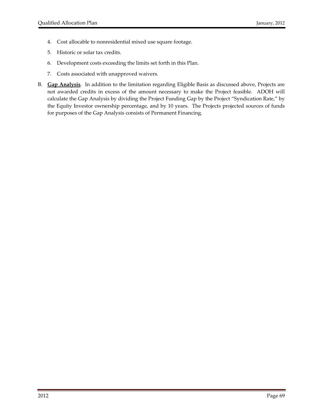- 4. Cost allocable to nonresidential mixed use square footage.
- 5. Historic or solar tax credits.
- 6. Development costs exceeding the limits set forth in this Plan.
- 7. Costs associated with unapproved waivers.
- B. **Gap Analysis**. In addition to the limitation regarding Eligible Basis as discussed above, Projects are not awarded credits in excess of the amount necessary to make the Project feasible. ADOH will calculate the Gap Analysis by dividing the Project Funding Gap by the Project "Syndication Rate," by the Equity Investor ownership percentage, and by 10 years. The Projects projected sources of funds for purposes of the Gap Analysis consists of Permanent Financing.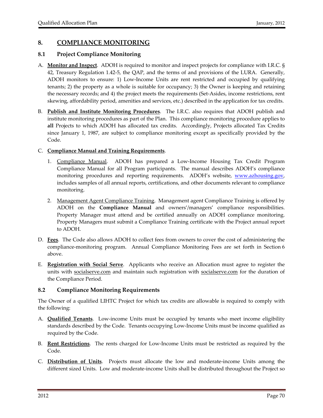# **8. COMPLIANCE MONITORING**

# **8.1 Project Compliance Monitoring**

- A. **Monitor and Inspect**. ADOH is required to monitor and inspect projects for compliance with I.R.C. § 42, Treasury Regulation 1.42‐5, the QAP, and the terms of and provisions of the LURA. Generally, ADOH monitors to ensure: 1) Low‐Income Units are rent restricted and occupied by qualifying tenants; 2) the property as a whole is suitable for occupancy; 3) the Owner is keeping and retaining the necessary records; and 4) the project meets the requirements (Set‐Asides, income restrictions, rent skewing, affordability period, amenities and services, etc.) described in the application for tax credits.
- B. **Publish and Institute Monitoring Procedures**. The I.R.C. also requires that ADOH publish and institute monitoring procedures as part of the Plan. This compliance monitoring procedure applies to **all** Projects to which ADOH has allocated tax credits. Accordingly, Projects allocated Tax Credits since January 1, 1987, are subject to compliance monitoring except as specifically provided by the Code.

# C. **Compliance Manual and Training Requirements**.

- 1. Compliance Manual. ADOH has prepared a Low‐Income Housing Tax Credit Program Compliance Manual for all Program participants. The manual describes ADOH's compliance monitoring procedures and reporting requirements. ADOH's website, www.azhousing.gov, includes samples of all annual reports, certifications, and other documents relevant to compliance monitoring.
- 2. Management Agent Compliance Training. Management agent Compliance Training is offered by ADOH on the **Compliance Manual** and owners'/managers' compliance responsibilities. Property Manager must attend and be certified annually on ADOH compliance monitoring. Property Managers must submit a Compliance Training certificate with the Project annual report to ADOH.
- D. **Fees**. The Code also allows ADOH to collect fees from owners to cover the cost of administering the compliance-monitoring program. Annual Compliance Monitoring Fees are set forth in Section 6 above.
- E. **Registration with Social Serve**. Applicants who receive an Allocation must agree to register the units with socialserve.com and maintain such registration with socialserve.com for the duration of the Compliance Period.

# **8.2 Compliance Monitoring Requirements**

The Owner of a qualified LIHTC Project for which tax credits are allowable is required to comply with the following:

- A. **Qualified Tenants**. Low‐income Units must be occupied by tenants who meet income eligibility standards described by the Code. Tenants occupying Low‐Income Units must be income qualified as required by the Code.
- B. **Rent Restrictions**. The rents charged for Low‐Income Units must be restricted as required by the Code.
- C. **Distribution of Units**. Projects must allocate the low and moderate‐income Units among the different sized Units. Low and moderate‐income Units shall be distributed throughout the Project so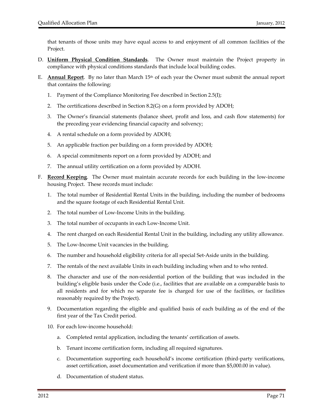that tenants of those units may have equal access to and enjoyment of all common facilities of the Project.

- D. **Uniform Physical Condition Standards**. The Owner must maintain the Project property in compliance with physical conditions standards that include local building codes.
- E. **Annual Report**. By no later than March 15th of each year the Owner must submit the annual report that contains the following:
	- 1. Payment of the Compliance Monitoring Fee described in Section 2.5(I);
	- 2. The certifications described in Section 8.2(G) on a form provided by ADOH;
	- 3. The Owner's financial statements (balance sheet, profit and loss, and cash flow statements) for the preceding year evidencing financial capacity and solvency;
	- 4. A rental schedule on a form provided by ADOH;
	- 5. An applicable fraction per building on a form provided by ADOH;
	- 6. A special commitments report on a form provided by ADOH; and
	- 7. The annual utility certification on a form provided by ADOH.
- F. **Record Keeping**. The Owner must maintain accurate records for each building in the low‐income housing Project. These records must include:
	- 1. The total number of Residential Rental Units in the building, including the number of bedrooms and the square footage of each Residential Rental Unit.
	- 2. The total number of Low‐Income Units in the building.
	- 3. The total number of occupants in each Low‐Income Unit.
	- 4. The rent charged on each Residential Rental Unit in the building, including any utility allowance.
	- 5. The Low‐Income Unit vacancies in the building.
	- 6. The number and household eligibility criteria for all special Set‐Aside units in the building.
	- 7. The rentals of the next available Units in each building including when and to who rented.
	- 8. The character and use of the non‐residential portion of the building that was included in the building's eligible basis under the Code (i.e., facilities that are available on a comparable basis to all residents and for which no separate fee is charged for use of the facilities, or facilities reasonably required by the Project).
	- 9. Documentation regarding the eligible and qualified basis of each building as of the end of the first year of the Tax Credit period.
	- 10. For each low-income household:
		- a. Completed rental application, including the tenants' certification of assets.
		- b. Tenant income certification form, including all required signatures.
		- c. Documentation supporting each household's income certification (third‐party verifications, asset certification, asset documentation and verification if more than \$5,000.00 in value).
		- d. Documentation of student status.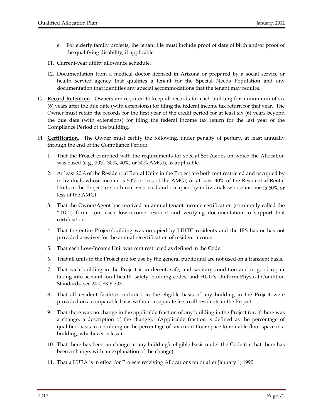- e. For elderly family projects, the tenant file must include proof of date of birth and/or proof of the qualifying disability, if applicable.
- 11. Current‐year utility allowance schedule.
- 12. Documentation from a medical doctor licensed in Arizona or prepared by a social service or health service agency that qualifies a tenant for the Special Needs Population and any documentation that identifies any special accommodations that the tenant may require.
- G. **Record Retention**. Owners are required to keep all records for each building for a minimum of six (6) years after the due date (with extensions) for filing the federal income tax return for that year. The Owner must retain the records for the first year of the credit period for at least six (6) years beyond the due date (with extensions) for filing the federal income tax return for the last year of the Compliance Period of the building.
- H. **Certification**. The Owner must certify the following, under penalty of perjury, at least annually through the end of the Compliance Period:
	- 1. That the Project complied with the requirements for special Set‐Asides on which the Allocation was based (e.g., 20%, 30%, 40%, or 50% AMGI), as applicable.
	- 2. At least 20% of the Residential Rental Units in the Project are both rent restricted and occupied by individuals whose income is 50% or less of the AMGI; or at least 40% of the Residential Rental Units in the Project are both rent restricted and occupied by individuals whose income is 60% or less of the AMGI.
	- 3. That the Owner/Agent has received an annual tenant income certification (commonly called the "TIC") form from each low‐income resident and verifying documentation to support that certification.
	- 4. That the entire Project/building was occupied by LIHTC residents and the IRS has or has not provided a waiver for the annual recertification of resident income.
	- 5. That each Low‐Income Unit was rent restricted as defined in the Code.
	- 6. That all units in the Project are for use by the general public and are not used on a transient basis.
	- 7. That each building in the Project is in decent, safe, and sanitary condition and in good repair taking into account local health, safety, building codes, and HUD's Uniform Physical Condition Standards, see 24 CFR 5.703.
	- 8. That all resident facilities included in the eligible basis of any building in the Project were provided on a comparable basis without a separate fee to all residents in the Project.
	- 9. That there was no change in the applicable fraction of any building in the Project (or, if there was a change, a description of the change). (Applicable fraction is defined as the percentage of qualified basis in a building or the percentage of tax credit floor space to rentable floor space in a building, whichever is less.)
	- 10. That there has been no change in any building's eligible basis under the Code (or that there has been a change, with an explanation of the change).
	- 11. That a LURA is in effect for Projects receiving Allocations on or after January 1, 1990.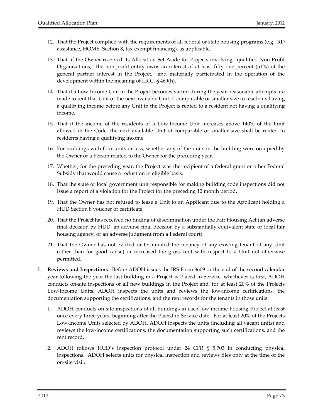- 12. That the Project complied with the requirements of all federal or state housing programs (e.g., RD assistance, HOME, Section 8, tax‐exempt financing), as applicable.
- 13. That, if the Owner received its Allocation Set‐Aside for Projects involving "qualified Non‐Profit Organizations," the non‐profit entity owns an interest of at least fifty one percent (51%) of the general partner interest in the Project, and materially participated in the operation of the development within the meaning of I.R.C. § 469(h).
- 14. That if a Low‐Income Unit in the Project becomes vacant during the year, reasonable attempts are made to rent that Unit or the next available Unit of comparable or smaller size to residents having a qualifying income before any Unit in the Project is rented to a resident not having a qualifying income.
- 15. That if the income of the residents of a Low‐Income Unit increases above 140% of the limit allowed in the Code, the next available Unit of comparable or smaller size shall be rented to residents having a qualifying income.
- 16. For buildings with four units or less, whether any of the units in the building were occupied by the Owner or a Person related to the Owner for the preceding year.
- 17. Whether, for the preceding year, the Project was the recipient of a federal grant or other Federal Subsidy that would cause a reduction in eligible basis.
- 18. That the state or local government unit responsible for making building code inspections did not issue a report of a violation for the Project for the preceding 12 month period.
- 19. That the Owner has not refused to lease a Unit to an Applicant due to the Applicant holding a HUD Section 8 voucher or certificate.
- 20. That the Project has received no finding of discrimination under the Fair Housing Act (an adverse final decision by HUD, an adverse final decision by a substantially equivalent state or local fair housing agency, or an adverse judgment from a Federal court).
- 21. That the Owner has not evicted or terminated the tenancy of any existing tenant of any Unit (other than for good cause) or increased the gross rent with respect to a Unit not otherwise permitted.
- I. **Reviews and Inspections**. Before ADOH issues the IRS Form 8609 or the end of the second calendar year following the year the last building in a Project is Placed in Service, whichever is first, ADOH conducts on‐site inspections of all new buildings in the Project and, for at least 20% of the Projects Low-Income Units, ADOH inspects the units and reviews the low-income certifications, the documentation supporting the certifications, and the rent records for the tenants in those units.
	- 1. ADOH conducts on‐site inspections of all buildings in each low‐income housing Project at least once every three years, beginning after the Placed in Service date. For at least 20% of the Projects Low‐Income Units selected by ADOH, ADOH inspects the units (including all vacant units) and reviews the low‐income certifications, the documentation supporting such certifications, and the rent record.
	- 2. ADOH follows HUD's inspection protocol under 24 CFR § 5.703 in conducting physical inspections. ADOH selects units for physical inspection and reviews files only at the time of the on‐site visit.